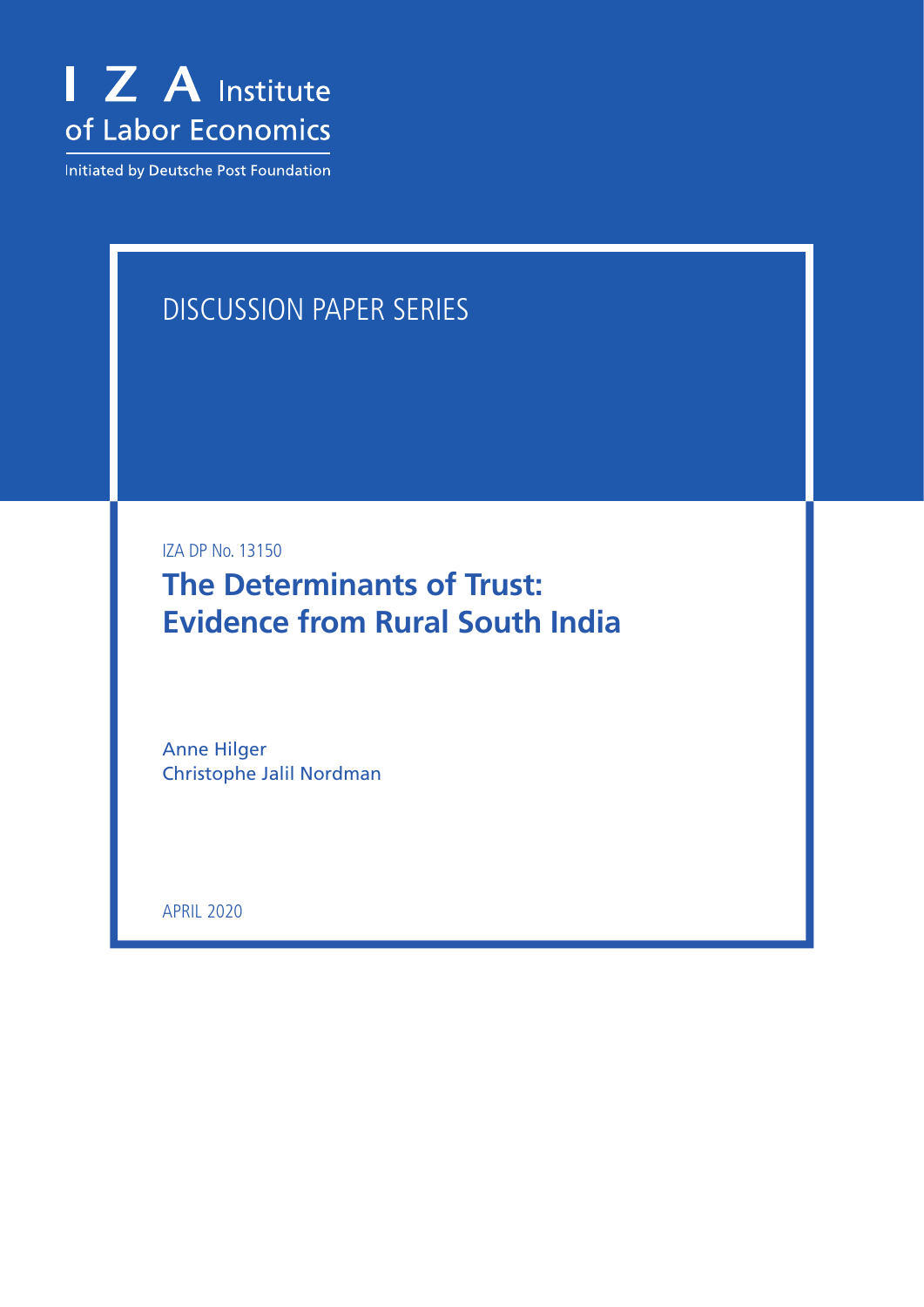

Initiated by Deutsche Post Foundation

# DISCUSSION PAPER SERIES

IZA DP No. 13150

**The Determinants of Trust: Evidence from Rural South India**

Anne Hilger Christophe Jalil Nordman

APRIL 2020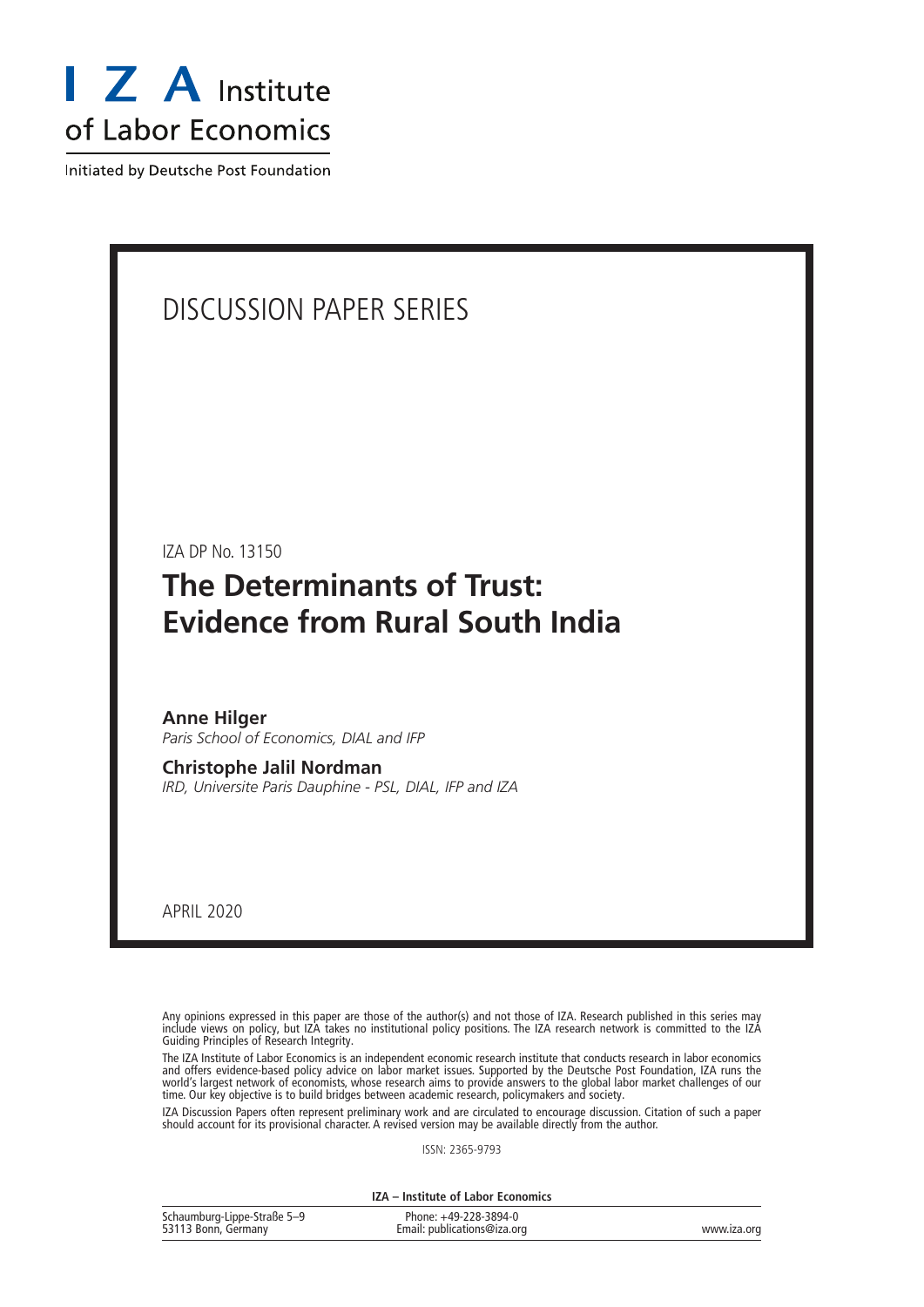

Initiated by Deutsche Post Foundation

# DISCUSSION PAPER SERIES

IZA DP No. 13150

# **The Determinants of Trust: Evidence from Rural South India**

**Anne Hilger** *Paris School of Economics, DIAL and IFP*

**Christophe Jalil Nordman** *IRD, Universite Paris Dauphine - PSL, DIAL, IFP and IZA*

APRIL 2020

Any opinions expressed in this paper are those of the author(s) and not those of IZA. Research published in this series may include views on policy, but IZA takes no institutional policy positions. The IZA research network is committed to the IZA Guiding Principles of Research Integrity.

The IZA Institute of Labor Economics is an independent economic research institute that conducts research in labor economics and offers evidence-based policy advice on labor market issues. Supported by the Deutsche Post Foundation, IZA runs the world's largest network of economists, whose research aims to provide answers to the global labor market challenges of our time. Our key objective is to build bridges between academic research, policymakers and society.

IZA Discussion Papers often represent preliminary work and are circulated to encourage discussion. Citation of such a paper should account for its provisional character. A revised version may be available directly from the author.

ISSN: 2365-9793

**IZA – Institute of Labor Economics**

| Schaumburg-Lippe-Straße 5-9 | Phone: +49-228-3894-0       |             |
|-----------------------------|-----------------------------|-------------|
| 53113 Bonn, Germany         | Email: publications@iza.org | www.iza.org |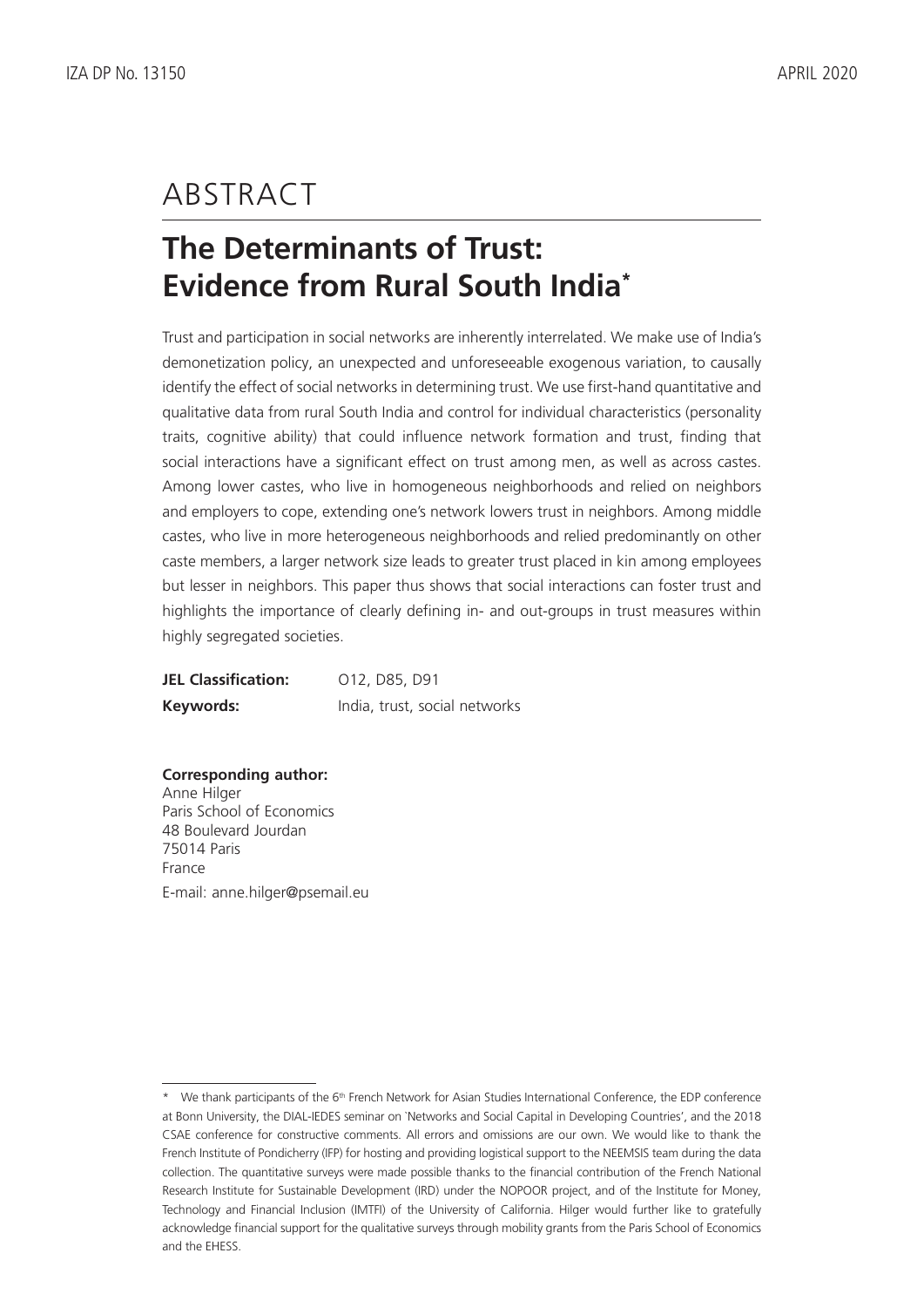# ABSTRACT

# **The Determinants of Trust: Evidence from Rural South India\***

Trust and participation in social networks are inherently interrelated. We make use of India's demonetization policy, an unexpected and unforeseeable exogenous variation, to causally identify the effect of social networks in determining trust. We use first-hand quantitative and qualitative data from rural South India and control for individual characteristics (personality traits, cognitive ability) that could influence network formation and trust, finding that social interactions have a significant effect on trust among men, as well as across castes. Among lower castes, who live in homogeneous neighborhoods and relied on neighbors and employers to cope, extending one's network lowers trust in neighbors. Among middle castes, who live in more heterogeneous neighborhoods and relied predominantly on other caste members, a larger network size leads to greater trust placed in kin among employees but lesser in neighbors. This paper thus shows that social interactions can foster trust and highlights the importance of clearly defining in- and out-groups in trust measures within highly segregated societies.

**JEL Classification:** 012, D85, D91 **Keywords:** India, trust, social networks

**Corresponding author:** Anne Hilger Paris School of Economics 48 Boulevard Jourdan 75014 Paris France E-mail: anne.hilger@psemail.eu

<sup>\*</sup> We thank participants of the 6<sup>th</sup> French Network for Asian Studies International Conference, the EDP conference at Bonn University, the DIAL-IEDES seminar on `Networks and Social Capital in Developing Countries', and the 2018 CSAE conference for constructive comments. All errors and omissions are our own. We would like to thank the French Institute of Pondicherry (IFP) for hosting and providing logistical support to the NEEMSIS team during the data collection. The quantitative surveys were made possible thanks to the financial contribution of the French National Research Institute for Sustainable Development (IRD) under the NOPOOR project, and of the Institute for Money, Technology and Financial Inclusion (IMTFI) of the University of California. Hilger would further like to gratefully acknowledge financial support for the qualitative surveys through mobility grants from the Paris School of Economics and the EHESS.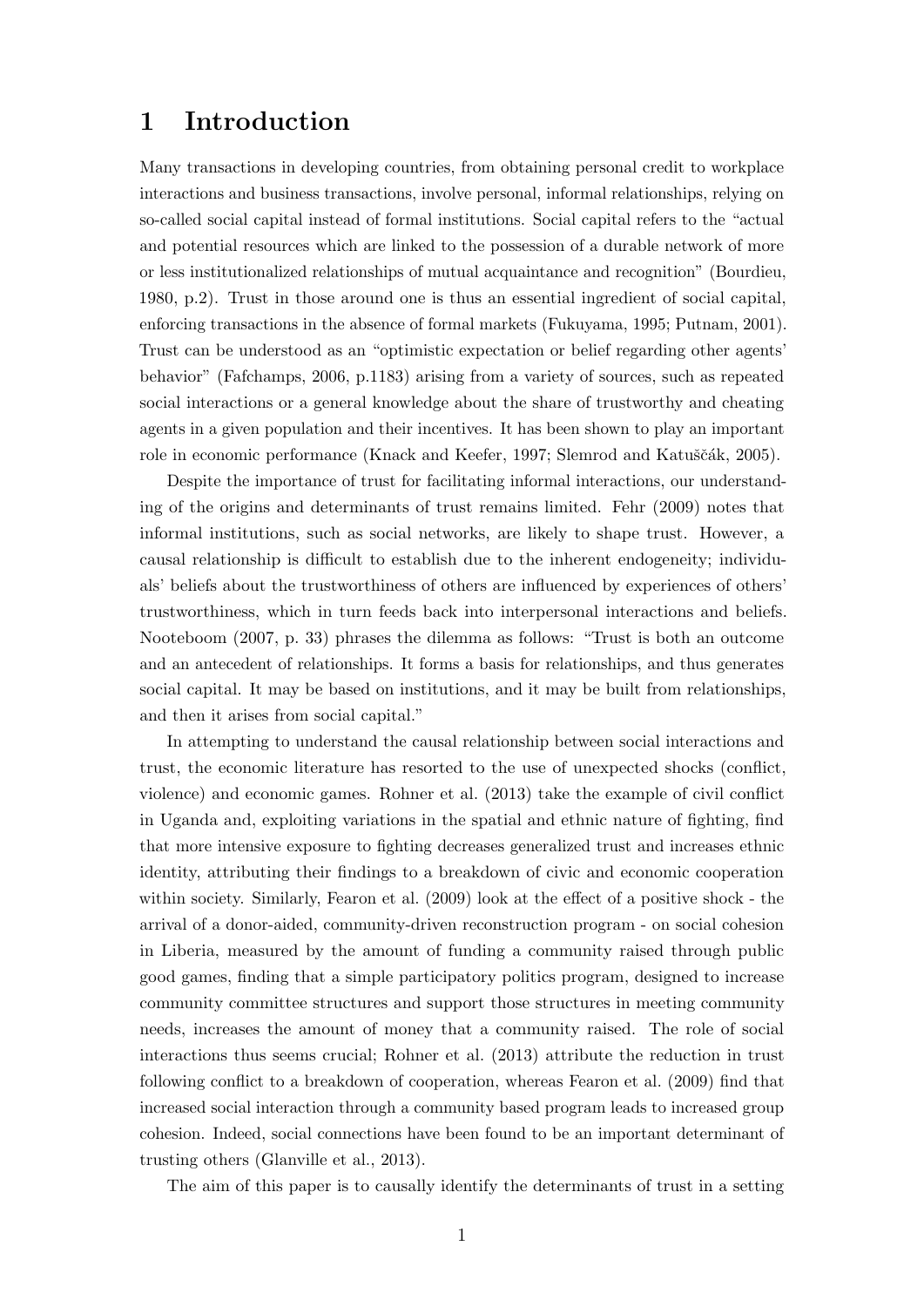# 1 Introduction

Many transactions in developing countries, from obtaining personal credit to workplace interactions and business transactions, involve personal, informal relationships, relying on so-called social capital instead of formal institutions. Social capital refers to the "actual and potential resources which are linked to the possession of a durable network of more or less institutionalized relationships of mutual acquaintance and recognition" [\(Bourdieu,](#page-40-0) [1980,](#page-40-0) p.2). Trust in those around one is thus an essential ingredient of social capital, enforcing transactions in the absence of formal markets [\(Fukuyama, 1995;](#page-41-0) [Putnam, 2001\)](#page-43-0). Trust can be understood as an "optimistic expectation or belief regarding other agents' behavior" [\(Fafchamps, 2006,](#page-40-1) p.1183) arising from a variety of sources, such as repeated social interactions or a general knowledge about the share of trustworthy and cheating agents in a given population and their incentives. It has been shown to play an important role in economic performance [\(Knack and Keefer, 1997;](#page-42-0) Slemrod and Katuščák, 2005).

Despite the importance of trust for facilitating informal interactions, our understanding of the origins and determinants of trust remains limited. [Fehr](#page-40-2) [\(2009\)](#page-40-2) notes that informal institutions, such as social networks, are likely to shape trust. However, a causal relationship is difficult to establish due to the inherent endogeneity; individuals' beliefs about the trustworthiness of others are influenced by experiences of others' trustworthiness, which in turn feeds back into interpersonal interactions and beliefs. [Nooteboom](#page-43-2) [\(2007,](#page-43-2) p. 33) phrases the dilemma as follows: "Trust is both an outcome and an antecedent of relationships. It forms a basis for relationships, and thus generates social capital. It may be based on institutions, and it may be built from relationships, and then it arises from social capital."

In attempting to understand the causal relationship between social interactions and trust, the economic literature has resorted to the use of unexpected shocks (conflict, violence) and economic games. [Rohner et al.](#page-43-3) [\(2013\)](#page-43-3) take the example of civil conflict in Uganda and, exploiting variations in the spatial and ethnic nature of fighting, find that more intensive exposure to fighting decreases generalized trust and increases ethnic identity, attributing their findings to a breakdown of civic and economic cooperation within society. Similarly, [Fearon et al.](#page-40-3) [\(2009\)](#page-40-3) look at the effect of a positive shock - the arrival of a donor-aided, community-driven reconstruction program - on social cohesion in Liberia, measured by the amount of funding a community raised through public good games, finding that a simple participatory politics program, designed to increase community committee structures and support those structures in meeting community needs, increases the amount of money that a community raised. The role of social interactions thus seems crucial; [Rohner et al.](#page-43-3) [\(2013\)](#page-43-3) attribute the reduction in trust following conflict to a breakdown of cooperation, whereas [Fearon et al.](#page-40-3) [\(2009\)](#page-40-3) find that increased social interaction through a community based program leads to increased group cohesion. Indeed, social connections have been found to be an important determinant of trusting others [\(Glanville et al., 2013\)](#page-41-1).

The aim of this paper is to causally identify the determinants of trust in a setting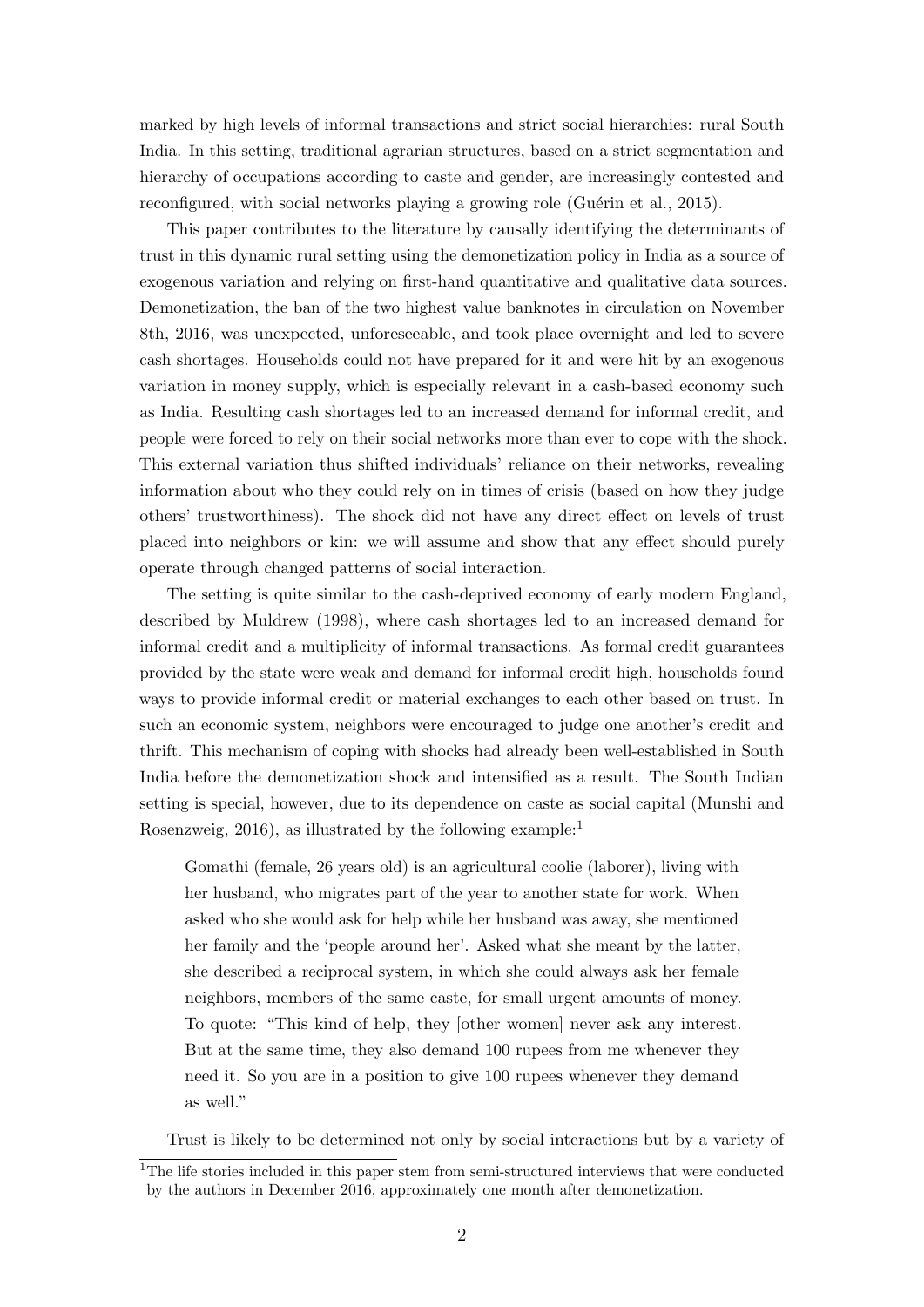marked by high levels of informal transactions and strict social hierarchies: rural South India. In this setting, traditional agrarian structures, based on a strict segmentation and hierarchy of occupations according to caste and gender, are increasingly contested and reconfigured, with social networks playing a growing role (Guérin et al., 2015).

This paper contributes to the literature by causally identifying the determinants of trust in this dynamic rural setting using the demonetization policy in India as a source of exogenous variation and relying on first-hand quantitative and qualitative data sources. Demonetization, the ban of the two highest value banknotes in circulation on November 8th, 2016, was unexpected, unforeseeable, and took place overnight and led to severe cash shortages. Households could not have prepared for it and were hit by an exogenous variation in money supply, which is especially relevant in a cash-based economy such as India. Resulting cash shortages led to an increased demand for informal credit, and people were forced to rely on their social networks more than ever to cope with the shock. This external variation thus shifted individuals' reliance on their networks, revealing information about who they could rely on in times of crisis (based on how they judge others' trustworthiness). The shock did not have any direct effect on levels of trust placed into neighbors or kin: we will assume and show that any effect should purely operate through changed patterns of social interaction.

The setting is quite similar to the cash-deprived economy of early modern England, described by [Muldrew](#page-42-1) [\(1998\)](#page-42-1), where cash shortages led to an increased demand for informal credit and a multiplicity of informal transactions. As formal credit guarantees provided by the state were weak and demand for informal credit high, households found ways to provide informal credit or material exchanges to each other based on trust. In such an economic system, neighbors were encouraged to judge one another's credit and thrift. This mechanism of coping with shocks had already been well-established in South India before the demonetization shock and intensified as a result. The South Indian setting is special, however, due to its dependence on caste as social capital [\(Munshi and](#page-42-2) [Rosenzweig, 2016\)](#page-42-2), as illustrated by the following example:<sup>[1](#page-4-0)</sup>

Gomathi (female, 26 years old) is an agricultural coolie (laborer), living with her husband, who migrates part of the year to another state for work. When asked who she would ask for help while her husband was away, she mentioned her family and the 'people around her'. Asked what she meant by the latter, she described a reciprocal system, in which she could always ask her female neighbors, members of the same caste, for small urgent amounts of money. To quote: "This kind of help, they [other women] never ask any interest. But at the same time, they also demand 100 rupees from me whenever they need it. So you are in a position to give 100 rupees whenever they demand as well."

Trust is likely to be determined not only by social interactions but by a variety of

<span id="page-4-0"></span><sup>&</sup>lt;sup>1</sup>The life stories included in this paper stem from semi-structured interviews that were conducted by the authors in December 2016, approximately one month after demonetization.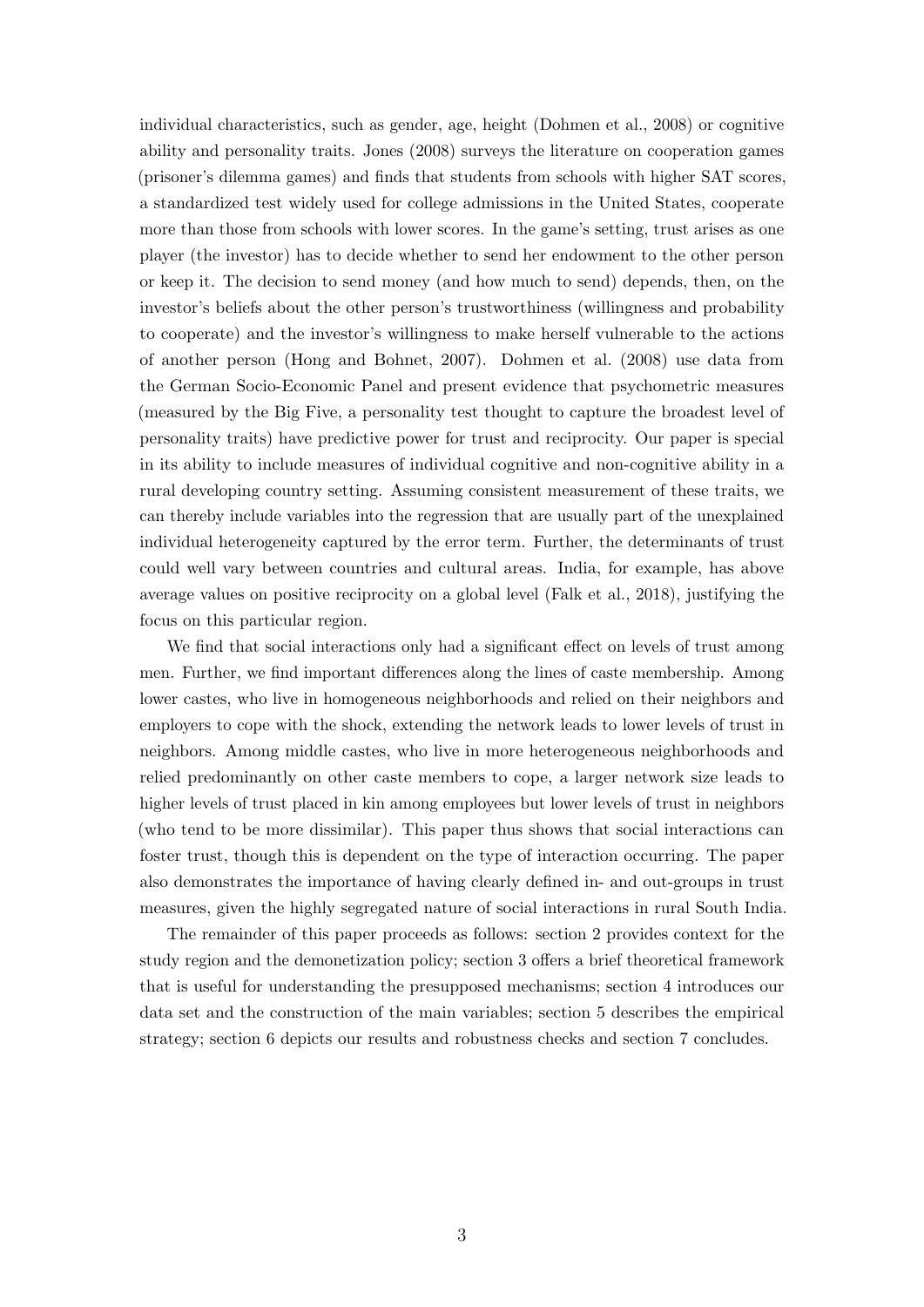individual characteristics, such as gender, age, height [\(Dohmen et al., 2008\)](#page-40-4) or cognitive ability and personality traits. [Jones](#page-42-3) [\(2008\)](#page-42-3) surveys the literature on cooperation games (prisoner's dilemma games) and finds that students from schools with higher SAT scores, a standardized test widely used for college admissions in the United States, cooperate more than those from schools with lower scores. In the game's setting, trust arises as one player (the investor) has to decide whether to send her endowment to the other person or keep it. The decision to send money (and how much to send) depends, then, on the investor's beliefs about the other person's trustworthiness (willingness and probability to cooperate) and the investor's willingness to make herself vulnerable to the actions of another person [\(Hong and Bohnet, 2007\)](#page-42-4). [Dohmen et al.](#page-40-4) [\(2008\)](#page-40-4) use data from the German Socio-Economic Panel and present evidence that psychometric measures (measured by the Big Five, a personality test thought to capture the broadest level of personality traits) have predictive power for trust and reciprocity. Our paper is special in its ability to include measures of individual cognitive and non-cognitive ability in a rural developing country setting. Assuming consistent measurement of these traits, we can thereby include variables into the regression that are usually part of the unexplained individual heterogeneity captured by the error term. Further, the determinants of trust could well vary between countries and cultural areas. India, for example, has above average values on positive reciprocity on a global level [\(Falk et al., 2018\)](#page-40-5), justifying the focus on this particular region.

We find that social interactions only had a significant effect on levels of trust among men. Further, we find important differences along the lines of caste membership. Among lower castes, who live in homogeneous neighborhoods and relied on their neighbors and employers to cope with the shock, extending the network leads to lower levels of trust in neighbors. Among middle castes, who live in more heterogeneous neighborhoods and relied predominantly on other caste members to cope, a larger network size leads to higher levels of trust placed in kin among employees but lower levels of trust in neighbors (who tend to be more dissimilar). This paper thus shows that social interactions can foster trust, though this is dependent on the type of interaction occurring. The paper also demonstrates the importance of having clearly defined in- and out-groups in trust measures, given the highly segregated nature of social interactions in rural South India.

The remainder of this paper proceeds as follows: section [2](#page-6-0) provides context for the study region and the demonetization policy; section [3](#page-8-0) offers a brief theoretical framework that is useful for understanding the presupposed mechanisms; section [4](#page-10-0) introduces our data set and the construction of the main variables; section [5](#page-16-0) describes the empirical strategy; section [6](#page-21-0) depicts our results and robustness checks and section [7](#page-38-0) concludes.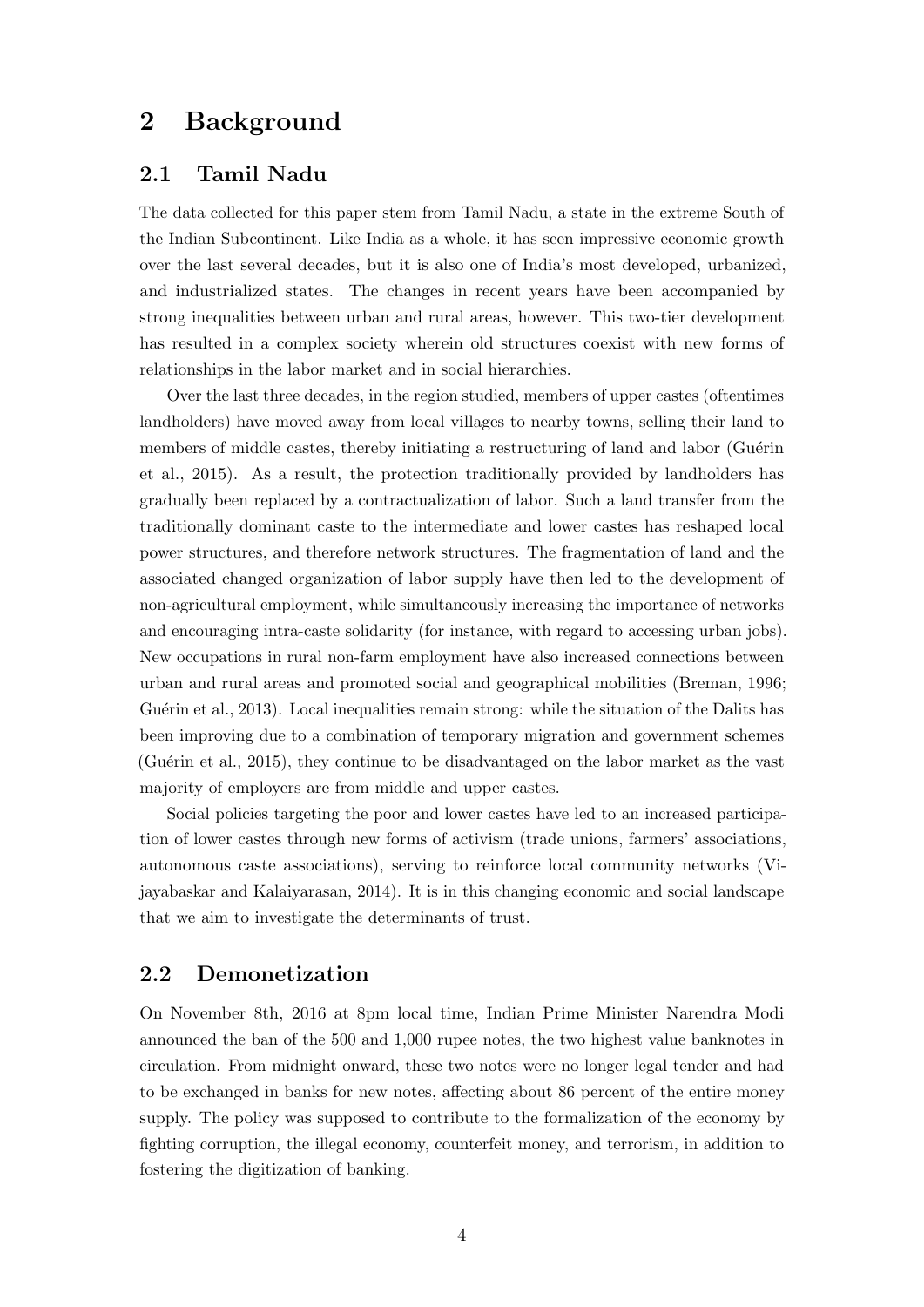# <span id="page-6-0"></span>2 Background

### 2.1 Tamil Nadu

The data collected for this paper stem from Tamil Nadu, a state in the extreme South of the Indian Subcontinent. Like India as a whole, it has seen impressive economic growth over the last several decades, but it is also one of India's most developed, urbanized, and industrialized states. The changes in recent years have been accompanied by strong inequalities between urban and rural areas, however. This two-tier development has resulted in a complex society wherein old structures coexist with new forms of relationships in the labor market and in social hierarchies.

Over the last three decades, in the region studied, members of upper castes (oftentimes landholders) have moved away from local villages to nearby towns, selling their land to members of middle castes, thereby initiating a restructuring of land and labor (Guérin [et al., 2015\)](#page-41-2). As a result, the protection traditionally provided by landholders has gradually been replaced by a contractualization of labor. Such a land transfer from the traditionally dominant caste to the intermediate and lower castes has reshaped local power structures, and therefore network structures. The fragmentation of land and the associated changed organization of labor supply have then led to the development of non-agricultural employment, while simultaneously increasing the importance of networks and encouraging intra-caste solidarity (for instance, with regard to accessing urban jobs). New occupations in rural non-farm employment have also increased connections between urban and rural areas and promoted social and geographical mobilities [\(Breman, 1996;](#page-40-6) Guérin et al., 2013). Local inequalities remain strong: while the situation of the Dalits has been improving due to a combination of temporary migration and government schemes (Guérin et al., 2015), they continue to be disadvantaged on the labor market as the vast majority of employers are from middle and upper castes.

Social policies targeting the poor and lower castes have led to an increased participation of lower castes through new forms of activism (trade unions, farmers' associations, autonomous caste associations), serving to reinforce local community networks [\(Vi](#page-43-4)[jayabaskar and Kalaiyarasan, 2014\)](#page-43-4). It is in this changing economic and social landscape that we aim to investigate the determinants of trust.

### 2.2 Demonetization

On November 8th, 2016 at 8pm local time, Indian Prime Minister Narendra Modi announced the ban of the 500 and 1,000 rupee notes, the two highest value banknotes in circulation. From midnight onward, these two notes were no longer legal tender and had to be exchanged in banks for new notes, affecting about 86 percent of the entire money supply. The policy was supposed to contribute to the formalization of the economy by fighting corruption, the illegal economy, counterfeit money, and terrorism, in addition to fostering the digitization of banking.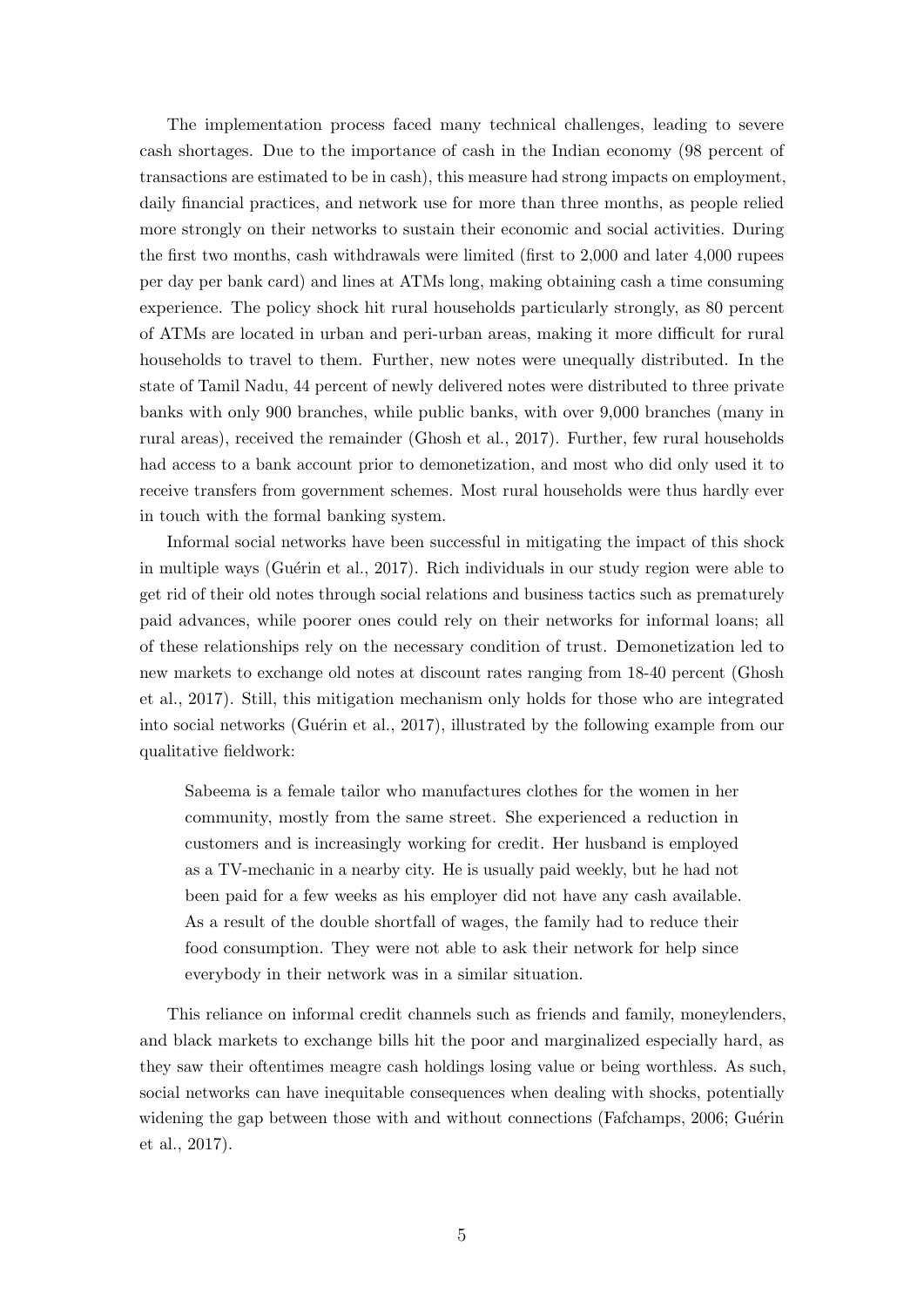The implementation process faced many technical challenges, leading to severe cash shortages. Due to the importance of cash in the Indian economy (98 percent of transactions are estimated to be in cash), this measure had strong impacts on employment, daily financial practices, and network use for more than three months, as people relied more strongly on their networks to sustain their economic and social activities. During the first two months, cash withdrawals were limited (first to 2,000 and later 4,000 rupees per day per bank card) and lines at ATMs long, making obtaining cash a time consuming experience. The policy shock hit rural households particularly strongly, as 80 percent of ATMs are located in urban and peri-urban areas, making it more difficult for rural households to travel to them. Further, new notes were unequally distributed. In the state of Tamil Nadu, 44 percent of newly delivered notes were distributed to three private banks with only 900 branches, while public banks, with over 9,000 branches (many in rural areas), received the remainder [\(Ghosh et al., 2017\)](#page-41-4). Further, few rural households had access to a bank account prior to demonetization, and most who did only used it to receive transfers from government schemes. Most rural households were thus hardly ever in touch with the formal banking system.

Informal social networks have been successful in mitigating the impact of this shock in multiple ways (Guérin et al., 2017). Rich individuals in our study region were able to get rid of their old notes through social relations and business tactics such as prematurely paid advances, while poorer ones could rely on their networks for informal loans; all of these relationships rely on the necessary condition of trust. Demonetization led to new markets to exchange old notes at discount rates ranging from 18-40 percent [\(Ghosh](#page-41-4) [et al., 2017\)](#page-41-4). Still, this mitigation mechanism only holds for those who are integrated into social networks (Guérin et al., 2017), illustrated by the following example from our qualitative fieldwork:

Sabeema is a female tailor who manufactures clothes for the women in her community, mostly from the same street. She experienced a reduction in customers and is increasingly working for credit. Her husband is employed as a TV-mechanic in a nearby city. He is usually paid weekly, but he had not been paid for a few weeks as his employer did not have any cash available. As a result of the double shortfall of wages, the family had to reduce their food consumption. They were not able to ask their network for help since everybody in their network was in a similar situation.

This reliance on informal credit channels such as friends and family, moneylenders, and black markets to exchange bills hit the poor and marginalized especially hard, as they saw their oftentimes meagre cash holdings losing value or being worthless. As such, social networks can have inequitable consequences when dealing with shocks, potentially widening the gap between those with and without connections [\(Fafchamps, 2006;](#page-40-1) Guérin [et al., 2017\)](#page-41-5).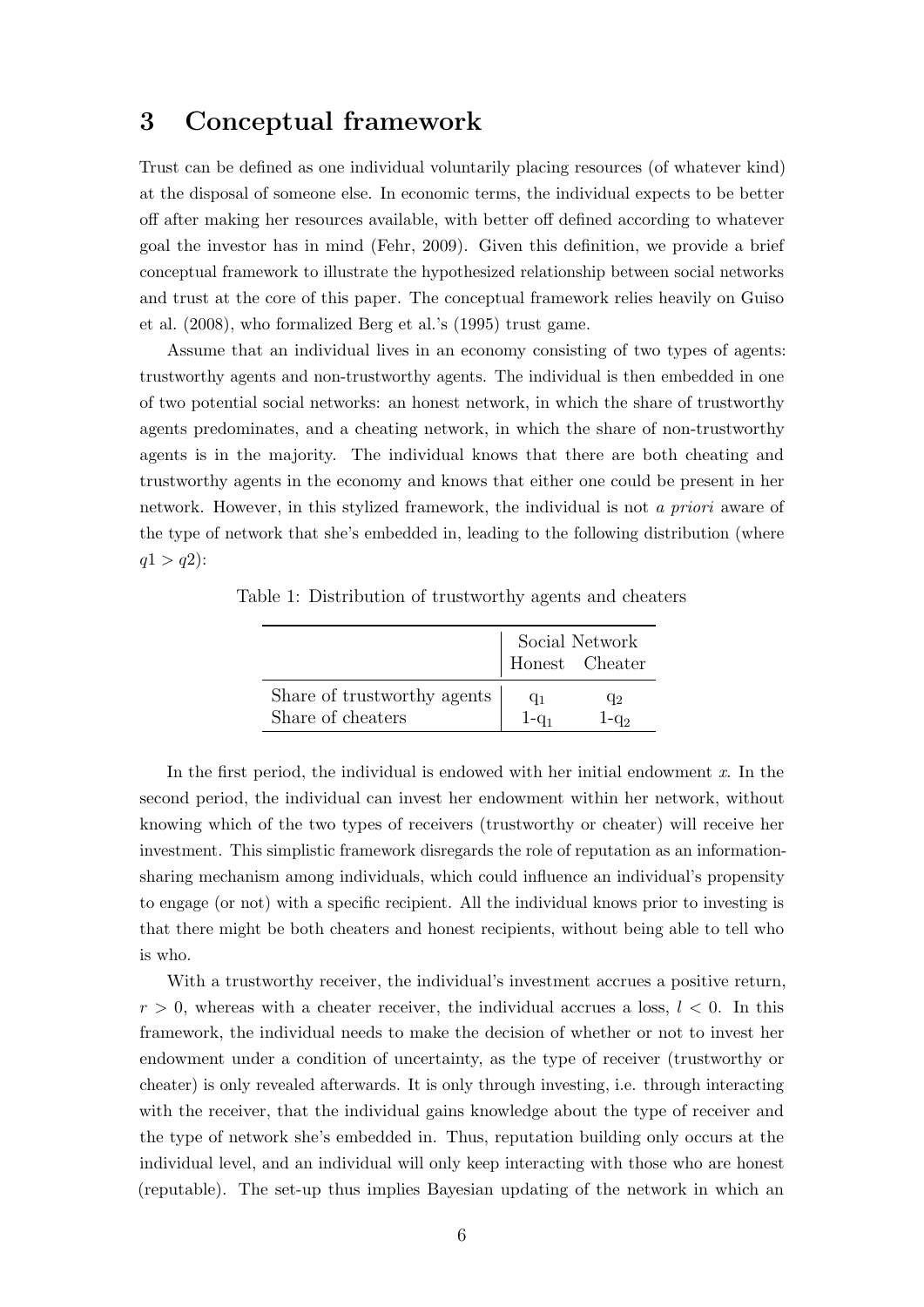## <span id="page-8-0"></span>3 Conceptual framework

Trust can be defined as one individual voluntarily placing resources (of whatever kind) at the disposal of someone else. In economic terms, the individual expects to be better off after making her resources available, with better off defined according to whatever goal the investor has in mind [\(Fehr, 2009\)](#page-40-2). Given this definition, we provide a brief conceptual framework to illustrate the hypothesized relationship between social networks and trust at the core of this paper. The conceptual framework relies heavily on [Guiso](#page-41-6) [et al.](#page-41-6) [\(2008\)](#page-41-6), who formalized [Berg et al.'s](#page-40-7) [\(1995\)](#page-40-7) trust game.

Assume that an individual lives in an economy consisting of two types of agents: trustworthy agents and non-trustworthy agents. The individual is then embedded in one of two potential social networks: an honest network, in which the share of trustworthy agents predominates, and a cheating network, in which the share of non-trustworthy agents is in the majority. The individual knows that there are both cheating and trustworthy agents in the economy and knows that either one could be present in her network. However, in this stylized framework, the individual is not a priori aware of the type of network that she's embedded in, leading to the following distribution (where  $q1 > q2$ :

|                             |         | Social Network<br>Honest Cheater |
|-----------------------------|---------|----------------------------------|
| Share of trustworthy agents | $q_1$   | $q_{2}$                          |
| Share of cheaters           | $1-a_1$ | $-Q2$                            |

Table 1: Distribution of trustworthy agents and cheaters

In the first period, the individual is endowed with her initial endowment  $x$ . In the second period, the individual can invest her endowment within her network, without knowing which of the two types of receivers (trustworthy or cheater) will receive her investment. This simplistic framework disregards the role of reputation as an informationsharing mechanism among individuals, which could influence an individual's propensity to engage (or not) with a specific recipient. All the individual knows prior to investing is that there might be both cheaters and honest recipients, without being able to tell who is who.

With a trustworthy receiver, the individual's investment accrues a positive return,  $r > 0$ , whereas with a cheater receiver, the individual accrues a loss,  $l < 0$ . In this framework, the individual needs to make the decision of whether or not to invest her endowment under a condition of uncertainty, as the type of receiver (trustworthy or cheater) is only revealed afterwards. It is only through investing, i.e. through interacting with the receiver, that the individual gains knowledge about the type of receiver and the type of network she's embedded in. Thus, reputation building only occurs at the individual level, and an individual will only keep interacting with those who are honest (reputable). The set-up thus implies Bayesian updating of the network in which an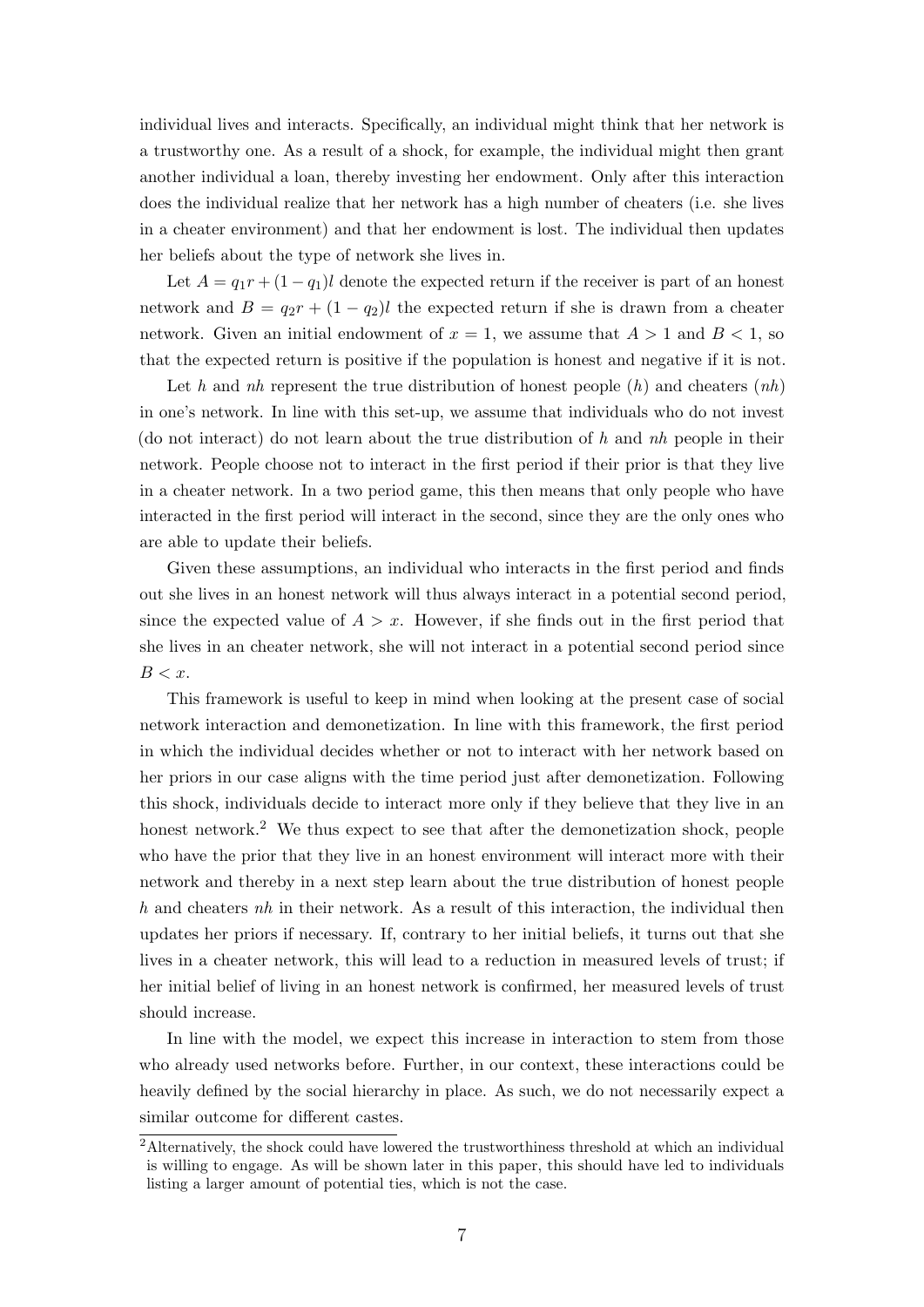individual lives and interacts. Specifically, an individual might think that her network is a trustworthy one. As a result of a shock, for example, the individual might then grant another individual a loan, thereby investing her endowment. Only after this interaction does the individual realize that her network has a high number of cheaters (i.e. she lives in a cheater environment) and that her endowment is lost. The individual then updates her beliefs about the type of network she lives in.

Let  $A = q_1r + (1 - q_1)l$  denote the expected return if the receiver is part of an honest network and  $B = q_2r + (1 - q_2)l$  the expected return if she is drawn from a cheater network. Given an initial endowment of  $x = 1$ , we assume that  $A > 1$  and  $B < 1$ , so that the expected return is positive if the population is honest and negative if it is not.

Let h and nh represent the true distribution of honest people  $(h)$  and cheaters  $(nh)$ in one's network. In line with this set-up, we assume that individuals who do not invest (do not interact) do not learn about the true distribution of h and nh people in their network. People choose not to interact in the first period if their prior is that they live in a cheater network. In a two period game, this then means that only people who have interacted in the first period will interact in the second, since they are the only ones who are able to update their beliefs.

Given these assumptions, an individual who interacts in the first period and finds out she lives in an honest network will thus always interact in a potential second period, since the expected value of  $A > x$ . However, if she finds out in the first period that she lives in an cheater network, she will not interact in a potential second period since  $B < x$ .

This framework is useful to keep in mind when looking at the present case of social network interaction and demonetization. In line with this framework, the first period in which the individual decides whether or not to interact with her network based on her priors in our case aligns with the time period just after demonetization. Following this shock, individuals decide to interact more only if they believe that they live in an honest network.<sup>[2](#page-9-0)</sup> We thus expect to see that after the demonetization shock, people who have the prior that they live in an honest environment will interact more with their network and thereby in a next step learn about the true distribution of honest people  $h$  and cheaters  $nh$  in their network. As a result of this interaction, the individual then updates her priors if necessary. If, contrary to her initial beliefs, it turns out that she lives in a cheater network, this will lead to a reduction in measured levels of trust; if her initial belief of living in an honest network is confirmed, her measured levels of trust should increase.

In line with the model, we expect this increase in interaction to stem from those who already used networks before. Further, in our context, these interactions could be heavily defined by the social hierarchy in place. As such, we do not necessarily expect a similar outcome for different castes.

<span id="page-9-0"></span><sup>&</sup>lt;sup>2</sup>Alternatively, the shock could have lowered the trustworthiness threshold at which an individual is willing to engage. As will be shown later in this paper, this should have led to individuals listing a larger amount of potential ties, which is not the case.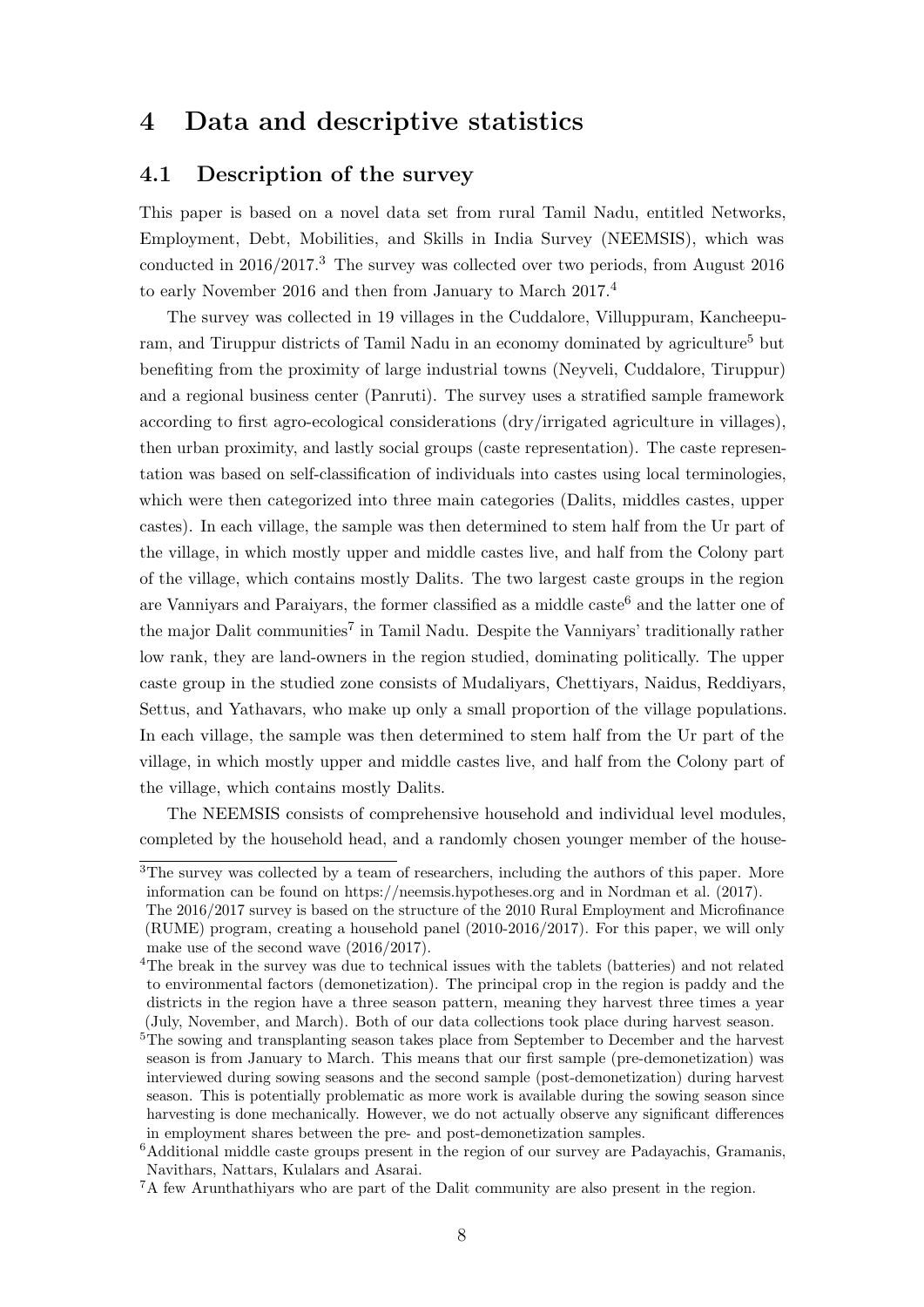## <span id="page-10-0"></span>4 Data and descriptive statistics

### 4.1 Description of the survey

This paper is based on a novel data set from rural Tamil Nadu, entitled Networks, Employment, Debt, Mobilities, and Skills in India Survey (NEEMSIS), which was conducted in 2016/2017.[3](#page-10-1) The survey was collected over two periods, from August 2016 to early November 2016 and then from January to March 2017.[4](#page-10-2)

The survey was collected in 19 villages in the Cuddalore, Villuppuram, Kancheepu-ram, and Tiruppur districts of Tamil Nadu in an economy dominated by agriculture<sup>[5](#page-10-3)</sup> but benefiting from the proximity of large industrial towns (Neyveli, Cuddalore, Tiruppur) and a regional business center (Panruti). The survey uses a stratified sample framework according to first agro-ecological considerations (dry/irrigated agriculture in villages), then urban proximity, and lastly social groups (caste representation). The caste representation was based on self-classification of individuals into castes using local terminologies, which were then categorized into three main categories (Dalits, middles castes, upper castes). In each village, the sample was then determined to stem half from the Ur part of the village, in which mostly upper and middle castes live, and half from the Colony part of the village, which contains mostly Dalits. The two largest caste groups in the region are Vannivars and Paraiyars, the former classified as a middle caste<sup>[6](#page-10-4)</sup> and the latter one of the major Dalit communities<sup>[7](#page-10-5)</sup> in Tamil Nadu. Despite the Vanniyars' traditionally rather low rank, they are land-owners in the region studied, dominating politically. The upper caste group in the studied zone consists of Mudaliyars, Chettiyars, Naidus, Reddiyars, Settus, and Yathavars, who make up only a small proportion of the village populations. In each village, the sample was then determined to stem half from the Ur part of the village, in which mostly upper and middle castes live, and half from the Colony part of the village, which contains mostly Dalits.

The NEEMSIS consists of comprehensive household and individual level modules, completed by the household head, and a randomly chosen younger member of the house-

<span id="page-10-1"></span><sup>&</sup>lt;sup>3</sup>The survey was collected by a team of researchers, including the authors of this paper. More information can be found on https://neemsis.hypotheses.org and in [Nordman et al.](#page-43-5) [\(2017\)](#page-43-5).

The 2016/2017 survey is based on the structure of the 2010 Rural Employment and Microfinance (RUME) program, creating a household panel (2010-2016/2017). For this paper, we will only make use of the second wave (2016/2017).

<span id="page-10-2"></span><sup>&</sup>lt;sup>4</sup>The break in the survey was due to technical issues with the tablets (batteries) and not related to environmental factors (demonetization). The principal crop in the region is paddy and the districts in the region have a three season pattern, meaning they harvest three times a year (July, November, and March). Both of our data collections took place during harvest season.

<span id="page-10-3"></span><sup>5</sup>The sowing and transplanting season takes place from September to December and the harvest season is from January to March. This means that our first sample (pre-demonetization) was interviewed during sowing seasons and the second sample (post-demonetization) during harvest season. This is potentially problematic as more work is available during the sowing season since harvesting is done mechanically. However, we do not actually observe any significant differences in employment shares between the pre- and post-demonetization samples.

<span id="page-10-4"></span><sup>6</sup>Additional middle caste groups present in the region of our survey are Padayachis, Gramanis, Navithars, Nattars, Kulalars and Asarai.

<span id="page-10-5"></span><sup>7</sup>A few Arunthathiyars who are part of the Dalit community are also present in the region.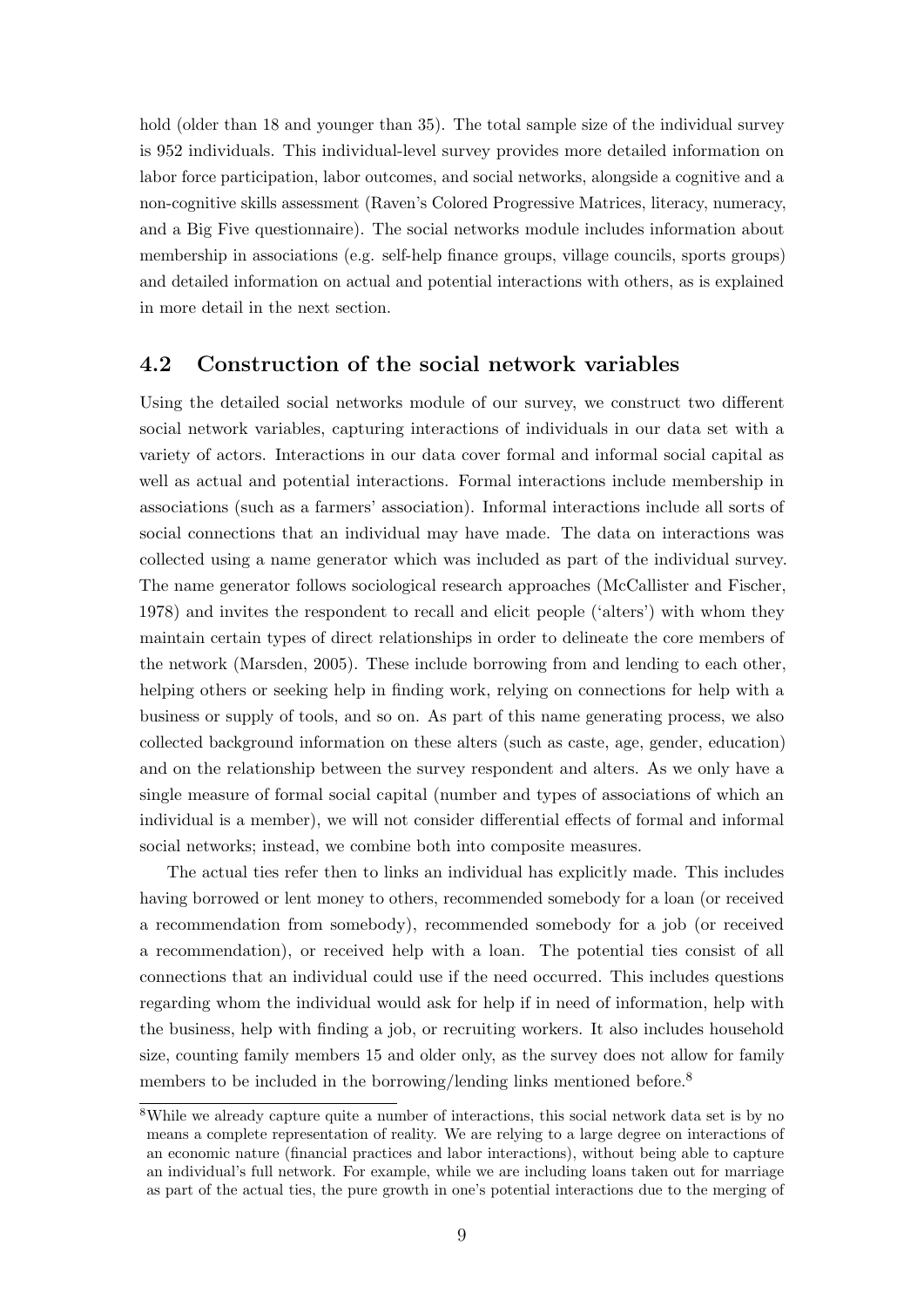hold (older than 18 and younger than 35). The total sample size of the individual survey is 952 individuals. This individual-level survey provides more detailed information on labor force participation, labor outcomes, and social networks, alongside a cognitive and a non-cognitive skills assessment (Raven's Colored Progressive Matrices, literacy, numeracy, and a Big Five questionnaire). The social networks module includes information about membership in associations (e.g. self-help finance groups, village councils, sports groups) and detailed information on actual and potential interactions with others, as is explained in more detail in the next section.

### 4.2 Construction of the social network variables

Using the detailed social networks module of our survey, we construct two different social network variables, capturing interactions of individuals in our data set with a variety of actors. Interactions in our data cover formal and informal social capital as well as actual and potential interactions. Formal interactions include membership in associations (such as a farmers' association). Informal interactions include all sorts of social connections that an individual may have made. The data on interactions was collected using a name generator which was included as part of the individual survey. The name generator follows sociological research approaches [\(McCallister and Fischer,](#page-42-5) [1978\)](#page-42-5) and invites the respondent to recall and elicit people ('alters') with whom they maintain certain types of direct relationships in order to delineate the core members of the network [\(Marsden, 2005\)](#page-42-6). These include borrowing from and lending to each other, helping others or seeking help in finding work, relying on connections for help with a business or supply of tools, and so on. As part of this name generating process, we also collected background information on these alters (such as caste, age, gender, education) and on the relationship between the survey respondent and alters. As we only have a single measure of formal social capital (number and types of associations of which an individual is a member), we will not consider differential effects of formal and informal social networks; instead, we combine both into composite measures.

The actual ties refer then to links an individual has explicitly made. This includes having borrowed or lent money to others, recommended somebody for a loan (or received a recommendation from somebody), recommended somebody for a job (or received a recommendation), or received help with a loan. The potential ties consist of all connections that an individual could use if the need occurred. This includes questions regarding whom the individual would ask for help if in need of information, help with the business, help with finding a job, or recruiting workers. It also includes household size, counting family members 15 and older only, as the survey does not allow for family members to be included in the borrowing/lending links mentioned before.<sup>[8](#page-11-0)</sup>

<span id="page-11-0"></span><sup>8</sup>While we already capture quite a number of interactions, this social network data set is by no means a complete representation of reality. We are relying to a large degree on interactions of an economic nature (financial practices and labor interactions), without being able to capture an individual's full network. For example, while we are including loans taken out for marriage as part of the actual ties, the pure growth in one's potential interactions due to the merging of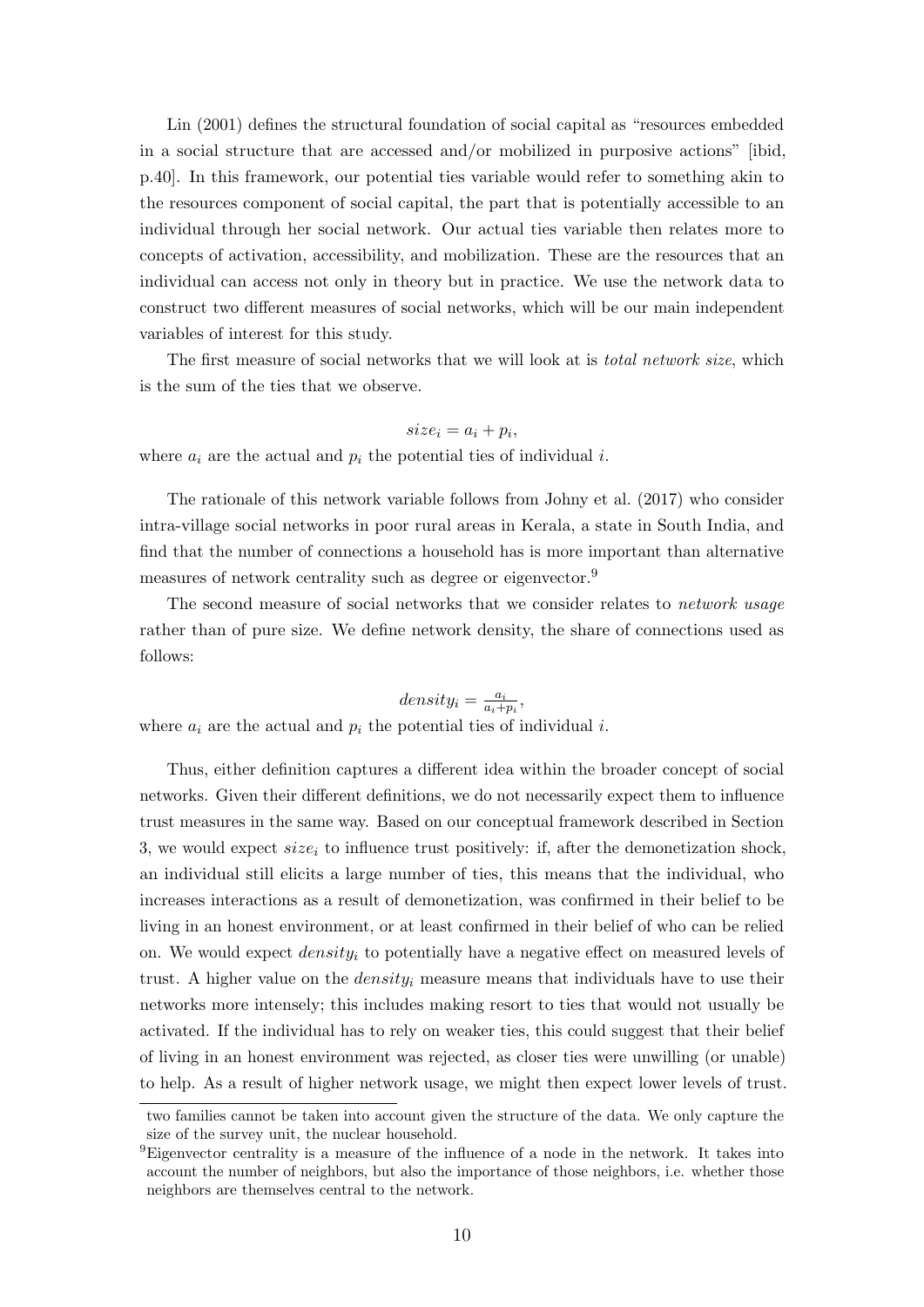[Lin](#page-42-7) [\(2001\)](#page-42-7) defines the structural foundation of social capital as "resources embedded in a social structure that are accessed and/or mobilized in purposive actions" [ibid, p.40]. In this framework, our potential ties variable would refer to something akin to the resources component of social capital, the part that is potentially accessible to an individual through her social network. Our actual ties variable then relates more to concepts of activation, accessibility, and mobilization. These are the resources that an individual can access not only in theory but in practice. We use the network data to construct two different measures of social networks, which will be our main independent variables of interest for this study.

The first measure of social networks that we will look at is *total network size*, which is the sum of the ties that we observe.

#### $size_i = a_i + p_i,$

where  $a_i$  are the actual and  $p_i$  the potential ties of individual i.

The rationale of this network variable follows from [Johny et al.](#page-42-8) [\(2017\)](#page-42-8) who consider intra-village social networks in poor rural areas in Kerala, a state in South India, and find that the number of connections a household has is more important than alternative measures of network centrality such as degree or eigenvector.<sup>[9](#page-12-0)</sup>

The second measure of social networks that we consider relates to network usage rather than of pure size. We define network density, the share of connections used as follows:

$$
density_i = \frac{a_i}{a_i + p_i},
$$

where  $a_i$  are the actual and  $p_i$  the potential ties of individual i.

Thus, either definition captures a different idea within the broader concept of social networks. Given their different definitions, we do not necessarily expect them to influence trust measures in the same way. Based on our conceptual framework described in Section [3,](#page-8-0) we would expect  $size_i$  to influence trust positively: if, after the demonetization shock, an individual still elicits a large number of ties, this means that the individual, who increases interactions as a result of demonetization, was confirmed in their belief to be living in an honest environment, or at least confirmed in their belief of who can be relied on. We would expect  $density_i$  to potentially have a negative effect on measured levels of trust. A higher value on the *density<sub>i</sub>* measure means that individuals have to use their networks more intensely; this includes making resort to ties that would not usually be activated. If the individual has to rely on weaker ties, this could suggest that their belief of living in an honest environment was rejected, as closer ties were unwilling (or unable) to help. As a result of higher network usage, we might then expect lower levels of trust.

two families cannot be taken into account given the structure of the data. We only capture the size of the survey unit, the nuclear household.

<span id="page-12-0"></span><sup>9</sup>Eigenvector centrality is a measure of the influence of a node in the network. It takes into account the number of neighbors, but also the importance of those neighbors, i.e. whether those neighbors are themselves central to the network.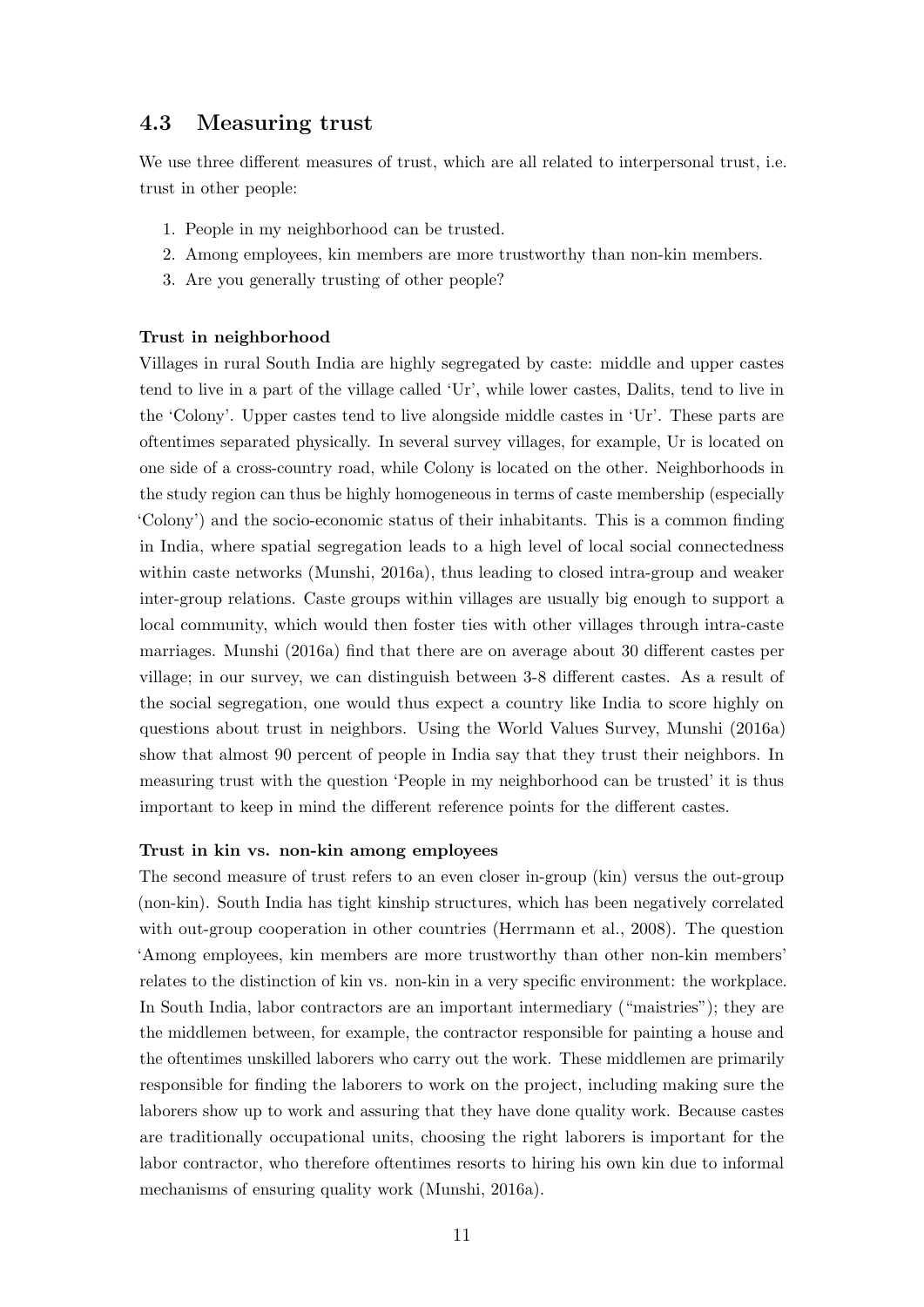### 4.3 Measuring trust

We use three different measures of trust, which are all related to interpersonal trust, i.e. trust in other people:

- 1. People in my neighborhood can be trusted.
- 2. Among employees, kin members are more trustworthy than non-kin members.
- 3. Are you generally trusting of other people?

#### Trust in neighborhood

Villages in rural South India are highly segregated by caste: middle and upper castes tend to live in a part of the village called 'Ur', while lower castes, Dalits, tend to live in the 'Colony'. Upper castes tend to live alongside middle castes in 'Ur'. These parts are oftentimes separated physically. In several survey villages, for example, Ur is located on one side of a cross-country road, while Colony is located on the other. Neighborhoods in the study region can thus be highly homogeneous in terms of caste membership (especially 'Colony') and the socio-economic status of their inhabitants. This is a common finding in India, where spatial segregation leads to a high level of local social connectedness within caste networks [\(Munshi, 2016a\)](#page-42-9), thus leading to closed intra-group and weaker inter-group relations. Caste groups within villages are usually big enough to support a local community, which would then foster ties with other villages through intra-caste marriages. [Munshi](#page-42-9) [\(2016a\)](#page-42-9) find that there are on average about 30 different castes per village; in our survey, we can distinguish between 3-8 different castes. As a result of the social segregation, one would thus expect a country like India to score highly on questions about trust in neighbors. Using the World Values Survey, [Munshi](#page-42-9) [\(2016a\)](#page-42-9) show that almost 90 percent of people in India say that they trust their neighbors. In measuring trust with the question 'People in my neighborhood can be trusted' it is thus important to keep in mind the different reference points for the different castes.

#### Trust in kin vs. non-kin among employees

The second measure of trust refers to an even closer in-group (kin) versus the out-group (non-kin). South India has tight kinship structures, which has been negatively correlated with out-group cooperation in other countries [\(Herrmann et al., 2008\)](#page-41-7). The question 'Among employees, kin members are more trustworthy than other non-kin members' relates to the distinction of kin vs. non-kin in a very specific environment: the workplace. In South India, labor contractors are an important intermediary ("maistries"); they are the middlemen between, for example, the contractor responsible for painting a house and the oftentimes unskilled laborers who carry out the work. These middlemen are primarily responsible for finding the laborers to work on the project, including making sure the laborers show up to work and assuring that they have done quality work. Because castes are traditionally occupational units, choosing the right laborers is important for the labor contractor, who therefore oftentimes resorts to hiring his own kin due to informal mechanisms of ensuring quality work [\(Munshi, 2016a\)](#page-42-9).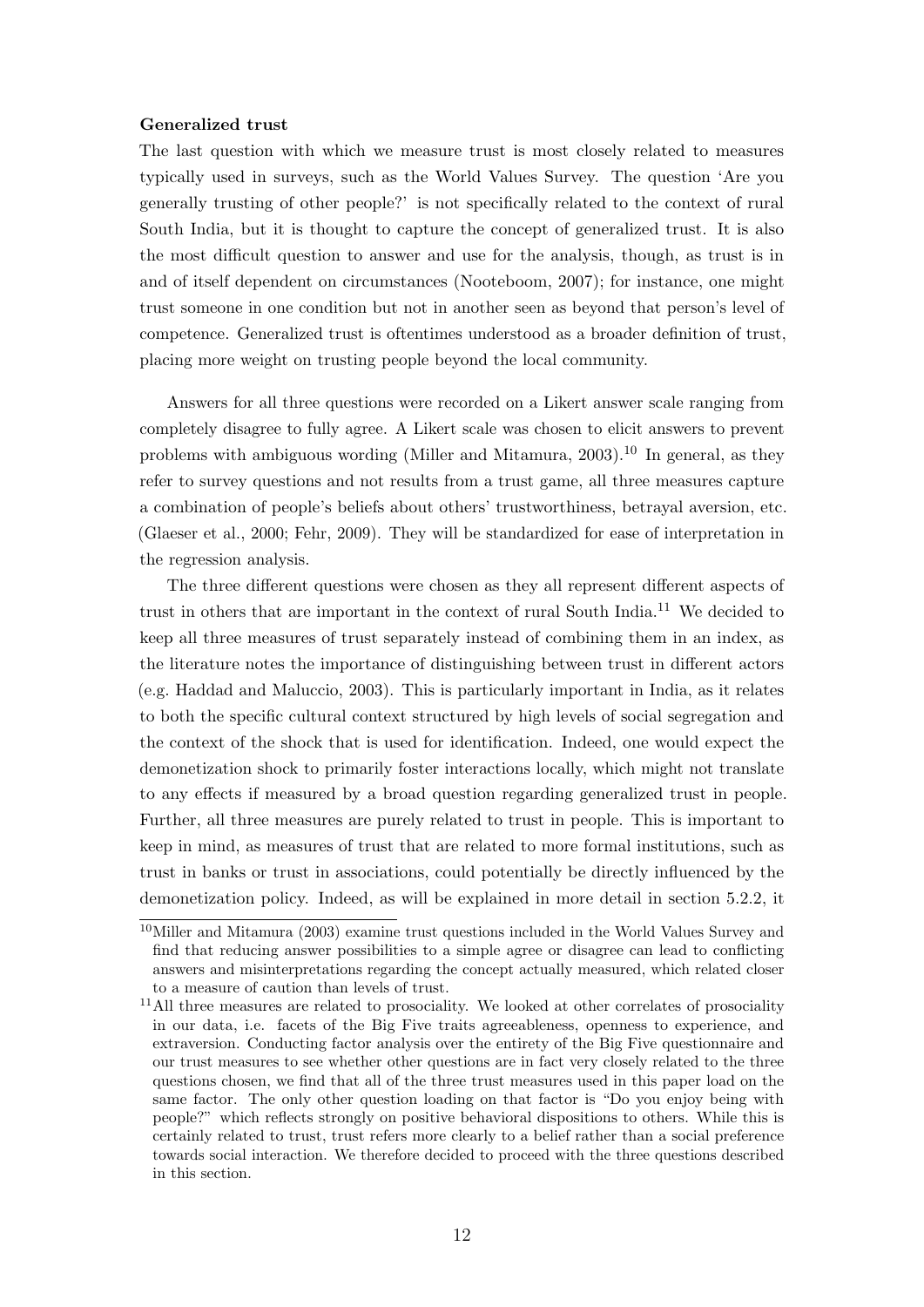#### Generalized trust

The last question with which we measure trust is most closely related to measures typically used in surveys, such as the World Values Survey. The question 'Are you generally trusting of other people?' is not specifically related to the context of rural South India, but it is thought to capture the concept of generalized trust. It is also the most difficult question to answer and use for the analysis, though, as trust is in and of itself dependent on circumstances [\(Nooteboom, 2007\)](#page-43-2); for instance, one might trust someone in one condition but not in another seen as beyond that person's level of competence. Generalized trust is oftentimes understood as a broader definition of trust, placing more weight on trusting people beyond the local community.

Answers for all three questions were recorded on a Likert answer scale ranging from completely disagree to fully agree. A Likert scale was chosen to elicit answers to prevent problems with ambiguous wording [\(Miller and Mitamura, 2003\)](#page-42-10).<sup>[10](#page-14-0)</sup> In general, as they refer to survey questions and not results from a trust game, all three measures capture a combination of people's beliefs about others' trustworthiness, betrayal aversion, etc. [\(Glaeser et al., 2000;](#page-41-8) [Fehr, 2009\)](#page-40-2). They will be standardized for ease of interpretation in the regression analysis.

The three different questions were chosen as they all represent different aspects of trust in others that are important in the context of rural South India.[11](#page-14-1) We decided to keep all three measures of trust separately instead of combining them in an index, as the literature notes the importance of distinguishing between trust in different actors (e.g. [Haddad and Maluccio, 2003\)](#page-41-9). This is particularly important in India, as it relates to both the specific cultural context structured by high levels of social segregation and the context of the shock that is used for identification. Indeed, one would expect the demonetization shock to primarily foster interactions locally, which might not translate to any effects if measured by a broad question regarding generalized trust in people. Further, all three measures are purely related to trust in people. This is important to keep in mind, as measures of trust that are related to more formal institutions, such as trust in banks or trust in associations, could potentially be directly influenced by the demonetization policy. Indeed, as will be explained in more detail in section [5.2.2,](#page-18-0) it

<span id="page-14-0"></span><sup>10</sup>[Miller and Mitamura](#page-42-10) [\(2003\)](#page-42-10) examine trust questions included in the World Values Survey and find that reducing answer possibilities to a simple agree or disagree can lead to conflicting answers and misinterpretations regarding the concept actually measured, which related closer to a measure of caution than levels of trust.

<span id="page-14-1"></span><sup>&</sup>lt;sup>11</sup>All three measures are related to prosociality. We looked at other correlates of prosociality in our data, i.e. facets of the Big Five traits agreeableness, openness to experience, and extraversion. Conducting factor analysis over the entirety of the Big Five questionnaire and our trust measures to see whether other questions are in fact very closely related to the three questions chosen, we find that all of the three trust measures used in this paper load on the same factor. The only other question loading on that factor is "Do you enjoy being with people?" which reflects strongly on positive behavioral dispositions to others. While this is certainly related to trust, trust refers more clearly to a belief rather than a social preference towards social interaction. We therefore decided to proceed with the three questions described in this section.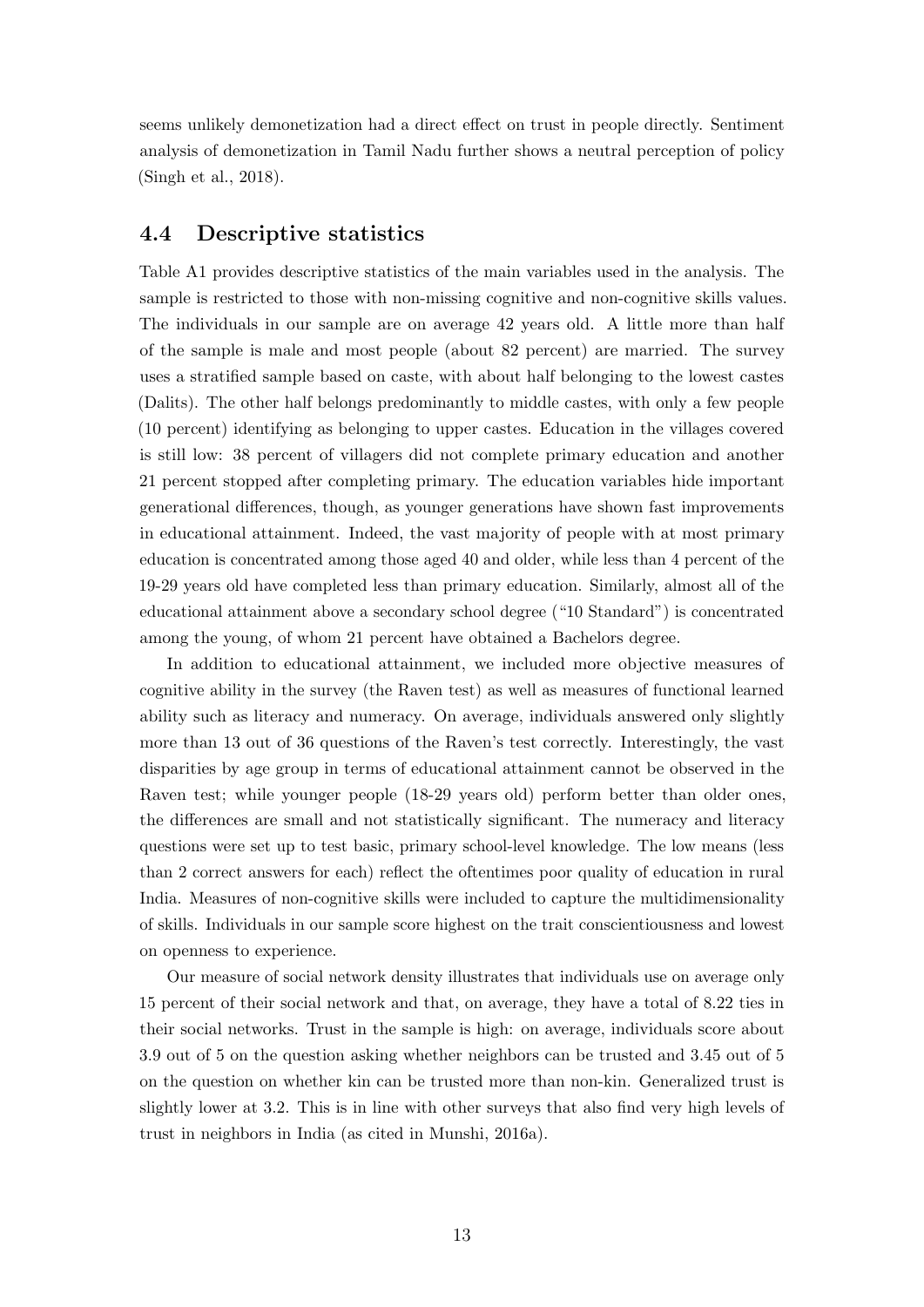seems unlikely demonetization had a direct effect on trust in people directly. Sentiment analysis of demonetization in Tamil Nadu further shows a neutral perception of policy [\(Singh et al., 2018\)](#page-43-6).

### 4.4 Descriptive statistics

Table [A1](#page-44-0) provides descriptive statistics of the main variables used in the analysis. The sample is restricted to those with non-missing cognitive and non-cognitive skills values. The individuals in our sample are on average 42 years old. A little more than half of the sample is male and most people (about 82 percent) are married. The survey uses a stratified sample based on caste, with about half belonging to the lowest castes (Dalits). The other half belongs predominantly to middle castes, with only a few people (10 percent) identifying as belonging to upper castes. Education in the villages covered is still low: 38 percent of villagers did not complete primary education and another 21 percent stopped after completing primary. The education variables hide important generational differences, though, as younger generations have shown fast improvements in educational attainment. Indeed, the vast majority of people with at most primary education is concentrated among those aged 40 and older, while less than 4 percent of the 19-29 years old have completed less than primary education. Similarly, almost all of the educational attainment above a secondary school degree ("10 Standard") is concentrated among the young, of whom 21 percent have obtained a Bachelors degree.

In addition to educational attainment, we included more objective measures of cognitive ability in the survey (the Raven test) as well as measures of functional learned ability such as literacy and numeracy. On average, individuals answered only slightly more than 13 out of 36 questions of the Raven's test correctly. Interestingly, the vast disparities by age group in terms of educational attainment cannot be observed in the Raven test; while younger people (18-29 years old) perform better than older ones, the differences are small and not statistically significant. The numeracy and literacy questions were set up to test basic, primary school-level knowledge. The low means (less than 2 correct answers for each) reflect the oftentimes poor quality of education in rural India. Measures of non-cognitive skills were included to capture the multidimensionality of skills. Individuals in our sample score highest on the trait conscientiousness and lowest on openness to experience.

Our measure of social network density illustrates that individuals use on average only 15 percent of their social network and that, on average, they have a total of 8.22 ties in their social networks. Trust in the sample is high: on average, individuals score about 3.9 out of 5 on the question asking whether neighbors can be trusted and 3.45 out of 5 on the question on whether kin can be trusted more than non-kin. Generalized trust is slightly lower at 3.2. This is in line with other surveys that also find very high levels of trust in neighbors in India (as cited in [Munshi, 2016a\)](#page-42-9).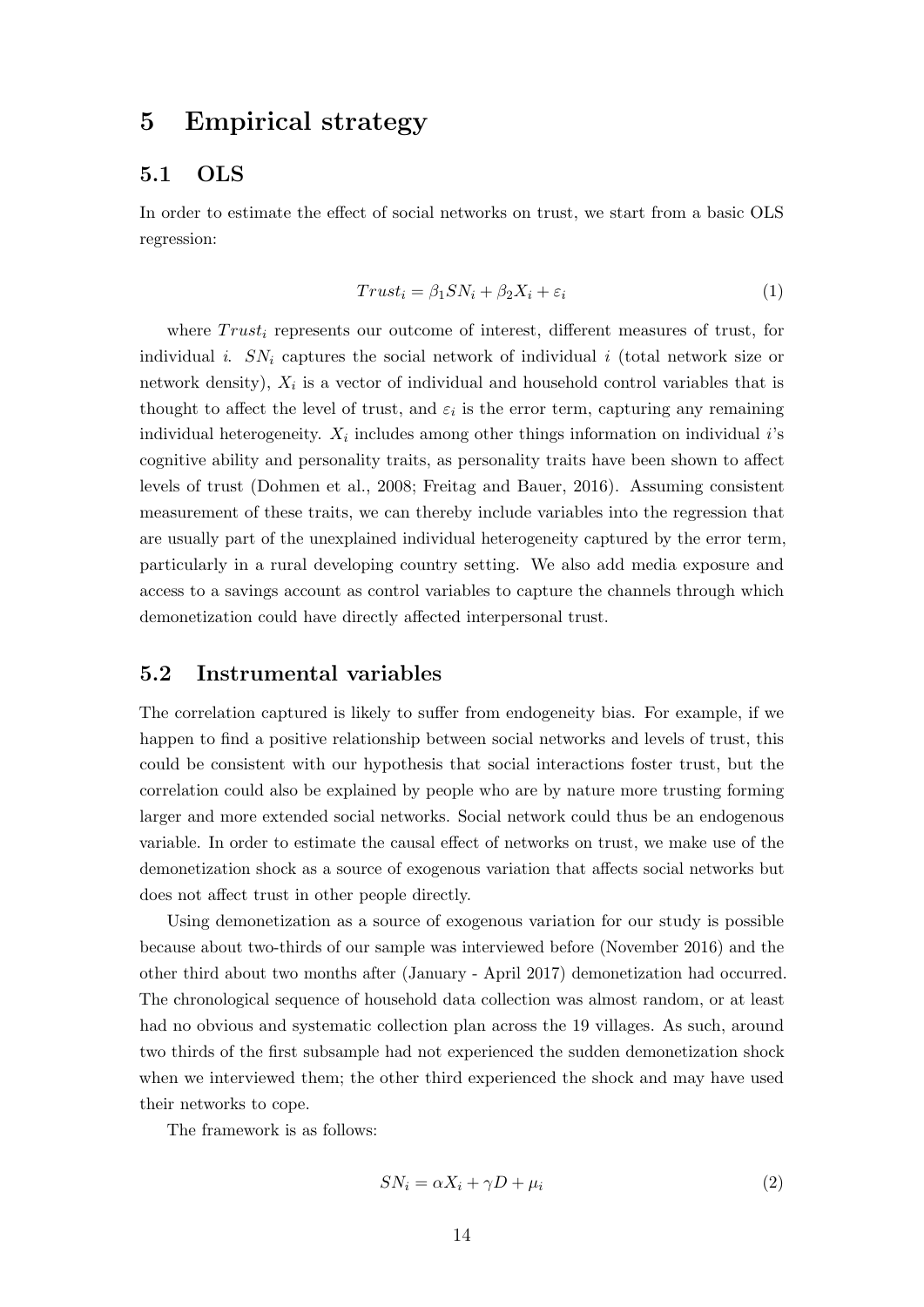## <span id="page-16-0"></span>5 Empirical strategy

### 5.1 OLS

In order to estimate the effect of social networks on trust, we start from a basic OLS regression:

$$
Trust_i = \beta_1 SN_i + \beta_2 X_i + \varepsilon_i \tag{1}
$$

where  $Trust_i$  represents our outcome of interest, different measures of trust, for individual *i.*  $SN_i$  captures the social network of individual *i* (total network size or network density),  $X_i$  is a vector of individual and household control variables that is thought to affect the level of trust, and  $\varepsilon_i$  is the error term, capturing any remaining individual heterogeneity.  $X_i$  includes among other things information on individual i's cognitive ability and personality traits, as personality traits have been shown to affect levels of trust [\(Dohmen et al., 2008;](#page-40-4) [Freitag and Bauer, 2016\)](#page-41-10). Assuming consistent measurement of these traits, we can thereby include variables into the regression that are usually part of the unexplained individual heterogeneity captured by the error term, particularly in a rural developing country setting. We also add media exposure and access to a savings account as control variables to capture the channels through which demonetization could have directly affected interpersonal trust.

### 5.2 Instrumental variables

The correlation captured is likely to suffer from endogeneity bias. For example, if we happen to find a positive relationship between social networks and levels of trust, this could be consistent with our hypothesis that social interactions foster trust, but the correlation could also be explained by people who are by nature more trusting forming larger and more extended social networks. Social network could thus be an endogenous variable. In order to estimate the causal effect of networks on trust, we make use of the demonetization shock as a source of exogenous variation that affects social networks but does not affect trust in other people directly.

Using demonetization as a source of exogenous variation for our study is possible because about two-thirds of our sample was interviewed before (November 2016) and the other third about two months after (January - April 2017) demonetization had occurred. The chronological sequence of household data collection was almost random, or at least had no obvious and systematic collection plan across the 19 villages. As such, around two thirds of the first subsample had not experienced the sudden demonetization shock when we interviewed them; the other third experienced the shock and may have used their networks to cope.

The framework is as follows:

$$
SN_i = \alpha X_i + \gamma D + \mu_i \tag{2}
$$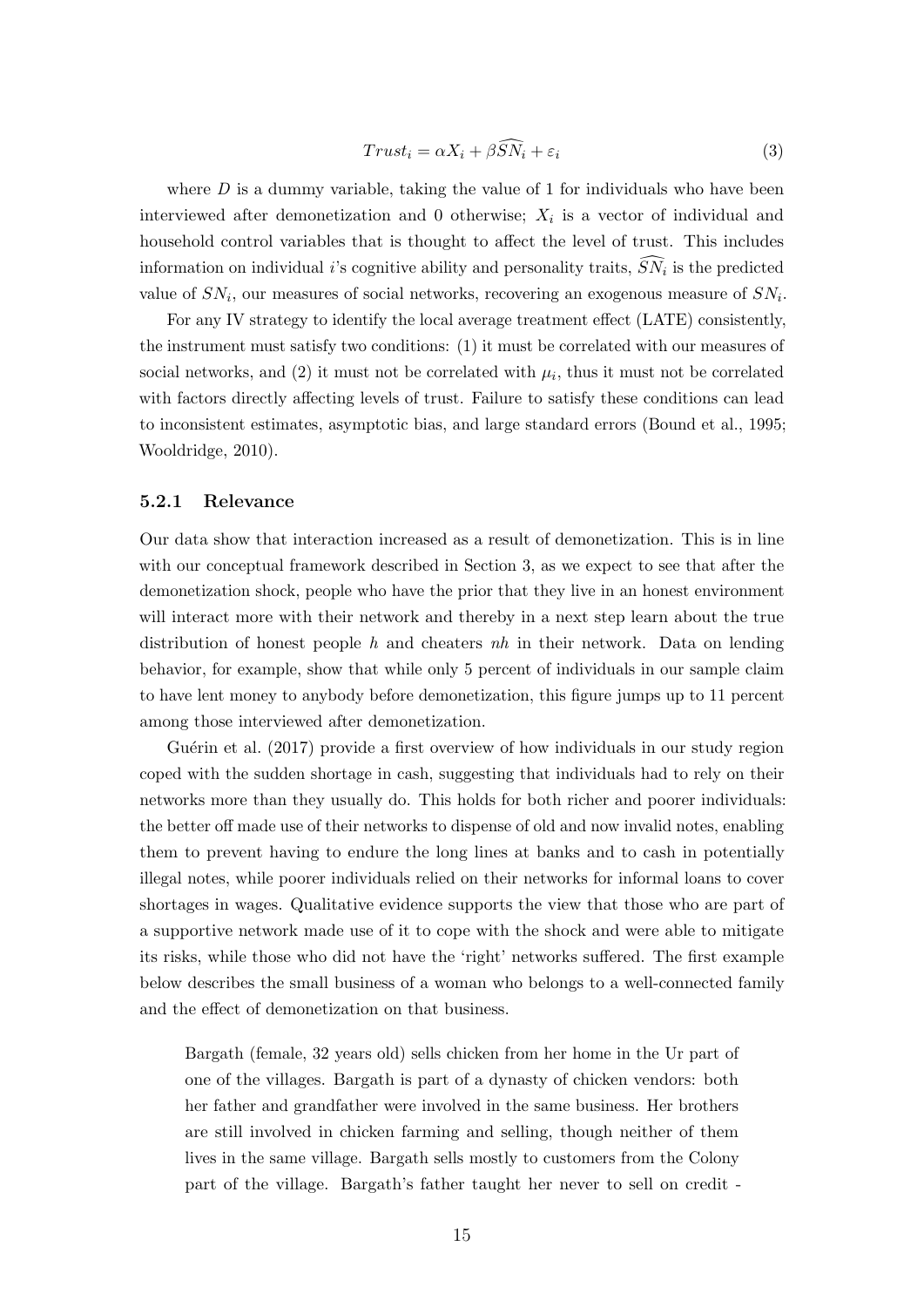$$
Trust_i = \alpha X_i + \beta \widehat{SN}_i + \varepsilon_i \tag{3}
$$

where  $D$  is a dummy variable, taking the value of 1 for individuals who have been interviewed after demonetization and 0 otherwise;  $X_i$  is a vector of individual and household control variables that is thought to affect the level of trust. This includes information on individual *i*'s cognitive ability and personality traits,  $SN_i$  is the predicted value of  $SN_i$ , our measures of social networks, recovering an exogenous measure of  $SN_i$ .

For any IV strategy to identify the local average treatment effect (LATE) consistently, the instrument must satisfy two conditions: (1) it must be correlated with our measures of social networks, and (2) it must not be correlated with  $\mu_i$ , thus it must not be correlated with factors directly affecting levels of trust. Failure to satisfy these conditions can lead to inconsistent estimates, asymptotic bias, and large standard errors [\(Bound et al., 1995;](#page-40-8) [Wooldridge, 2010\)](#page-43-7).

#### 5.2.1 Relevance

Our data show that interaction increased as a result of demonetization. This is in line with our conceptual framework described in Section [3,](#page-8-0) as we expect to see that after the demonetization shock, people who have the prior that they live in an honest environment will interact more with their network and thereby in a next step learn about the true distribution of honest people h and cheaters  $nh$  in their network. Data on lending behavior, for example, show that while only 5 percent of individuals in our sample claim to have lent money to anybody before demonetization, this figure jumps up to 11 percent among those interviewed after demonetization.

Guérin et al. [\(2017\)](#page-41-5) provide a first overview of how individuals in our study region coped with the sudden shortage in cash, suggesting that individuals had to rely on their networks more than they usually do. This holds for both richer and poorer individuals: the better off made use of their networks to dispense of old and now invalid notes, enabling them to prevent having to endure the long lines at banks and to cash in potentially illegal notes, while poorer individuals relied on their networks for informal loans to cover shortages in wages. Qualitative evidence supports the view that those who are part of a supportive network made use of it to cope with the shock and were able to mitigate its risks, while those who did not have the 'right' networks suffered. The first example below describes the small business of a woman who belongs to a well-connected family and the effect of demonetization on that business.

Bargath (female, 32 years old) sells chicken from her home in the Ur part of one of the villages. Bargath is part of a dynasty of chicken vendors: both her father and grandfather were involved in the same business. Her brothers are still involved in chicken farming and selling, though neither of them lives in the same village. Bargath sells mostly to customers from the Colony part of the village. Bargath's father taught her never to sell on credit -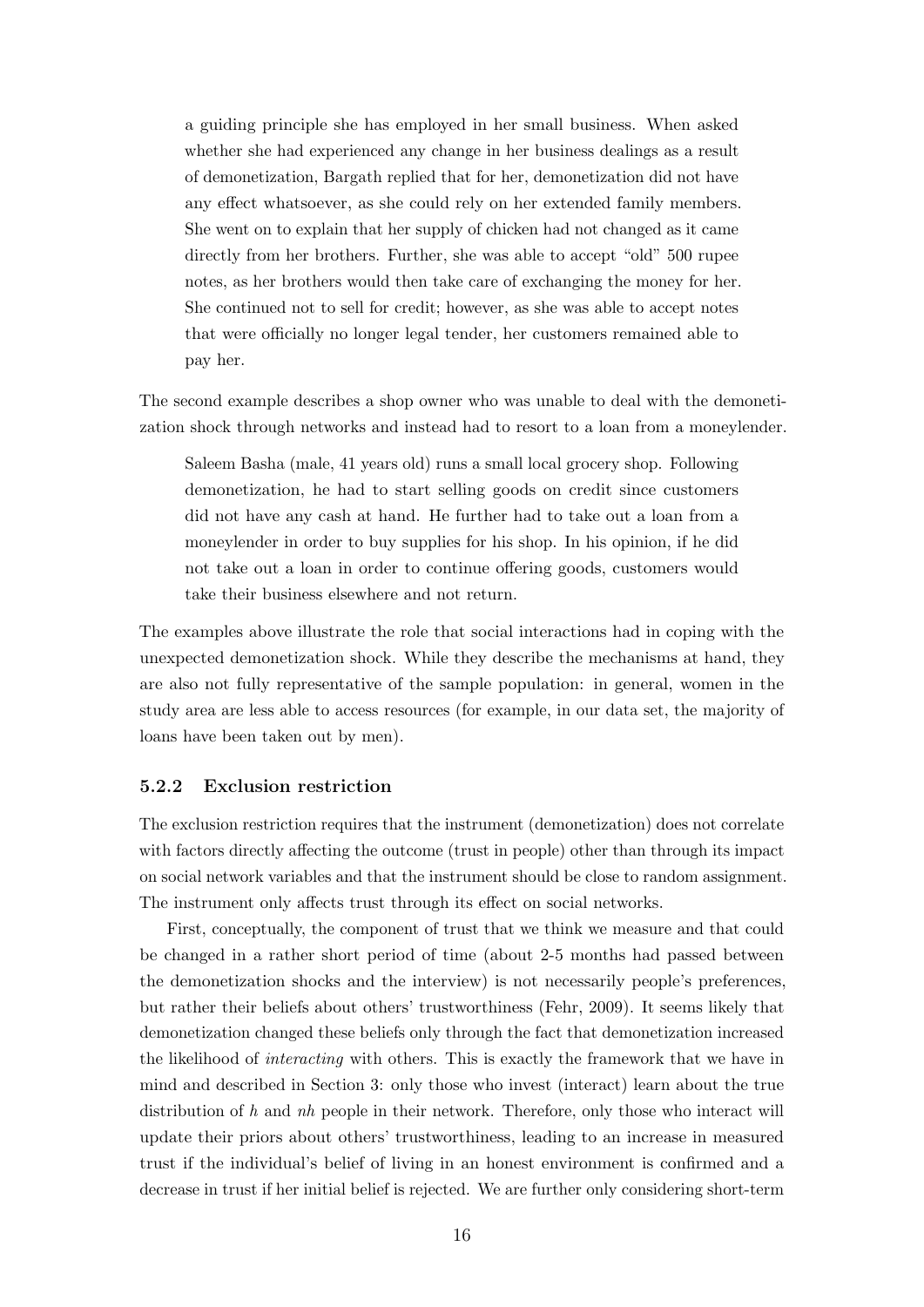a guiding principle she has employed in her small business. When asked whether she had experienced any change in her business dealings as a result of demonetization, Bargath replied that for her, demonetization did not have any effect whatsoever, as she could rely on her extended family members. She went on to explain that her supply of chicken had not changed as it came directly from her brothers. Further, she was able to accept "old" 500 rupee notes, as her brothers would then take care of exchanging the money for her. She continued not to sell for credit; however, as she was able to accept notes that were officially no longer legal tender, her customers remained able to pay her.

The second example describes a shop owner who was unable to deal with the demonetization shock through networks and instead had to resort to a loan from a moneylender.

Saleem Basha (male, 41 years old) runs a small local grocery shop. Following demonetization, he had to start selling goods on credit since customers did not have any cash at hand. He further had to take out a loan from a moneylender in order to buy supplies for his shop. In his opinion, if he did not take out a loan in order to continue offering goods, customers would take their business elsewhere and not return.

The examples above illustrate the role that social interactions had in coping with the unexpected demonetization shock. While they describe the mechanisms at hand, they are also not fully representative of the sample population: in general, women in the study area are less able to access resources (for example, in our data set, the majority of loans have been taken out by men).

#### <span id="page-18-0"></span>5.2.2 Exclusion restriction

The exclusion restriction requires that the instrument (demonetization) does not correlate with factors directly affecting the outcome (trust in people) other than through its impact on social network variables and that the instrument should be close to random assignment. The instrument only affects trust through its effect on social networks.

First, conceptually, the component of trust that we think we measure and that could be changed in a rather short period of time (about 2-5 months had passed between the demonetization shocks and the interview) is not necessarily people's preferences, but rather their beliefs about others' trustworthiness [\(Fehr, 2009\)](#page-40-2). It seems likely that demonetization changed these beliefs only through the fact that demonetization increased the likelihood of interacting with others. This is exactly the framework that we have in mind and described in Section [3:](#page-8-0) only those who invest (interact) learn about the true distribution of  $h$  and  $nh$  people in their network. Therefore, only those who interact will update their priors about others' trustworthiness, leading to an increase in measured trust if the individual's belief of living in an honest environment is confirmed and a decrease in trust if her initial belief is rejected. We are further only considering short-term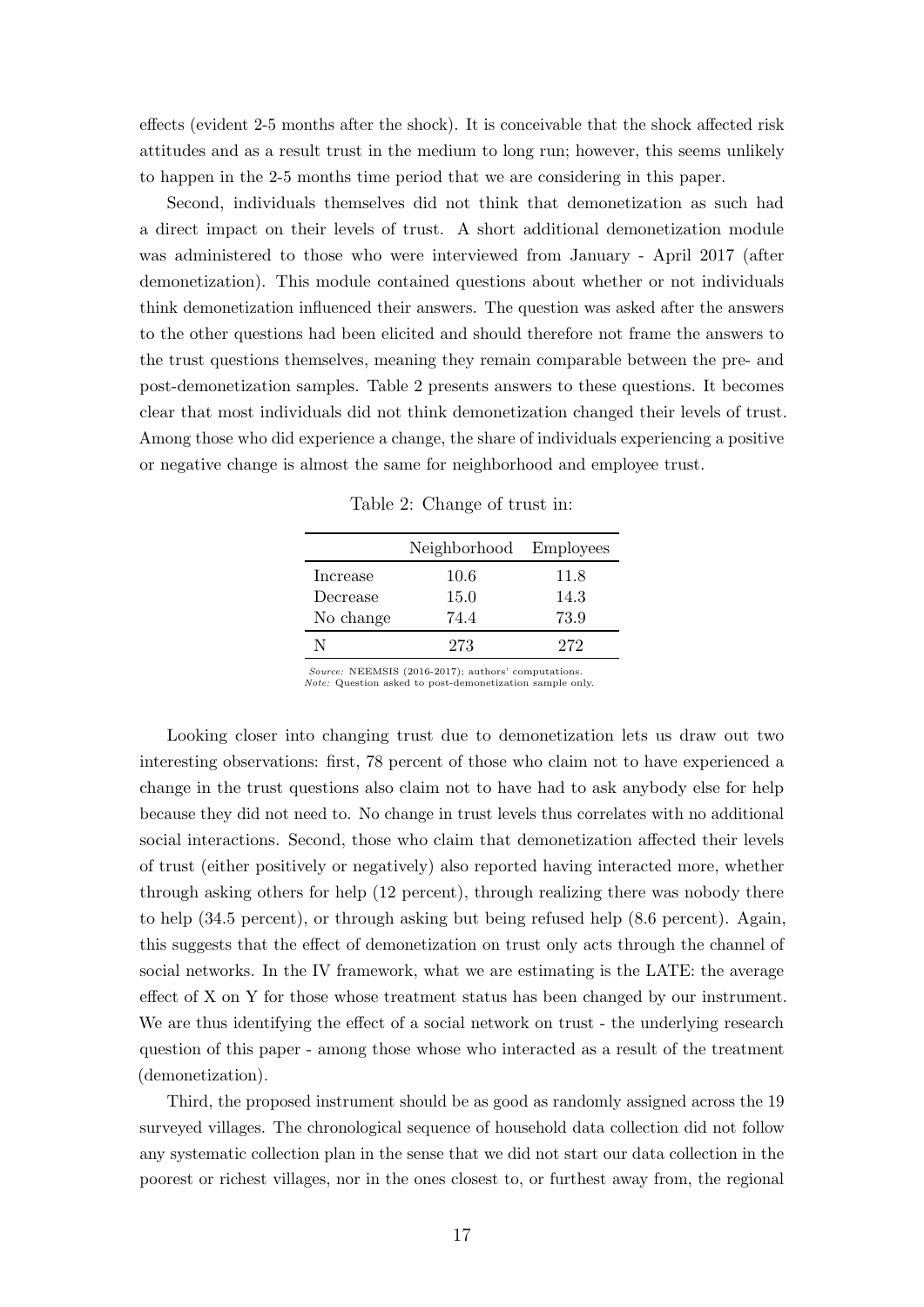effects (evident 2-5 months after the shock). It is conceivable that the shock affected risk attitudes and as a result trust in the medium to long run; however, this seems unlikely to happen in the 2-5 months time period that we are considering in this paper.

Second, individuals themselves did not think that demonetization as such had a direct impact on their levels of trust. A short additional demonetization module was administered to those who were interviewed from January - April 2017 (after demonetization). This module contained questions about whether or not individuals think demonetization influenced their answers. The question was asked after the answers to the other questions had been elicited and should therefore not frame the answers to the trust questions themselves, meaning they remain comparable between the pre- and post-demonetization samples. Table [2](#page-19-0) presents answers to these questions. It becomes clear that most individuals did not think demonetization changed their levels of trust. Among those who did experience a change, the share of individuals experiencing a positive or negative change is almost the same for neighborhood and employee trust.

Table 2: Change of trust in:

<span id="page-19-0"></span>

|           | Neighborhood Employees |      |
|-----------|------------------------|------|
| Increase  | 10.6                   | 11.8 |
| Decrease  | 15.0                   | 14.3 |
| No change | 74.4                   | 73.9 |
| N         | 273                    | 272  |

Source: NEEMSIS (2016-2017); authors' computations. Note: Question asked to post-demonetization sample only.

Looking closer into changing trust due to demonetization lets us draw out two interesting observations: first, 78 percent of those who claim not to have experienced a change in the trust questions also claim not to have had to ask anybody else for help because they did not need to. No change in trust levels thus correlates with no additional social interactions. Second, those who claim that demonetization affected their levels of trust (either positively or negatively) also reported having interacted more, whether through asking others for help (12 percent), through realizing there was nobody there to help (34.5 percent), or through asking but being refused help (8.6 percent). Again, this suggests that the effect of demonetization on trust only acts through the channel of social networks. In the IV framework, what we are estimating is the LATE: the average effect of X on Y for those whose treatment status has been changed by our instrument. We are thus identifying the effect of a social network on trust - the underlying research question of this paper - among those whose who interacted as a result of the treatment (demonetization).

Third, the proposed instrument should be as good as randomly assigned across the 19 surveyed villages. The chronological sequence of household data collection did not follow any systematic collection plan in the sense that we did not start our data collection in the poorest or richest villages, nor in the ones closest to, or furthest away from, the regional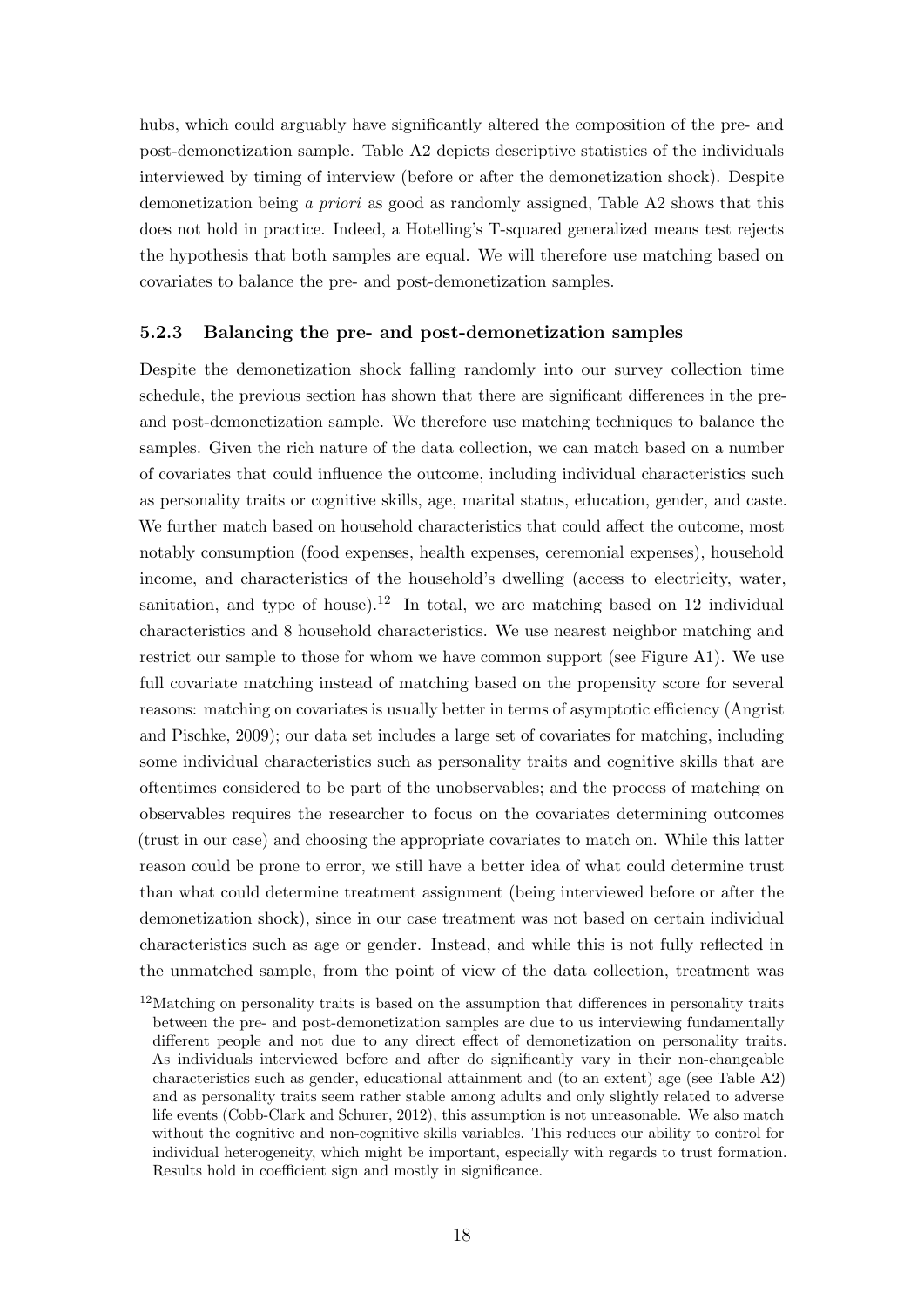hubs, which could arguably have significantly altered the composition of the pre- and post-demonetization sample. Table [A2](#page-45-0) depicts descriptive statistics of the individuals interviewed by timing of interview (before or after the demonetization shock). Despite demonetization being a priori as good as randomly assigned, Table [A2](#page-45-0) shows that this does not hold in practice. Indeed, a Hotelling's T-squared generalized means test rejects the hypothesis that both samples are equal. We will therefore use matching based on covariates to balance the pre- and post-demonetization samples.

### 5.2.3 Balancing the pre- and post-demonetization samples

Despite the demonetization shock falling randomly into our survey collection time schedule, the previous section has shown that there are significant differences in the preand post-demonetization sample. We therefore use matching techniques to balance the samples. Given the rich nature of the data collection, we can match based on a number of covariates that could influence the outcome, including individual characteristics such as personality traits or cognitive skills, age, marital status, education, gender, and caste. We further match based on household characteristics that could affect the outcome, most notably consumption (food expenses, health expenses, ceremonial expenses), household income, and characteristics of the household's dwelling (access to electricity, water, sanitation, and type of house).<sup>[12](#page-20-0)</sup> In total, we are matching based on 12 individual characteristics and 8 household characteristics. We use nearest neighbor matching and restrict our sample to those for whom we have common support (see Figure [A1\)](#page-46-0). We use full covariate matching instead of matching based on the propensity score for several reasons: matching on covariates is usually better in terms of asymptotic efficiency [\(Angrist](#page-40-9) [and Pischke, 2009\)](#page-40-9); our data set includes a large set of covariates for matching, including some individual characteristics such as personality traits and cognitive skills that are oftentimes considered to be part of the unobservables; and the process of matching on observables requires the researcher to focus on the covariates determining outcomes (trust in our case) and choosing the appropriate covariates to match on. While this latter reason could be prone to error, we still have a better idea of what could determine trust than what could determine treatment assignment (being interviewed before or after the demonetization shock), since in our case treatment was not based on certain individual characteristics such as age or gender. Instead, and while this is not fully reflected in the unmatched sample, from the point of view of the data collection, treatment was

<span id="page-20-0"></span><sup>&</sup>lt;sup>12</sup>Matching on personality traits is based on the assumption that differences in personality traits between the pre- and post-demonetization samples are due to us interviewing fundamentally different people and not due to any direct effect of demonetization on personality traits. As individuals interviewed before and after do significantly vary in their non-changeable characteristics such as gender, educational attainment and (to an extent) age (see Table [A2\)](#page-45-0) and as personality traits seem rather stable among adults and only slightly related to adverse life events [\(Cobb-Clark and Schurer, 2012\)](#page-40-10), this assumption is not unreasonable. We also match without the cognitive and non-cognitive skills variables. This reduces our ability to control for individual heterogeneity, which might be important, especially with regards to trust formation. Results hold in coefficient sign and mostly in significance.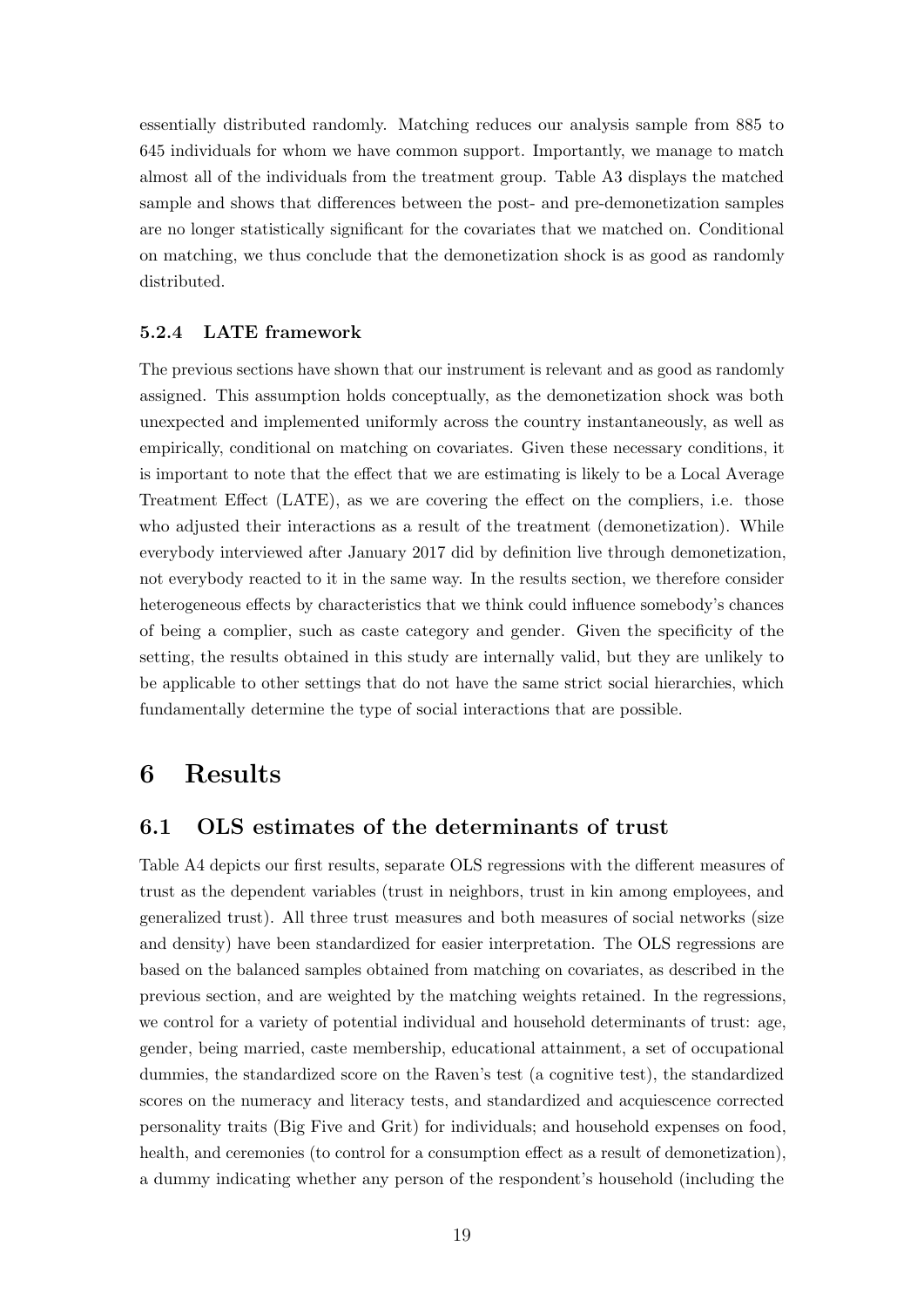essentially distributed randomly. Matching reduces our analysis sample from 885 to 645 individuals for whom we have common support. Importantly, we manage to match almost all of the individuals from the treatment group. Table [A3](#page-47-0) displays the matched sample and shows that differences between the post- and pre-demonetization samples are no longer statistically significant for the covariates that we matched on. Conditional on matching, we thus conclude that the demonetization shock is as good as randomly distributed.

### 5.2.4 LATE framework

The previous sections have shown that our instrument is relevant and as good as randomly assigned. This assumption holds conceptually, as the demonetization shock was both unexpected and implemented uniformly across the country instantaneously, as well as empirically, conditional on matching on covariates. Given these necessary conditions, it is important to note that the effect that we are estimating is likely to be a Local Average Treatment Effect (LATE), as we are covering the effect on the compliers, i.e. those who adjusted their interactions as a result of the treatment (demonetization). While everybody interviewed after January 2017 did by definition live through demonetization, not everybody reacted to it in the same way. In the results section, we therefore consider heterogeneous effects by characteristics that we think could influence somebody's chances of being a complier, such as caste category and gender. Given the specificity of the setting, the results obtained in this study are internally valid, but they are unlikely to be applicable to other settings that do not have the same strict social hierarchies, which fundamentally determine the type of social interactions that are possible.

## <span id="page-21-0"></span>6 Results

### 6.1 OLS estimates of the determinants of trust

Table [A4](#page-48-0) depicts our first results, separate OLS regressions with the different measures of trust as the dependent variables (trust in neighbors, trust in kin among employees, and generalized trust). All three trust measures and both measures of social networks (size and density) have been standardized for easier interpretation. The OLS regressions are based on the balanced samples obtained from matching on covariates, as described in the previous section, and are weighted by the matching weights retained. In the regressions, we control for a variety of potential individual and household determinants of trust: age, gender, being married, caste membership, educational attainment, a set of occupational dummies, the standardized score on the Raven's test (a cognitive test), the standardized scores on the numeracy and literacy tests, and standardized and acquiescence corrected personality traits (Big Five and Grit) for individuals; and household expenses on food, health, and ceremonies (to control for a consumption effect as a result of demonetization), a dummy indicating whether any person of the respondent's household (including the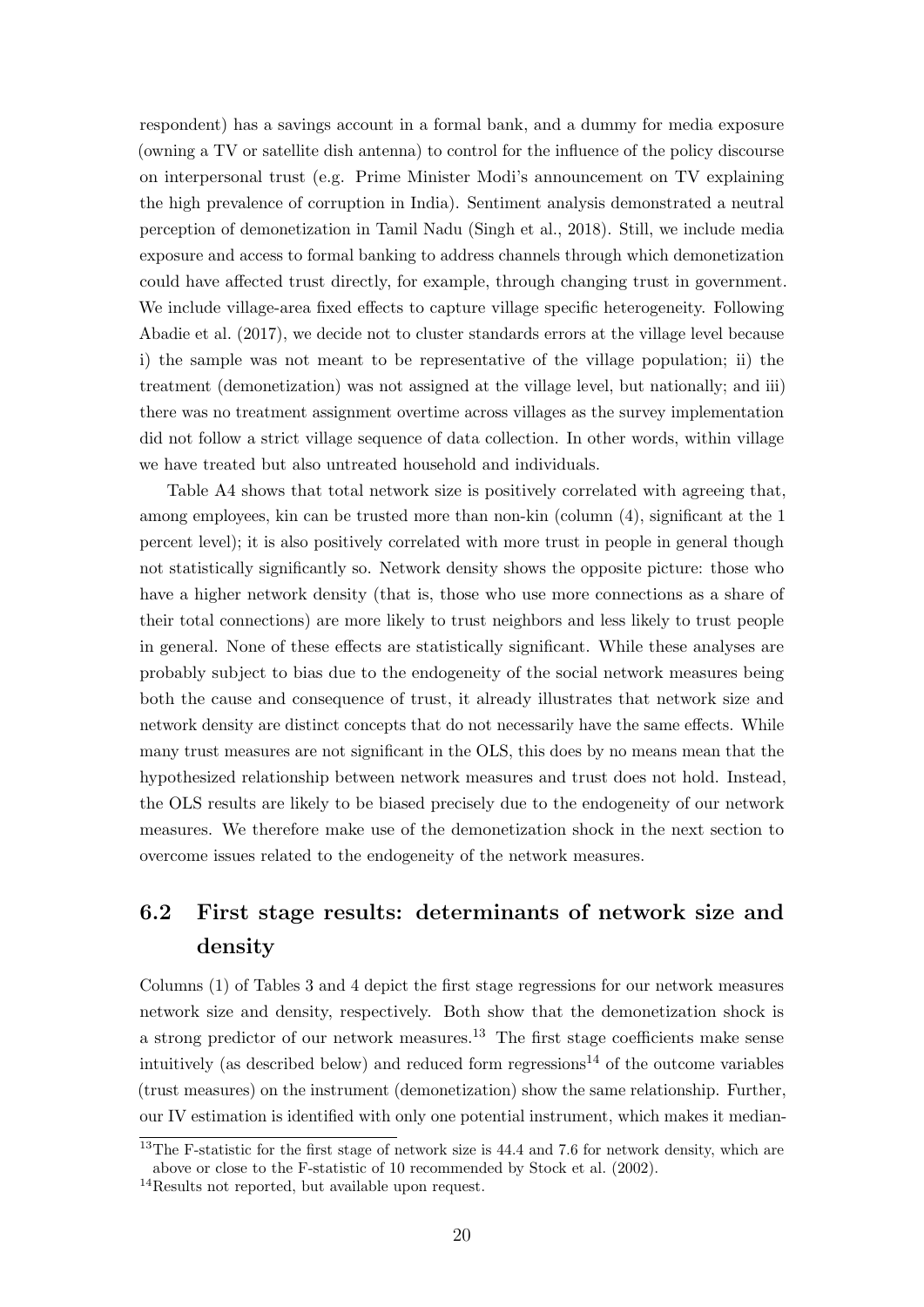respondent) has a savings account in a formal bank, and a dummy for media exposure (owning a TV or satellite dish antenna) to control for the influence of the policy discourse on interpersonal trust (e.g. Prime Minister Modi's announcement on TV explaining the high prevalence of corruption in India). Sentiment analysis demonstrated a neutral perception of demonetization in Tamil Nadu [\(Singh et al., 2018\)](#page-43-6). Still, we include media exposure and access to formal banking to address channels through which demonetization could have affected trust directly, for example, through changing trust in government. We include village-area fixed effects to capture village specific heterogeneity. Following [Abadie et al.](#page-40-11) [\(2017\)](#page-40-11), we decide not to cluster standards errors at the village level because i) the sample was not meant to be representative of the village population; ii) the treatment (demonetization) was not assigned at the village level, but nationally; and iii) there was no treatment assignment overtime across villages as the survey implementation did not follow a strict village sequence of data collection. In other words, within village we have treated but also untreated household and individuals.

Table [A4](#page-48-0) shows that total network size is positively correlated with agreeing that, among employees, kin can be trusted more than non-kin (column (4), significant at the 1 percent level); it is also positively correlated with more trust in people in general though not statistically significantly so. Network density shows the opposite picture: those who have a higher network density (that is, those who use more connections as a share of their total connections) are more likely to trust neighbors and less likely to trust people in general. None of these effects are statistically significant. While these analyses are probably subject to bias due to the endogeneity of the social network measures being both the cause and consequence of trust, it already illustrates that network size and network density are distinct concepts that do not necessarily have the same effects. While many trust measures are not significant in the OLS, this does by no means mean that the hypothesized relationship between network measures and trust does not hold. Instead, the OLS results are likely to be biased precisely due to the endogeneity of our network measures. We therefore make use of the demonetization shock in the next section to overcome issues related to the endogeneity of the network measures.

# 6.2 First stage results: determinants of network size and density

Columns (1) of Tables [3](#page-25-0) and [4](#page-26-0) depict the first stage regressions for our network measures network size and density, respectively. Both show that the demonetization shock is a strong predictor of our network measures.<sup>[13](#page-22-0)</sup> The first stage coefficients make sense intuitively (as described below) and reduced form regressions<sup>[14](#page-22-1)</sup> of the outcome variables (trust measures) on the instrument (demonetization) show the same relationship. Further, our IV estimation is identified with only one potential instrument, which makes it median-

<span id="page-22-0"></span> $13$ The F-statistic for the first stage of network size is 44.4 and 7.6 for network density, which are above or close to the F-statistic of 10 recommended by [Stock et al.](#page-43-8) [\(2002\)](#page-43-8).

<span id="page-22-1"></span><sup>14</sup>Results not reported, but available upon request.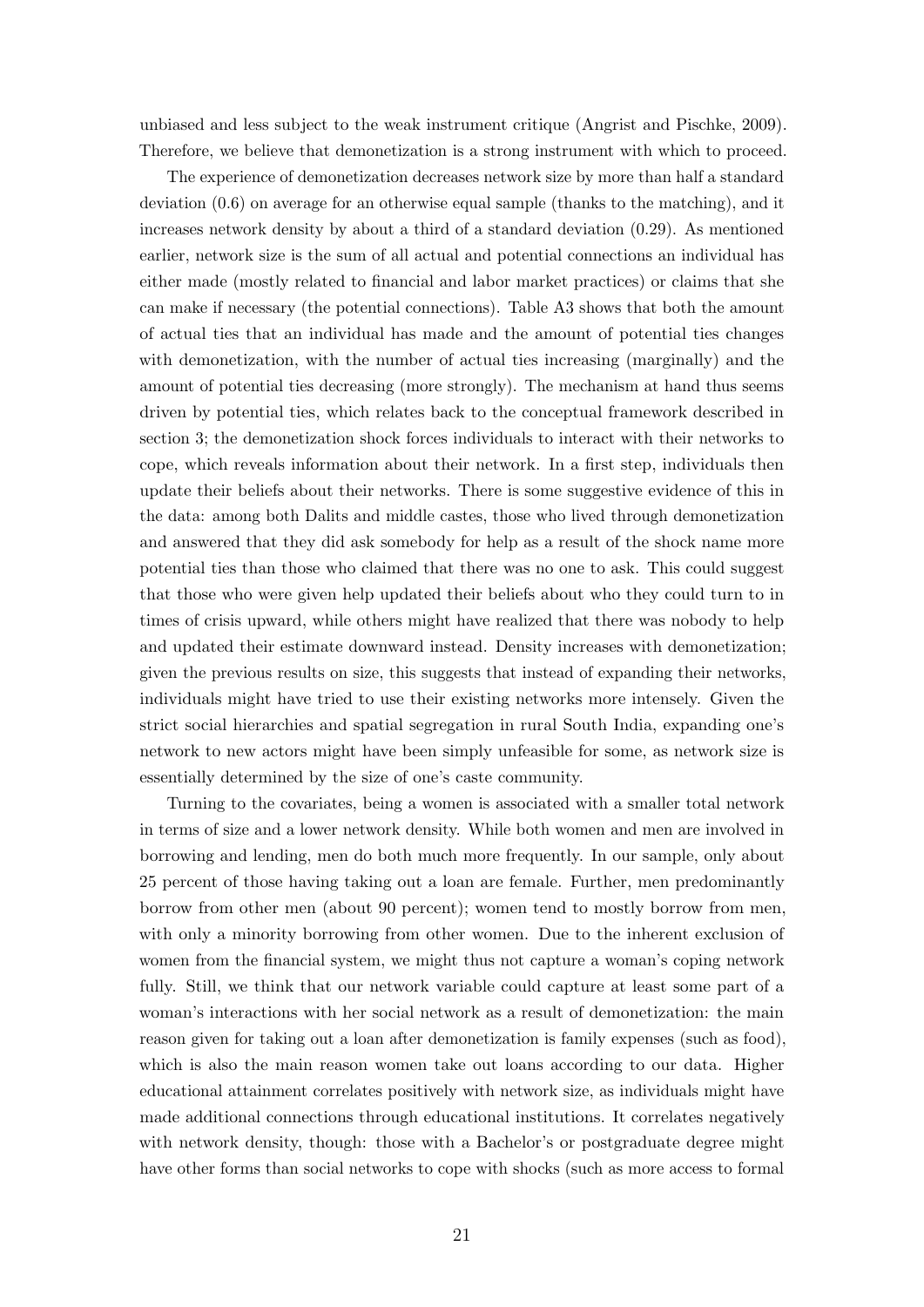unbiased and less subject to the weak instrument critique [\(Angrist and Pischke, 2009\)](#page-40-9). Therefore, we believe that demonetization is a strong instrument with which to proceed.

The experience of demonetization decreases network size by more than half a standard deviation (0.6) on average for an otherwise equal sample (thanks to the matching), and it increases network density by about a third of a standard deviation (0.29). As mentioned earlier, network size is the sum of all actual and potential connections an individual has either made (mostly related to financial and labor market practices) or claims that she can make if necessary (the potential connections). Table [A3](#page-47-0) shows that both the amount of actual ties that an individual has made and the amount of potential ties changes with demonetization, with the number of actual ties increasing (marginally) and the amount of potential ties decreasing (more strongly). The mechanism at hand thus seems driven by potential ties, which relates back to the conceptual framework described in section [3;](#page-8-0) the demonetization shock forces individuals to interact with their networks to cope, which reveals information about their network. In a first step, individuals then update their beliefs about their networks. There is some suggestive evidence of this in the data: among both Dalits and middle castes, those who lived through demonetization and answered that they did ask somebody for help as a result of the shock name more potential ties than those who claimed that there was no one to ask. This could suggest that those who were given help updated their beliefs about who they could turn to in times of crisis upward, while others might have realized that there was nobody to help and updated their estimate downward instead. Density increases with demonetization; given the previous results on size, this suggests that instead of expanding their networks, individuals might have tried to use their existing networks more intensely. Given the strict social hierarchies and spatial segregation in rural South India, expanding one's network to new actors might have been simply unfeasible for some, as network size is essentially determined by the size of one's caste community.

Turning to the covariates, being a women is associated with a smaller total network in terms of size and a lower network density. While both women and men are involved in borrowing and lending, men do both much more frequently. In our sample, only about 25 percent of those having taking out a loan are female. Further, men predominantly borrow from other men (about 90 percent); women tend to mostly borrow from men, with only a minority borrowing from other women. Due to the inherent exclusion of women from the financial system, we might thus not capture a woman's coping network fully. Still, we think that our network variable could capture at least some part of a woman's interactions with her social network as a result of demonetization: the main reason given for taking out a loan after demonetization is family expenses (such as food), which is also the main reason women take out loans according to our data. Higher educational attainment correlates positively with network size, as individuals might have made additional connections through educational institutions. It correlates negatively with network density, though: those with a Bachelor's or postgraduate degree might have other forms than social networks to cope with shocks (such as more access to formal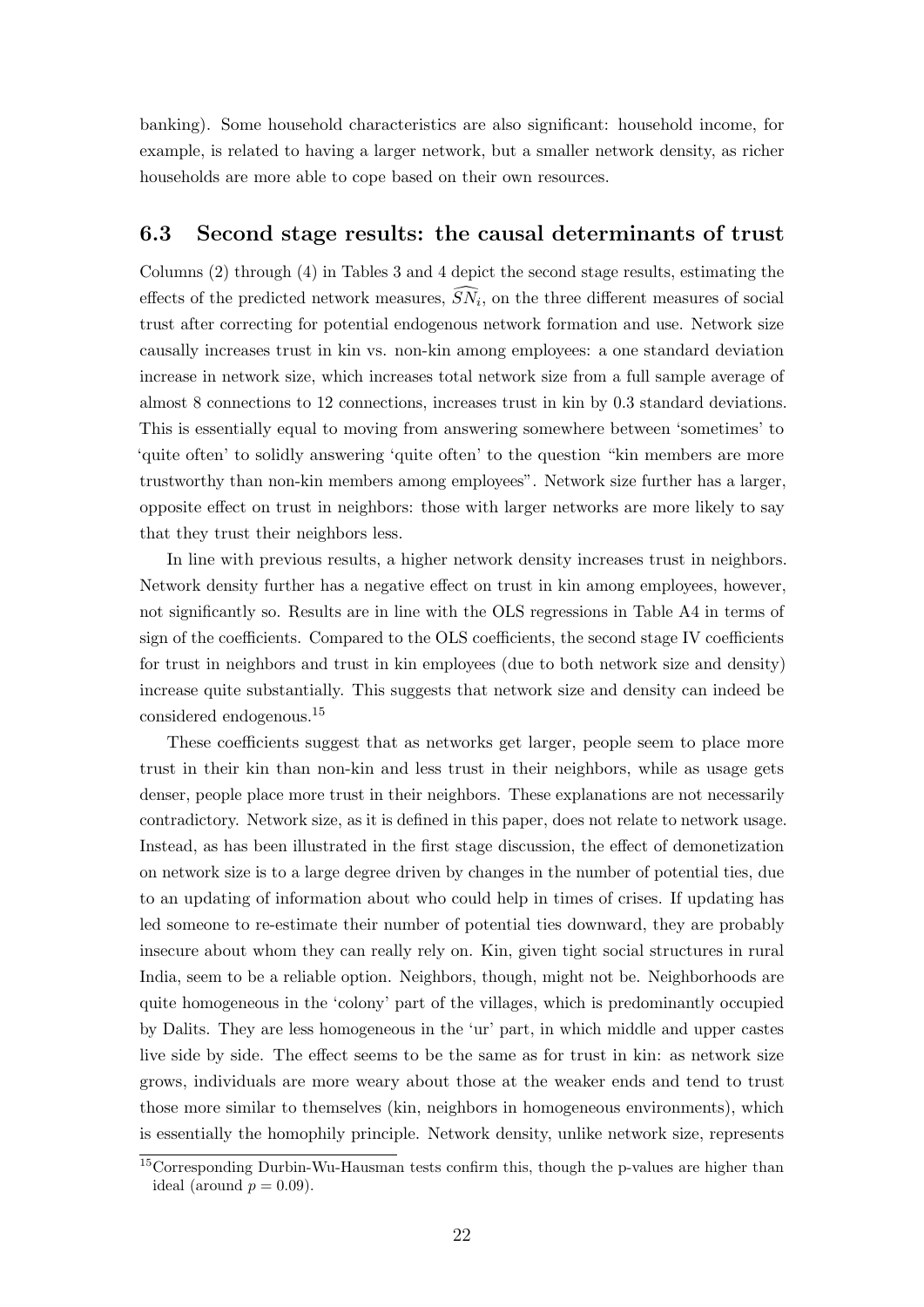banking). Some household characteristics are also significant: household income, for example, is related to having a larger network, but a smaller network density, as richer households are more able to cope based on their own resources.

### 6.3 Second stage results: the causal determinants of trust

Columns (2) through (4) in Tables [3](#page-25-0) and [4](#page-26-0) depict the second stage results, estimating the effects of the predicted network measures,  $SN_i$ , on the three different measures of social trust after correcting for potential endogenous network formation and use. Network size causally increases trust in kin vs. non-kin among employees: a one standard deviation increase in network size, which increases total network size from a full sample average of almost 8 connections to 12 connections, increases trust in kin by 0.3 standard deviations. This is essentially equal to moving from answering somewhere between 'sometimes' to 'quite often' to solidly answering 'quite often' to the question "kin members are more trustworthy than non-kin members among employees". Network size further has a larger, opposite effect on trust in neighbors: those with larger networks are more likely to say that they trust their neighbors less.

In line with previous results, a higher network density increases trust in neighbors. Network density further has a negative effect on trust in kin among employees, however, not significantly so. Results are in line with the OLS regressions in Table [A4](#page-48-0) in terms of sign of the coefficients. Compared to the OLS coefficients, the second stage IV coefficients for trust in neighbors and trust in kin employees (due to both network size and density) increase quite substantially. This suggests that network size and density can indeed be considered endogenous.[15](#page-24-0)

These coefficients suggest that as networks get larger, people seem to place more trust in their kin than non-kin and less trust in their neighbors, while as usage gets denser, people place more trust in their neighbors. These explanations are not necessarily contradictory. Network size, as it is defined in this paper, does not relate to network usage. Instead, as has been illustrated in the first stage discussion, the effect of demonetization on network size is to a large degree driven by changes in the number of potential ties, due to an updating of information about who could help in times of crises. If updating has led someone to re-estimate their number of potential ties downward, they are probably insecure about whom they can really rely on. Kin, given tight social structures in rural India, seem to be a reliable option. Neighbors, though, might not be. Neighborhoods are quite homogeneous in the 'colony' part of the villages, which is predominantly occupied by Dalits. They are less homogeneous in the 'ur' part, in which middle and upper castes live side by side. The effect seems to be the same as for trust in kin: as network size grows, individuals are more weary about those at the weaker ends and tend to trust those more similar to themselves (kin, neighbors in homogeneous environments), which is essentially the homophily principle. Network density, unlike network size, represents

<span id="page-24-0"></span><sup>&</sup>lt;sup>15</sup>Corresponding Durbin-Wu-Hausman tests confirm this, though the p-values are higher than ideal (around  $p = 0.09$ ).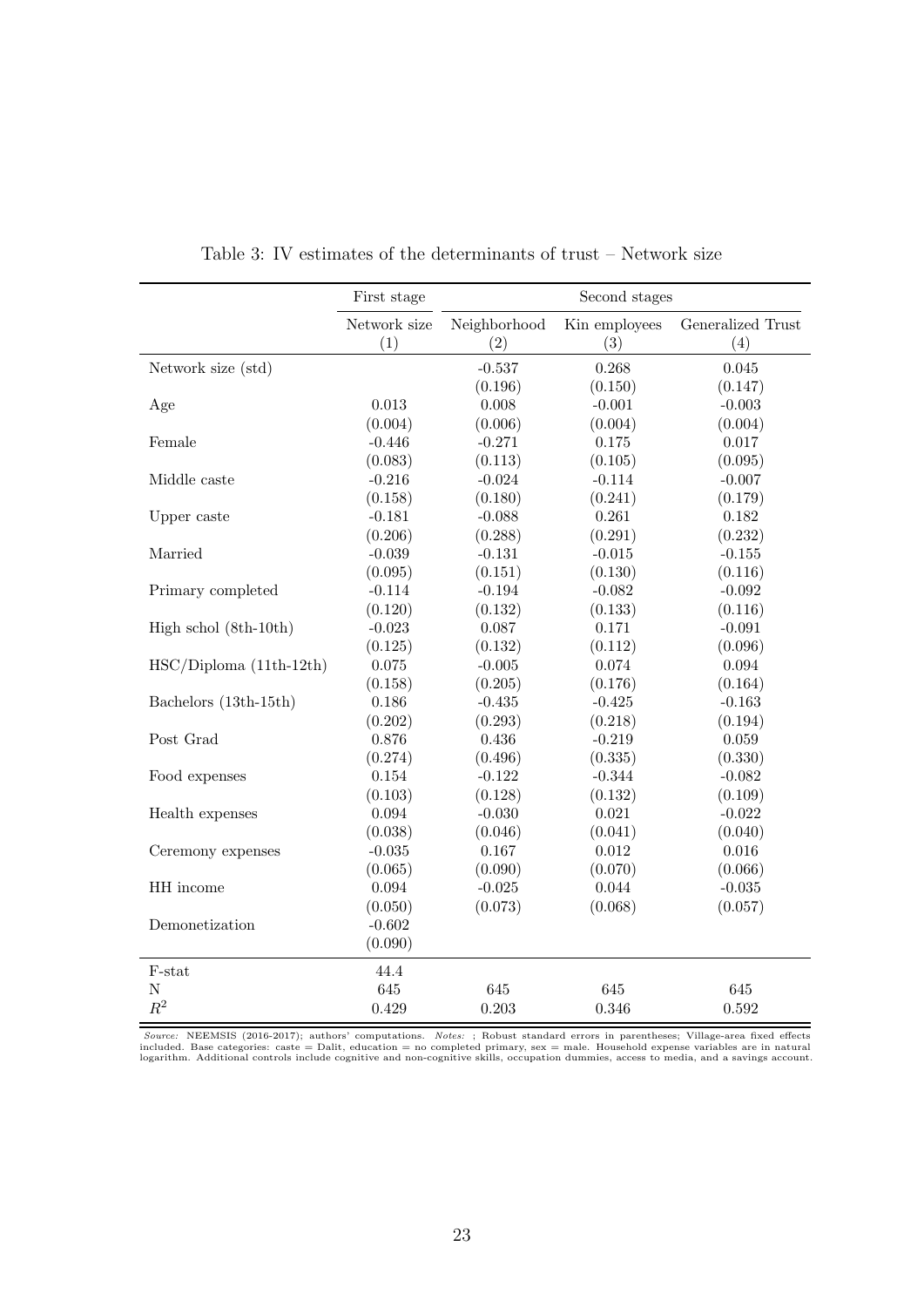<span id="page-25-0"></span>

|                          | First stage         |                     | Second stages        |                          |
|--------------------------|---------------------|---------------------|----------------------|--------------------------|
|                          | Network size<br>(1) | Neighborhood<br>(2) | Kin employees<br>(3) | Generalized Trust<br>(4) |
| Network size (std)       |                     | $-0.537$            | 0.268                | 0.045                    |
|                          |                     | (0.196)             | (0.150)              | (0.147)                  |
| Age                      | 0.013               | 0.008               | $-0.001$             | $-0.003$                 |
|                          | (0.004)             | (0.006)             | (0.004)              | (0.004)                  |
| Female                   | $-0.446$            | $-0.271$            | 0.175                | 0.017                    |
|                          | (0.083)             | (0.113)             | (0.105)              | (0.095)                  |
| Middle caste             | $-0.216$            | $-0.024$            | $-0.114$             | $-0.007$                 |
|                          | (0.158)             | (0.180)             | (0.241)              | (0.179)                  |
| Upper caste              | $-0.181$            | $-0.088$            | 0.261                | $0.182\,$                |
|                          | (0.206)             | (0.288)             | (0.291)              | (0.232)                  |
| Married                  | $-0.039$            | $-0.131$            | $-0.015$             | $\text{-}0.155$          |
|                          | (0.095)             | (0.151)             | (0.130)              | (0.116)                  |
| Primary completed        | $-0.114$            | $-0.194$            | $-0.082$             | $-0.092$                 |
|                          | (0.120)             | (0.132)             | (0.133)              | (0.116)                  |
| High schol (8th-10th)    | $-0.023$            | 0.087               | 0.171                | $-0.091$                 |
|                          | (0.125)             | (0.132)             | (0.112)              | (0.096)                  |
| $HSC/Diploma(11th-12th)$ | 0.075               | $-0.005$            | 0.074                | 0.094                    |
|                          | (0.158)             | (0.205)             | (0.176)              | (0.164)                  |
| Bachelors (13th-15th)    | 0.186               | $-0.435$            | $-0.425$             | $-0.163$                 |
|                          | (0.202)             | (0.293)             | (0.218)              | (0.194)                  |
| Post Grad                | 0.876               | $0.436\,$           | $-0.219$             | 0.059                    |
|                          | (0.274)             | (0.496)             | (0.335)              | (0.330)                  |
| Food expenses            | 0.154               | $-0.122$            | $-0.344$             | $-0.082$                 |
|                          | (0.103)             | (0.128)             | (0.132)              | (0.109)                  |
| Health expenses          | 0.094               | $-0.030$            | 0.021                | $-0.022$                 |
|                          | (0.038)             | (0.046)             | (0.041)              | (0.040)                  |
| Ceremony expenses        | $-0.035$            | 0.167               | 0.012                | 0.016                    |
|                          | (0.065)             | (0.090)             | (0.070)              | (0.066)                  |
| HH income                | 0.094               | $-0.025$            | 0.044                | $-0.035$                 |
|                          | (0.050)             | (0.073)             | (0.068)              | (0.057)                  |
| Demonetization           | $-0.602$            |                     |                      |                          |
|                          | (0.090)             |                     |                      |                          |
| F-stat                   | 44.4                |                     |                      |                          |
| N                        | 645                 | 645                 | 645                  | 645                      |
| $\mathbb{R}^2$           | 0.429               | 0.203               | 0.346                | 0.592                    |

Table 3: IV estimates of the determinants of trust – Network size

 $Source: NEEMSIS (2016-2017); authors' computations. Notes: ; Robust standard errors in parentheses; Vilage-area fixed effects  
included. Based categories: case = Dalit, education = no complete primary, see = male. Household exponents and also  
logarithm. Additional controls include cognitive and non-cognitive skills, occupancy, access to media, and a savings account.$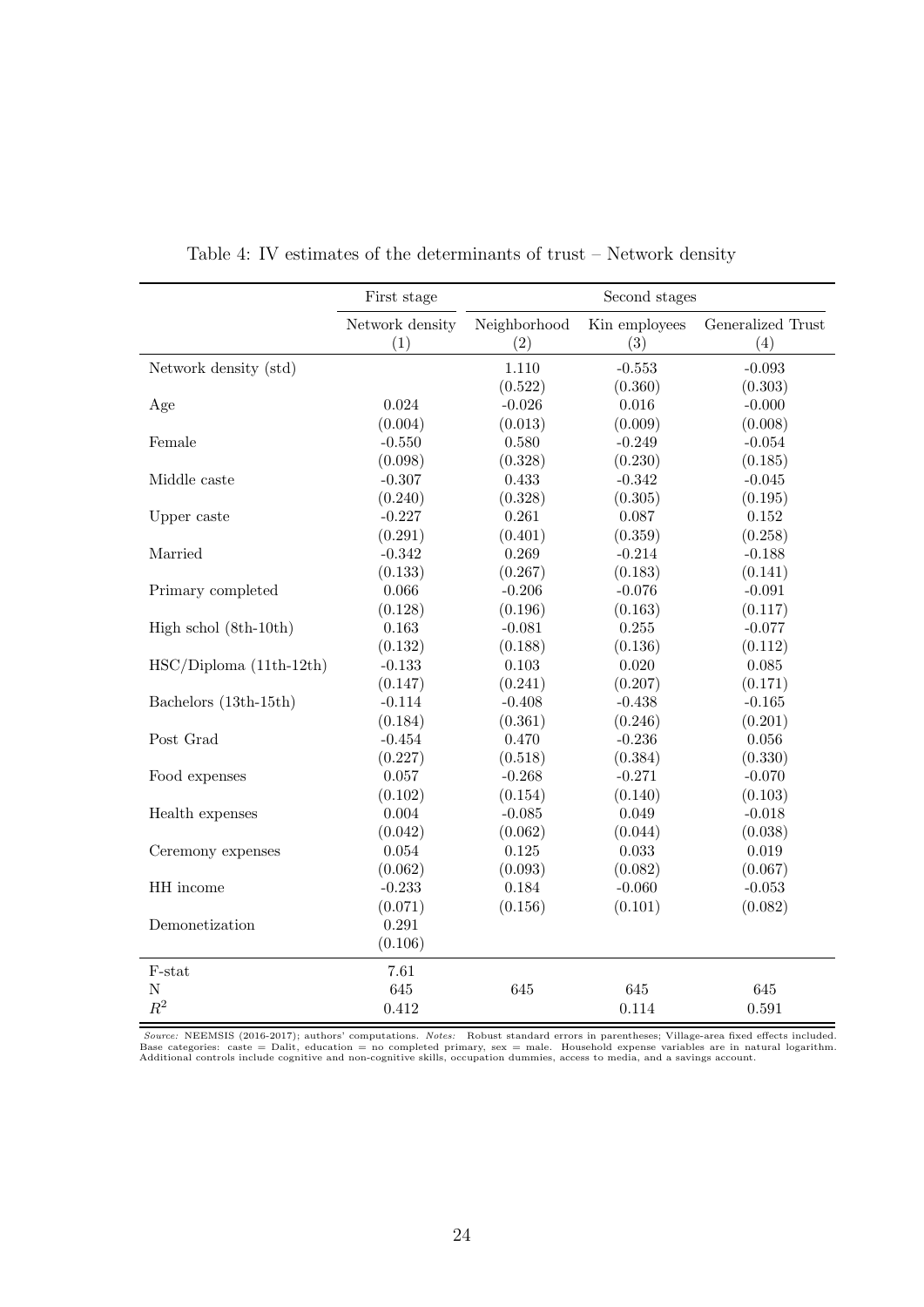<span id="page-26-0"></span>

|                          | First stage      |                  | Second stages       |                     |
|--------------------------|------------------|------------------|---------------------|---------------------|
|                          | Network density  | Neighborhood     | Kin employees       | Generalized Trust   |
|                          | (1)              | (2)              | (3)                 | (4)                 |
| Network density (std)    |                  | 1.110<br>(0.522) | $-0.553$<br>(0.360) | $-0.093$<br>(0.303) |
| Age                      | 0.024            | $-0.026$         | 0.016               | $-0.000$            |
| Female                   | (0.004)          | (0.013)          | (0.009)             | (0.008)             |
|                          | $-0.550$         | 0.580            | $-0.249$            | $-0.054$            |
| Middle caste             | (0.098)          | (0.328)          | (0.230)             | (0.185)             |
|                          | $-0.307$         | 0.433            | $-0.342$            | $-0.045$            |
| Upper caste              | (0.240)          | (0.328)          | (0.305)             | (0.195)             |
|                          | $-0.227$         | 0.261            | 0.087               | $0.152\,$           |
| Married                  | (0.291)          | (0.401)          | (0.359)             | (0.258)             |
|                          | $-0.342$         | 0.269            | $-0.214$            | $-0.188$            |
| Primary completed        | (0.133)          | (0.267)          | (0.183)             | (0.141)             |
|                          | 0.066            | $-0.206$         | $-0.076$            | $-0.091$            |
| High schol (8th-10th)    | (0.128)          | (0.196)          | (0.163)             | (0.117)             |
|                          | 0.163            | $-0.081$         | 0.255               | $-0.077$            |
| $HSC/Diploma(11th-12th)$ | (0.132)          | (0.188)          | (0.136)             | (0.112)             |
|                          | $-0.133$         | $0.103\,$        | 0.020               | 0.085               |
| Bachelors (13th-15th)    | (0.147)          | (0.241)          | (0.207)             | (0.171)             |
|                          | $-0.114$         | $-0.408$         | $-0.438$            | $-0.165$            |
| Post Grad                | (0.184)          | (0.361)          | (0.246)             | (0.201)             |
|                          | $-0.454$         | 0.470            | $-0.236$            | 0.056               |
| Food expenses            | (0.227)          | (0.518)          | (0.384)             | (0.330)             |
|                          | 0.057            | $-0.268$         | $-0.271$            | $-0.070$            |
| Health expenses          | (0.102)          | (0.154)          | (0.140)             | (0.103)             |
|                          | 0.004            | $-0.085$         | 0.049               | $-0.018$            |
|                          | (0.042)          | (0.062)          | (0.044)             | (0.038)             |
| Ceremony expenses        | 0.054            | 0.125            | $\,0.033\,$         | 0.019               |
|                          | (0.062)          | (0.093)          | (0.082)             | (0.067)             |
| HH income                | $-0.233$         | 0.184            | $-0.060$            | $-0.053$            |
|                          | (0.071)          | (0.156)          | (0.101)             | (0.082)             |
| Demonetization           | 0.291<br>(0.106) |                  |                     |                     |
| F-stat                   | 7.61             |                  |                     |                     |
| $\mathbf N$              | 645              | 645              | 645                 | 645                 |
| $\mathbb{R}^2$           | $0.412\,$        |                  | 0.114               | 0.591               |

Table 4: IV estimates of the determinants of trust – Network density

Source: NEEMSIS (2016-2017); authors' computations. Notes: Robust standard errors in parentheses; Village-area fixed effects included.<br>Base categories: caste = Dalit, education = no completed primary, sex = male. Household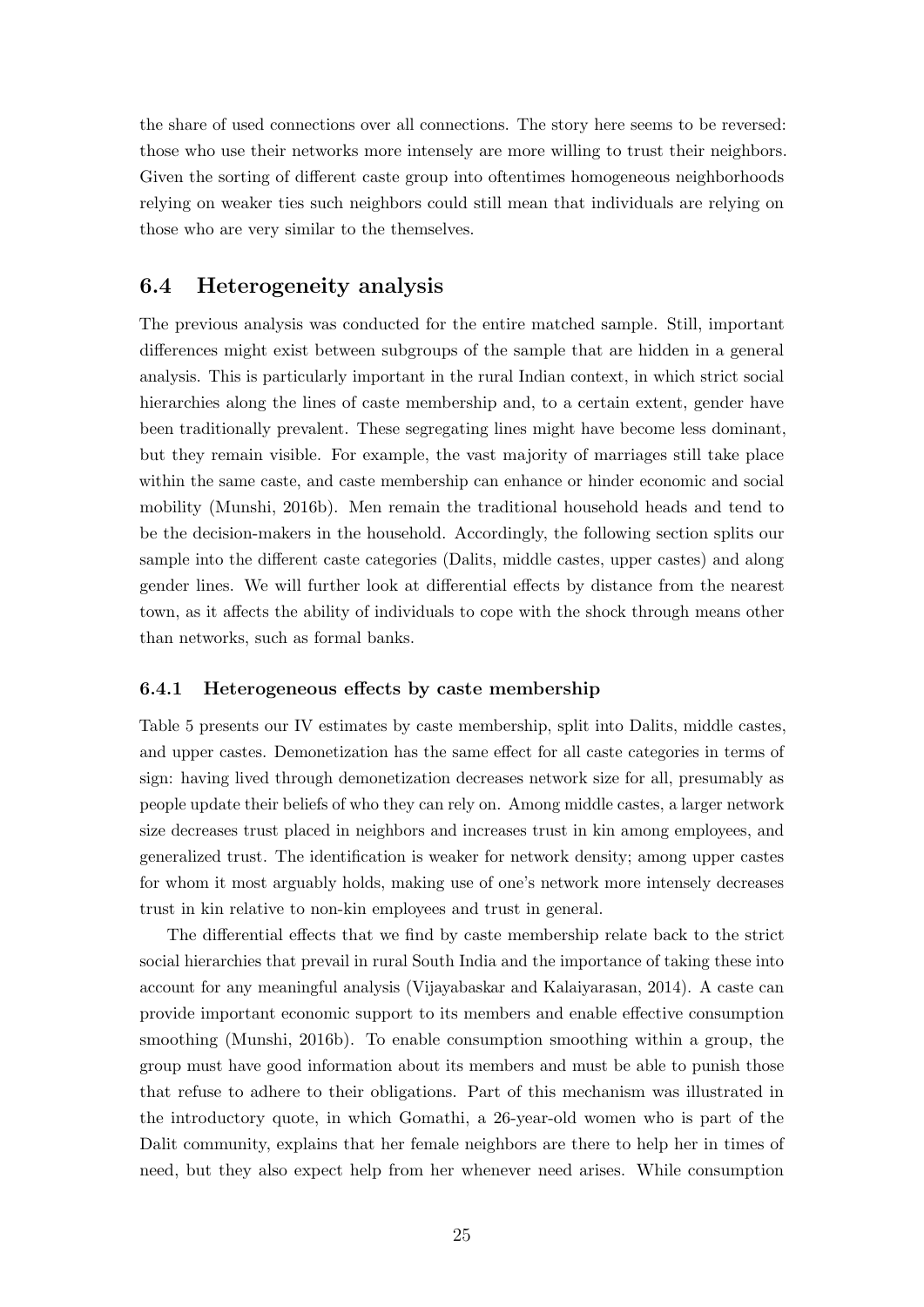the share of used connections over all connections. The story here seems to be reversed: those who use their networks more intensely are more willing to trust their neighbors. Given the sorting of different caste group into oftentimes homogeneous neighborhoods relying on weaker ties such neighbors could still mean that individuals are relying on those who are very similar to the themselves.

### 6.4 Heterogeneity analysis

The previous analysis was conducted for the entire matched sample. Still, important differences might exist between subgroups of the sample that are hidden in a general analysis. This is particularly important in the rural Indian context, in which strict social hierarchies along the lines of caste membership and, to a certain extent, gender have been traditionally prevalent. These segregating lines might have become less dominant, but they remain visible. For example, the vast majority of marriages still take place within the same caste, and caste membership can enhance or hinder economic and social mobility [\(Munshi, 2016b\)](#page-42-11). Men remain the traditional household heads and tend to be the decision-makers in the household. Accordingly, the following section splits our sample into the different caste categories (Dalits, middle castes, upper castes) and along gender lines. We will further look at differential effects by distance from the nearest town, as it affects the ability of individuals to cope with the shock through means other than networks, such as formal banks.

### 6.4.1 Heterogeneous effects by caste membership

Table [5](#page-28-0) presents our IV estimates by caste membership, split into Dalits, middle castes, and upper castes. Demonetization has the same effect for all caste categories in terms of sign: having lived through demonetization decreases network size for all, presumably as people update their beliefs of who they can rely on. Among middle castes, a larger network size decreases trust placed in neighbors and increases trust in kin among employees, and generalized trust. The identification is weaker for network density; among upper castes for whom it most arguably holds, making use of one's network more intensely decreases trust in kin relative to non-kin employees and trust in general.

The differential effects that we find by caste membership relate back to the strict social hierarchies that prevail in rural South India and the importance of taking these into account for any meaningful analysis [\(Vijayabaskar and Kalaiyarasan, 2014\)](#page-43-4). A caste can provide important economic support to its members and enable effective consumption smoothing [\(Munshi, 2016b\)](#page-42-11). To enable consumption smoothing within a group, the group must have good information about its members and must be able to punish those that refuse to adhere to their obligations. Part of this mechanism was illustrated in the introductory quote, in which Gomathi, a 26-year-old women who is part of the Dalit community, explains that her female neighbors are there to help her in times of need, but they also expect help from her whenever need arises. While consumption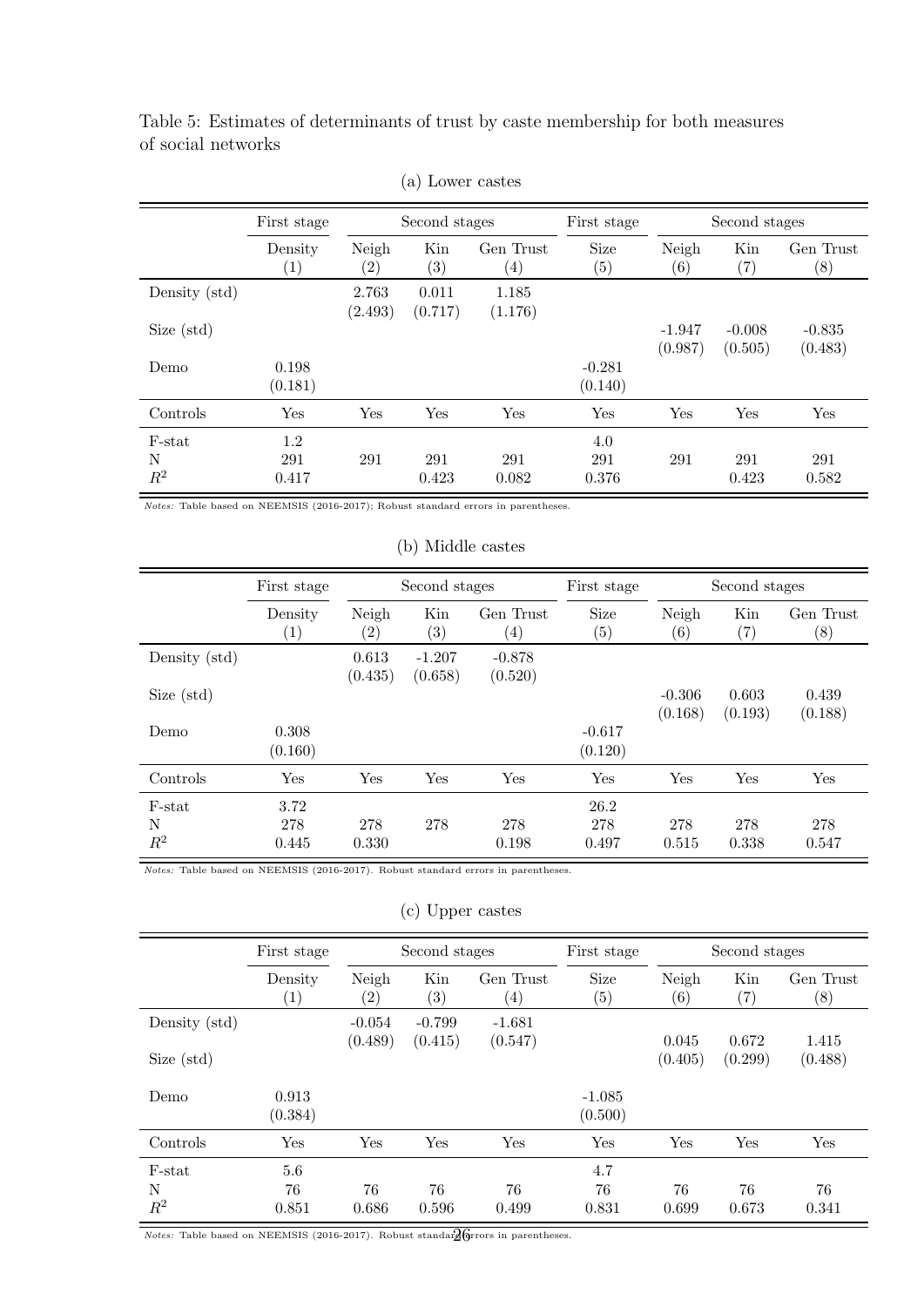<span id="page-28-0"></span>Table 5: Estimates of determinants of trust by caste membership for both measures of social networks

|                      | First stage                  |                  | Second stages            |                                | First stage               |                     | Second stages        |                     |  |
|----------------------|------------------------------|------------------|--------------------------|--------------------------------|---------------------------|---------------------|----------------------|---------------------|--|
|                      | Density<br>$\left( 1\right)$ | Neigh<br>(2)     | Kin<br>$\left( 3\right)$ | Gen Trust<br>$\left( 4\right)$ | Size<br>$\left( 5\right)$ | Neigh<br>(6)        | Kin<br>$^{\prime}7)$ | Gen Trust<br>(8)    |  |
| Density (std)        |                              | 2.763<br>(2.493) | 0.011<br>(0.717)         | 1.185<br>(1.176)               |                           |                     |                      |                     |  |
| Size (std)           |                              |                  |                          |                                |                           | $-1.947$<br>(0.987) | $-0.008$<br>(0.505)  | $-0.835$<br>(0.483) |  |
| Demo                 | 0.198<br>(0.181)             |                  |                          |                                | $-0.281$<br>(0.140)       |                     |                      |                     |  |
| Controls             | Yes                          | Yes              | Yes                      | Yes                            | Yes                       | Yes                 | Yes                  | Yes                 |  |
| F-stat<br>N<br>$R^2$ | 1.2<br>291<br>0.417          | 291              | 291<br>0.423             | 291<br>0.082                   | 4.0<br>291<br>0.376       | 291                 | 291<br>0.423         | 291<br>0.582        |  |

| (a) Lower castes |  |
|------------------|--|
|------------------|--|

Notes: Table based on NEEMSIS (2016-2017); Robust standard errors in parentheses.

#### (b) Middle castes

|               | First stage                  |                  | Second stages            |                                | First stage                      |                            | Second stages            |                               |
|---------------|------------------------------|------------------|--------------------------|--------------------------------|----------------------------------|----------------------------|--------------------------|-------------------------------|
|               | Density<br>$\left( 1\right)$ | Neigh<br>(2)     | Kin<br>$\left( 3\right)$ | Gen Trust<br>$\left( 4\right)$ | <b>Size</b><br>$\left( 5\right)$ | Neigh<br>$\left( 6\right)$ | Kin<br>$^{\prime\prime}$ | Gen Trust<br>$\left(8\right)$ |
| Density (std) |                              | 0.613<br>(0.435) | $-1.207$<br>(0.658)      | $-0.878$<br>(0.520)            |                                  |                            |                          |                               |
| Size (std)    |                              |                  |                          |                                |                                  | $-0.306$<br>(0.168)        | 0.603<br>(0.193)         | 0.439<br>(0.188)              |
| Demo          | 0.308<br>(0.160)             |                  |                          |                                | $-0.617$<br>(0.120)              |                            |                          |                               |
| Controls      | Yes                          | Yes              | Yes                      | Yes                            | Yes                              | Yes                        | Yes                      | Yes                           |
| F-stat        | 3.72                         |                  |                          |                                | 26.2                             |                            |                          |                               |
| N<br>$R^2$    | 278<br>0.445                 | 278<br>0.330     | 278                      | 278<br>0.198                   | 278<br>0.497                     | 278<br>0.515               | 278<br>0.338             | 278<br>0.547                  |
|               |                              |                  |                          |                                |                                  |                            |                          |                               |

Notes: Table based on NEEMSIS (2016-2017). Robust standard errors in parentheses.

### (c) Upper castes

|               | First stage                  |                            | Second stages            |                               | First stage                      |                            | Second stages            |                               |
|---------------|------------------------------|----------------------------|--------------------------|-------------------------------|----------------------------------|----------------------------|--------------------------|-------------------------------|
|               | Density<br>$\left( 1\right)$ | Neigh<br>$\left( 2\right)$ | Kin<br>$\left( 3\right)$ | Gen Trust<br>$\left(4\right)$ | <b>Size</b><br>$\left( 5\right)$ | Neigh<br>$\left( 6\right)$ | Kin<br>$\left( 7\right)$ | Gen Trust<br>$\left(8\right)$ |
| Density (std) |                              | $-0.054$<br>(0.489)        | $-0.799$<br>(0.415)      | $-1.681$<br>(0.547)           |                                  | 0.045                      | 0.672                    | 1.415                         |
| Size (std)    |                              |                            |                          |                               |                                  | (0.405)                    | (0.299)                  | (0.488)                       |
| Demo          | 0.913<br>(0.384)             |                            |                          |                               | $-1.085$<br>(0.500)              |                            |                          |                               |
| Controls      | Yes                          | Yes                        | Yes                      | Yes                           | Yes                              | Yes                        | Yes                      | Yes                           |
| F-stat        | 5.6                          |                            |                          |                               | 4.7                              |                            |                          |                               |
| N<br>$R^2$    | 76<br>0.851                  | 76<br>0.686                | 76<br>0.596              | 76<br>0.499                   | 76<br>0.831                      | 76<br>0.699                | 76<br>0.673              | 76<br>0.341                   |

Notes: Table based on NEEMSIS (2016-2017). Robust standar $g$  for ors in parentheses.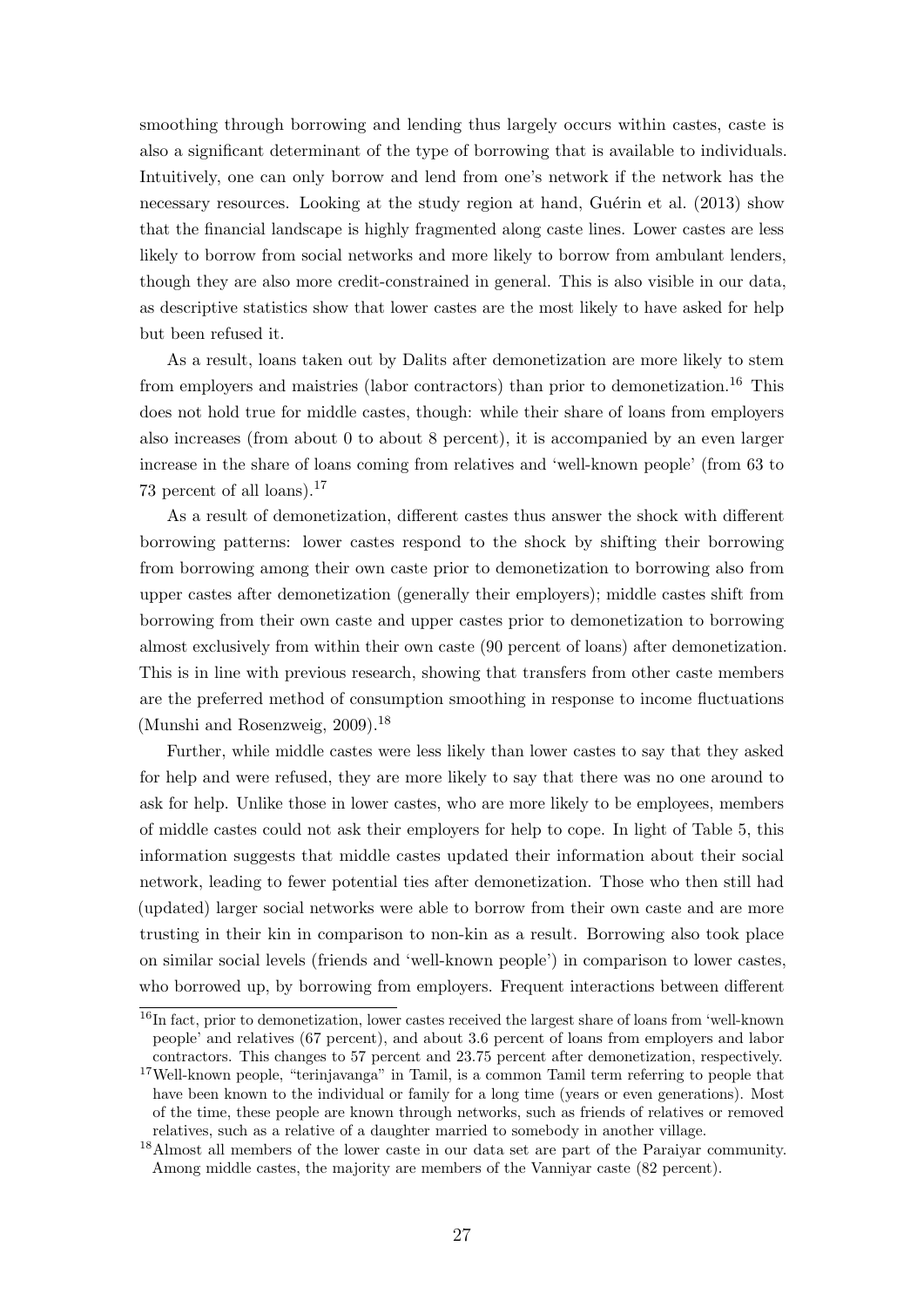smoothing through borrowing and lending thus largely occurs within castes, caste is also a significant determinant of the type of borrowing that is available to individuals. Intuitively, one can only borrow and lend from one's network if the network has the necessary resources. Looking at the study region at hand, Guérin et al.  $(2013)$  show that the financial landscape is highly fragmented along caste lines. Lower castes are less likely to borrow from social networks and more likely to borrow from ambulant lenders, though they are also more credit-constrained in general. This is also visible in our data, as descriptive statistics show that lower castes are the most likely to have asked for help but been refused it.

As a result, loans taken out by Dalits after demonetization are more likely to stem from employers and maistries (labor contractors) than prior to demonetization.<sup>[16](#page-29-0)</sup> This does not hold true for middle castes, though: while their share of loans from employers also increases (from about 0 to about 8 percent), it is accompanied by an even larger increase in the share of loans coming from relatives and 'well-known people' (from 63 to 73 percent of all loans).[17](#page-29-1)

As a result of demonetization, different castes thus answer the shock with different borrowing patterns: lower castes respond to the shock by shifting their borrowing from borrowing among their own caste prior to demonetization to borrowing also from upper castes after demonetization (generally their employers); middle castes shift from borrowing from their own caste and upper castes prior to demonetization to borrowing almost exclusively from within their own caste (90 percent of loans) after demonetization. This is in line with previous research, showing that transfers from other caste members are the preferred method of consumption smoothing in response to income fluctuations [\(Munshi and Rosenzweig, 2009\)](#page-42-12).<sup>[18](#page-29-2)</sup>

Further, while middle castes were less likely than lower castes to say that they asked for help and were refused, they are more likely to say that there was no one around to ask for help. Unlike those in lower castes, who are more likely to be employees, members of middle castes could not ask their employers for help to cope. In light of Table [5,](#page-28-0) this information suggests that middle castes updated their information about their social network, leading to fewer potential ties after demonetization. Those who then still had (updated) larger social networks were able to borrow from their own caste and are more trusting in their kin in comparison to non-kin as a result. Borrowing also took place on similar social levels (friends and 'well-known people') in comparison to lower castes, who borrowed up, by borrowing from employers. Frequent interactions between different

<span id="page-29-0"></span><sup>&</sup>lt;sup>16</sup>In fact, prior to demonetization, lower castes received the largest share of loans from 'well-known people' and relatives (67 percent), and about 3.6 percent of loans from employers and labor contractors. This changes to 57 percent and 23.75 percent after demonetization, respectively.

<span id="page-29-1"></span><sup>&</sup>lt;sup>17</sup>Well-known people, "terinjavanga" in Tamil, is a common Tamil term referring to people that have been known to the individual or family for a long time (years or even generations). Most of the time, these people are known through networks, such as friends of relatives or removed relatives, such as a relative of a daughter married to somebody in another village.

<span id="page-29-2"></span><sup>18</sup>Almost all members of the lower caste in our data set are part of the Paraiyar community. Among middle castes, the majority are members of the Vanniyar caste (82 percent).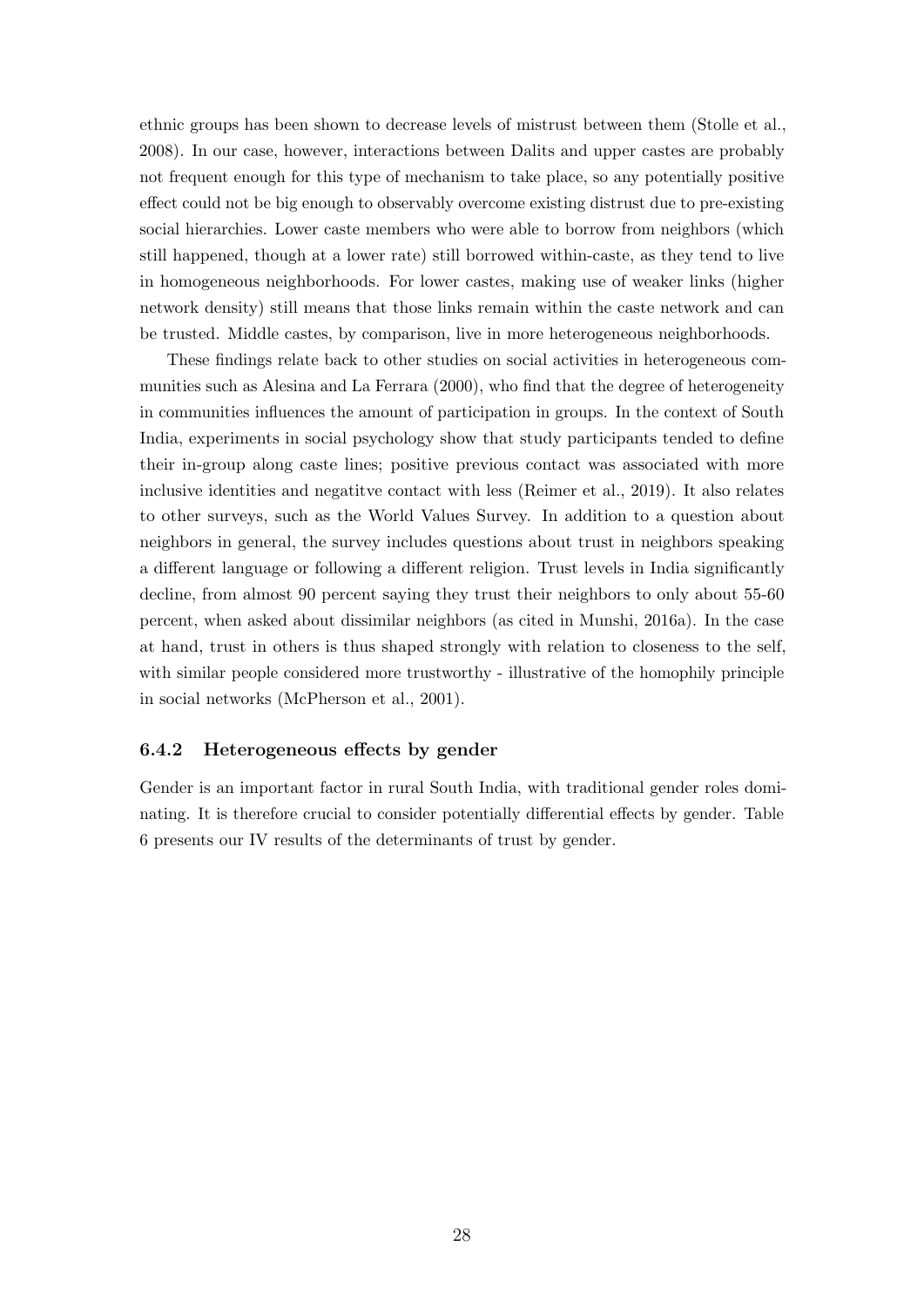ethnic groups has been shown to decrease levels of mistrust between them [\(Stolle et al.,](#page-43-9) [2008\)](#page-43-9). In our case, however, interactions between Dalits and upper castes are probably not frequent enough for this type of mechanism to take place, so any potentially positive effect could not be big enough to observably overcome existing distrust due to pre-existing social hierarchies. Lower caste members who were able to borrow from neighbors (which still happened, though at a lower rate) still borrowed within-caste, as they tend to live in homogeneous neighborhoods. For lower castes, making use of weaker links (higher network density) still means that those links remain within the caste network and can be trusted. Middle castes, by comparison, live in more heterogeneous neighborhoods.

These findings relate back to other studies on social activities in heterogeneous communities such as [Alesina and La Ferrara](#page-40-12) [\(2000\)](#page-40-12), who find that the degree of heterogeneity in communities influences the amount of participation in groups. In the context of South India, experiments in social psychology show that study participants tended to define their in-group along caste lines; positive previous contact was associated with more inclusive identities and negatitve contact with less [\(Reimer et al., 2019\)](#page-43-10). It also relates to other surveys, such as the World Values Survey. In addition to a question about neighbors in general, the survey includes questions about trust in neighbors speaking a different language or following a different religion. Trust levels in India significantly decline, from almost 90 percent saying they trust their neighbors to only about 55-60 percent, when asked about dissimilar neighbors (as cited in [Munshi, 2016a\)](#page-42-9). In the case at hand, trust in others is thus shaped strongly with relation to closeness to the self, with similar people considered more trustworthy - illustrative of the homophily principle in social networks [\(McPherson et al., 2001\)](#page-42-13).

#### 6.4.2 Heterogeneous effects by gender

Gender is an important factor in rural South India, with traditional gender roles dominating. It is therefore crucial to consider potentially differential effects by gender. Table [6](#page-31-0) presents our IV results of the determinants of trust by gender.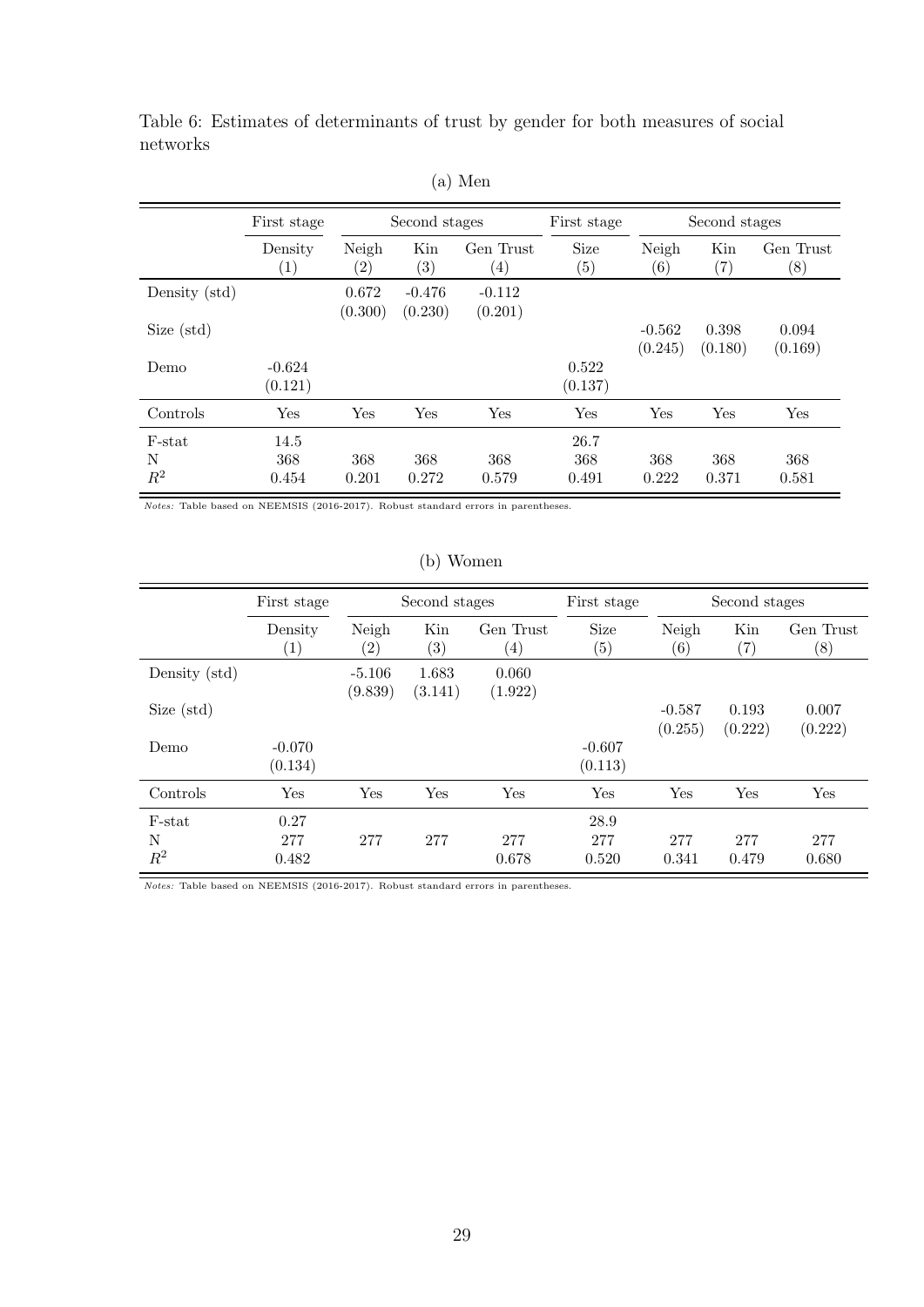|               | First stage                  |                            | Second stages            |                               | First stage               |                     | Second stages    |                               |
|---------------|------------------------------|----------------------------|--------------------------|-------------------------------|---------------------------|---------------------|------------------|-------------------------------|
|               | Density<br>$\left( 1\right)$ | Neigh<br>$\left( 2\right)$ | Kin<br>$\left( 3\right)$ | Gen Trust<br>$\left(4\right)$ | Size<br>$\left( 5\right)$ | Neigh<br>(6)        | Kin<br>(7)       | Gen Trust<br>$\left(8\right)$ |
| Density (std) |                              | 0.672<br>(0.300)           | $-0.476$<br>(0.230)      | $-0.112$<br>(0.201)           |                           |                     |                  |                               |
| Size (std)    |                              |                            |                          |                               |                           | $-0.562$<br>(0.245) | 0.398<br>(0.180) | 0.094<br>(0.169)              |
| Demo          | $-0.624$<br>(0.121)          |                            |                          |                               | 0.522<br>(0.137)          |                     |                  |                               |
| Controls      | Yes                          | Yes                        | Yes                      | Yes                           | Yes                       | Yes                 | Yes              | Yes                           |
| F-stat        | 14.5                         |                            |                          |                               | 26.7                      |                     |                  |                               |
| N<br>$R^2$    | 368<br>0.454                 | 368<br>0.201               | 368<br>0.272             | 368<br>0.579                  | 368<br>0.491              | 368<br>0.222        | 368<br>0.371     | 368<br>0.581                  |

<span id="page-31-0"></span>Table 6: Estimates of determinants of trust by gender for both measures of social networks

(a) Men

Notes: Table based on NEEMSIS (2016-2017). Robust standard errors in parentheses.

### (b) Women

|                      | First stage                 |                     | Second stages            |                                | First stage               | Second stages              |                      |                               |  |
|----------------------|-----------------------------|---------------------|--------------------------|--------------------------------|---------------------------|----------------------------|----------------------|-------------------------------|--|
|                      | Density<br>$\left(1\right)$ | Neigh<br>(2)        | Kin<br>$\left( 3\right)$ | Gen Trust<br>$\left( 4\right)$ | Size<br>$\left( 5\right)$ | Neigh<br>$\left( 6\right)$ | Kin<br>$^{\prime}7)$ | Gen Trust<br>$\left(8\right)$ |  |
| Density (std)        |                             | $-5.106$<br>(9.839) | 1.683<br>(3.141)         | 0.060<br>(1.922)               |                           |                            |                      |                               |  |
| Size (std)           |                             |                     |                          |                                |                           | $-0.587$<br>(0.255)        | 0.193<br>(0.222)     | 0.007<br>(0.222)              |  |
| Demo                 | $-0.070$<br>(0.134)         |                     |                          |                                | $-0.607$<br>(0.113)       |                            |                      |                               |  |
| Controls             | Yes                         | Yes                 | Yes                      | Yes                            | Yes                       | Yes                        | Yes                  | Yes                           |  |
| F-stat<br>N<br>$R^2$ | 0.27<br>277<br>0.482        | 277                 | 277                      | 277<br>0.678                   | 28.9<br>277<br>0.520      | 277<br>0.341               | 277<br>0.479         | 277<br>0.680                  |  |

Notes: Table based on NEEMSIS (2016-2017). Robust standard errors in parentheses.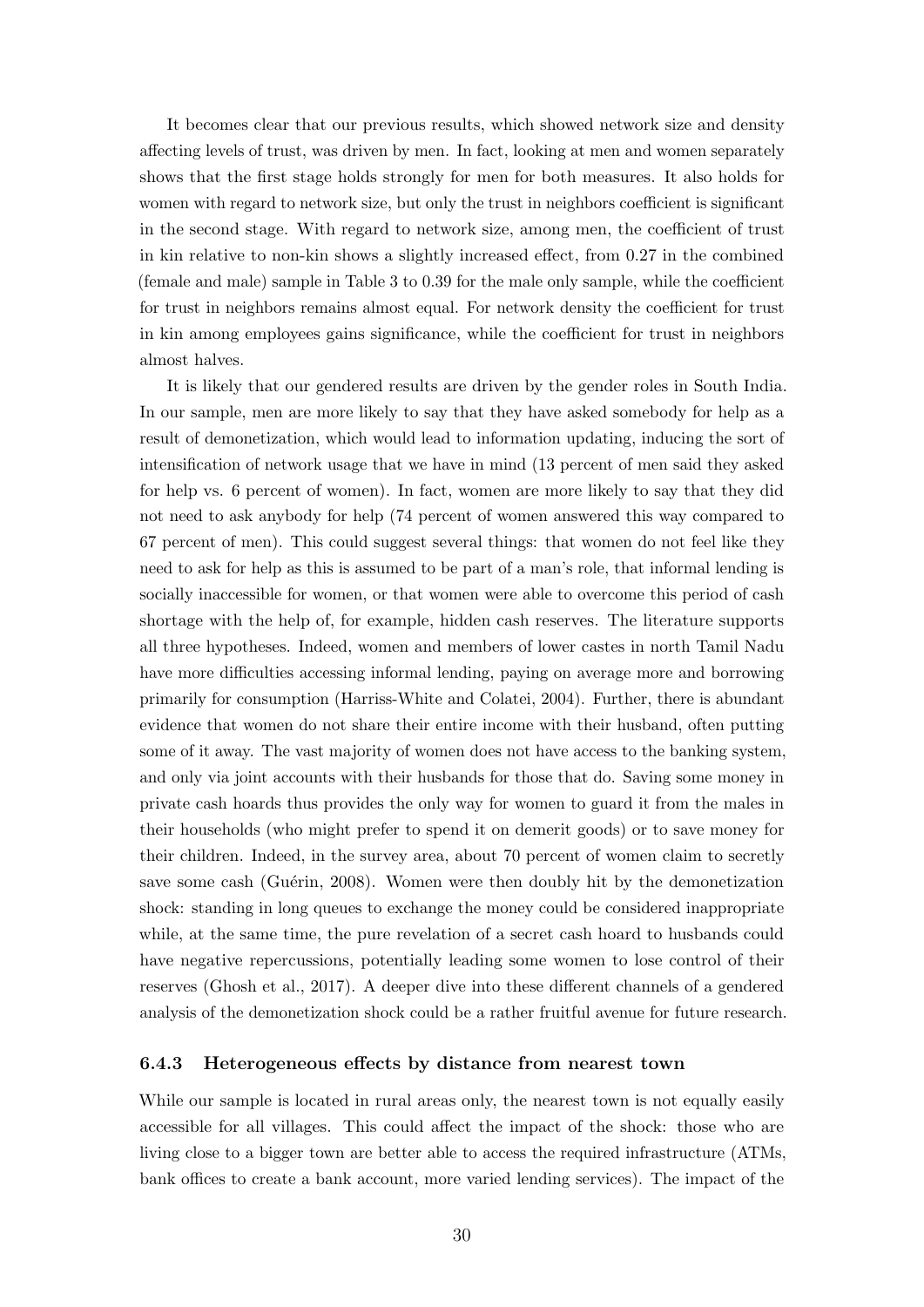It becomes clear that our previous results, which showed network size and density affecting levels of trust, was driven by men. In fact, looking at men and women separately shows that the first stage holds strongly for men for both measures. It also holds for women with regard to network size, but only the trust in neighbors coefficient is significant in the second stage. With regard to network size, among men, the coefficient of trust in kin relative to non-kin shows a slightly increased effect, from 0.27 in the combined (female and male) sample in Table [3](#page-25-0) to 0.39 for the male only sample, while the coefficient for trust in neighbors remains almost equal. For network density the coefficient for trust in kin among employees gains significance, while the coefficient for trust in neighbors almost halves.

It is likely that our gendered results are driven by the gender roles in South India. In our sample, men are more likely to say that they have asked somebody for help as a result of demonetization, which would lead to information updating, inducing the sort of intensification of network usage that we have in mind (13 percent of men said they asked for help vs. 6 percent of women). In fact, women are more likely to say that they did not need to ask anybody for help (74 percent of women answered this way compared to 67 percent of men). This could suggest several things: that women do not feel like they need to ask for help as this is assumed to be part of a man's role, that informal lending is socially inaccessible for women, or that women were able to overcome this period of cash shortage with the help of, for example, hidden cash reserves. The literature supports all three hypotheses. Indeed, women and members of lower castes in north Tamil Nadu have more difficulties accessing informal lending, paying on average more and borrowing primarily for consumption [\(Harriss-White and Colatei, 2004\)](#page-41-11). Further, there is abundant evidence that women do not share their entire income with their husband, often putting some of it away. The vast majority of women does not have access to the banking system, and only via joint accounts with their husbands for those that do. Saving some money in private cash hoards thus provides the only way for women to guard it from the males in their households (who might prefer to spend it on demerit goods) or to save money for their children. Indeed, in the survey area, about 70 percent of women claim to secretly save some cash (Guérin, 2008). Women were then doubly hit by the demonetization shock: standing in long queues to exchange the money could be considered inappropriate while, at the same time, the pure revelation of a secret cash hoard to husbands could have negative repercussions, potentially leading some women to lose control of their reserves [\(Ghosh et al., 2017\)](#page-41-4). A deeper dive into these different channels of a gendered analysis of the demonetization shock could be a rather fruitful avenue for future research.

#### 6.4.3 Heterogeneous effects by distance from nearest town

While our sample is located in rural areas only, the nearest town is not equally easily accessible for all villages. This could affect the impact of the shock: those who are living close to a bigger town are better able to access the required infrastructure (ATMs, bank offices to create a bank account, more varied lending services). The impact of the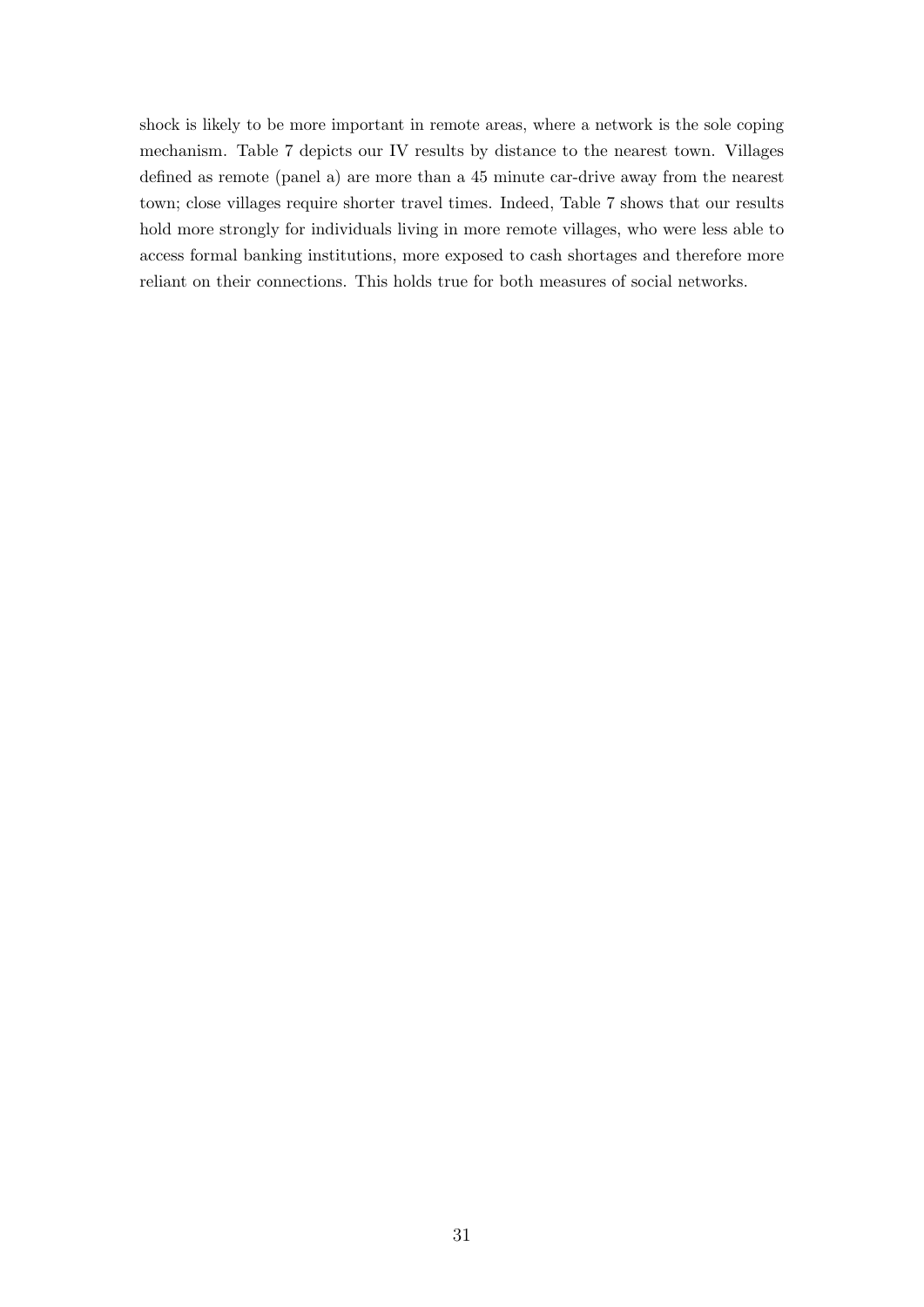shock is likely to be more important in remote areas, where a network is the sole coping mechanism. Table [7](#page-34-0) depicts our IV results by distance to the nearest town. Villages defined as remote (panel a) are more than a 45 minute car-drive away from the nearest town; close villages require shorter travel times. Indeed, Table [7](#page-34-0) shows that our results hold more strongly for individuals living in more remote villages, who were less able to access formal banking institutions, more exposed to cash shortages and therefore more reliant on their connections. This holds true for both measures of social networks.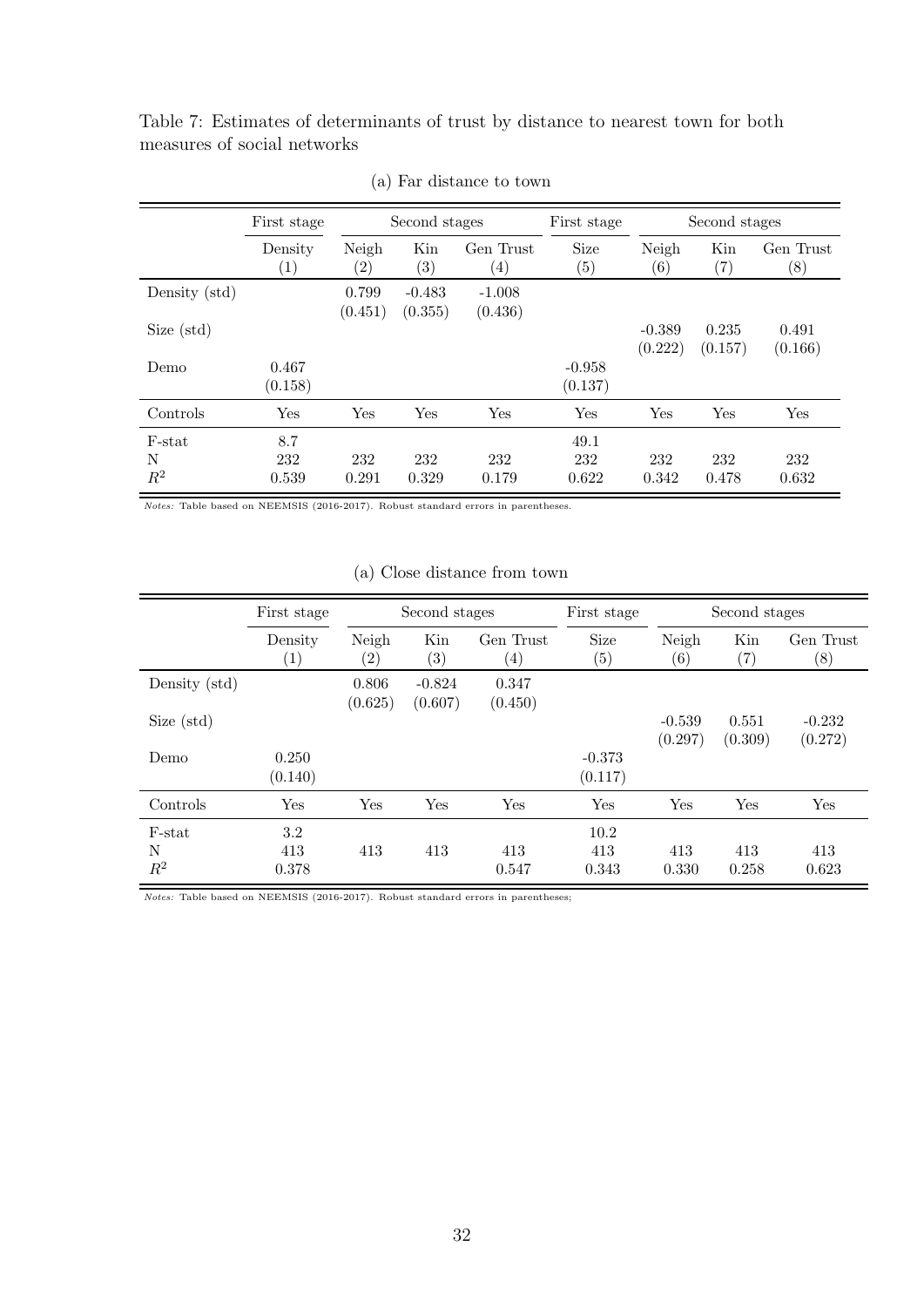<span id="page-34-0"></span>Table 7: Estimates of determinants of trust by distance to nearest town for both measures of social networks

|               | First stage                  |                            | Second stages            |                                | First stage         |                           | Second stages            |                               |  |
|---------------|------------------------------|----------------------------|--------------------------|--------------------------------|---------------------|---------------------------|--------------------------|-------------------------------|--|
|               | Density<br>$\left( 1\right)$ | Neigh<br>$\left( 2\right)$ | Kin<br>$\left( 3\right)$ | Gen Trust<br>$\left( 4\right)$ | Size<br>(5)         | Neigh<br>$\left(6\right)$ | Kin<br>$\left( 7\right)$ | Gen Trust<br>$\left(8\right)$ |  |
| Density (std) |                              | 0.799<br>(0.451)           | $-0.483$<br>(0.355)      | $-1.008$<br>(0.436)            |                     |                           |                          |                               |  |
| Size (std)    |                              |                            |                          |                                |                     | $-0.389$<br>(0.222)       | 0.235<br>(0.157)         | 0.491<br>(0.166)              |  |
| Demo          | 0.467<br>(0.158)             |                            |                          |                                | $-0.958$<br>(0.137) |                           |                          |                               |  |
| Controls      | Yes                          | Yes                        | Yes                      | Yes                            | Yes                 | Yes                       | Yes                      | Yes                           |  |
| F-stat        | 8.7                          |                            |                          |                                | 49.1                |                           |                          |                               |  |
| N<br>$R^2$    | 232<br>0.539                 | 232<br>0.291               | 232<br>0.329             | 232<br>0.179                   | 232<br>0.622        | 232<br>0.342              | 232<br>0.478             | 232<br>0.632                  |  |

(a) Far distance to town

Notes: Table based on NEEMSIS (2016-2017). Robust standard errors in parentheses.

### (a) Close distance from town

|                      | First stage                 | Second stages    |                          | First stage                   |                           | Second stages       |                          |                               |
|----------------------|-----------------------------|------------------|--------------------------|-------------------------------|---------------------------|---------------------|--------------------------|-------------------------------|
|                      | Density<br>$\left(1\right)$ | Neigh<br>(2)     | Kin<br>$\left( 3\right)$ | Gen Trust<br>$\left(4\right)$ | Size<br>$\left( 5\right)$ | Neigh<br>(6)        | Kin<br>$\left( 7\right)$ | Gen Trust<br>$\left(8\right)$ |
| Density (std)        |                             | 0.806<br>(0.625) | $-0.824$<br>(0.607)      | 0.347<br>(0.450)              |                           |                     |                          |                               |
| Size (std)           |                             |                  |                          |                               |                           | $-0.539$<br>(0.297) | 0.551<br>(0.309)         | $-0.232$<br>(0.272)           |
| Demo                 | 0.250<br>(0.140)            |                  |                          |                               | $-0.373$<br>(0.117)       |                     |                          |                               |
| Controls             | Yes                         | Yes              | Yes                      | Yes                           | Yes                       | Yes                 | Yes                      | Yes                           |
| F-stat<br>N<br>$R^2$ | 3.2<br>413<br>0.378         | 413              | 413                      | 413<br>0.547                  | 10.2<br>413<br>0.343      | 413<br>0.330        | 413<br>0.258             | 413<br>0.623                  |

Notes: Table based on NEEMSIS (2016-2017). Robust standard errors in parentheses;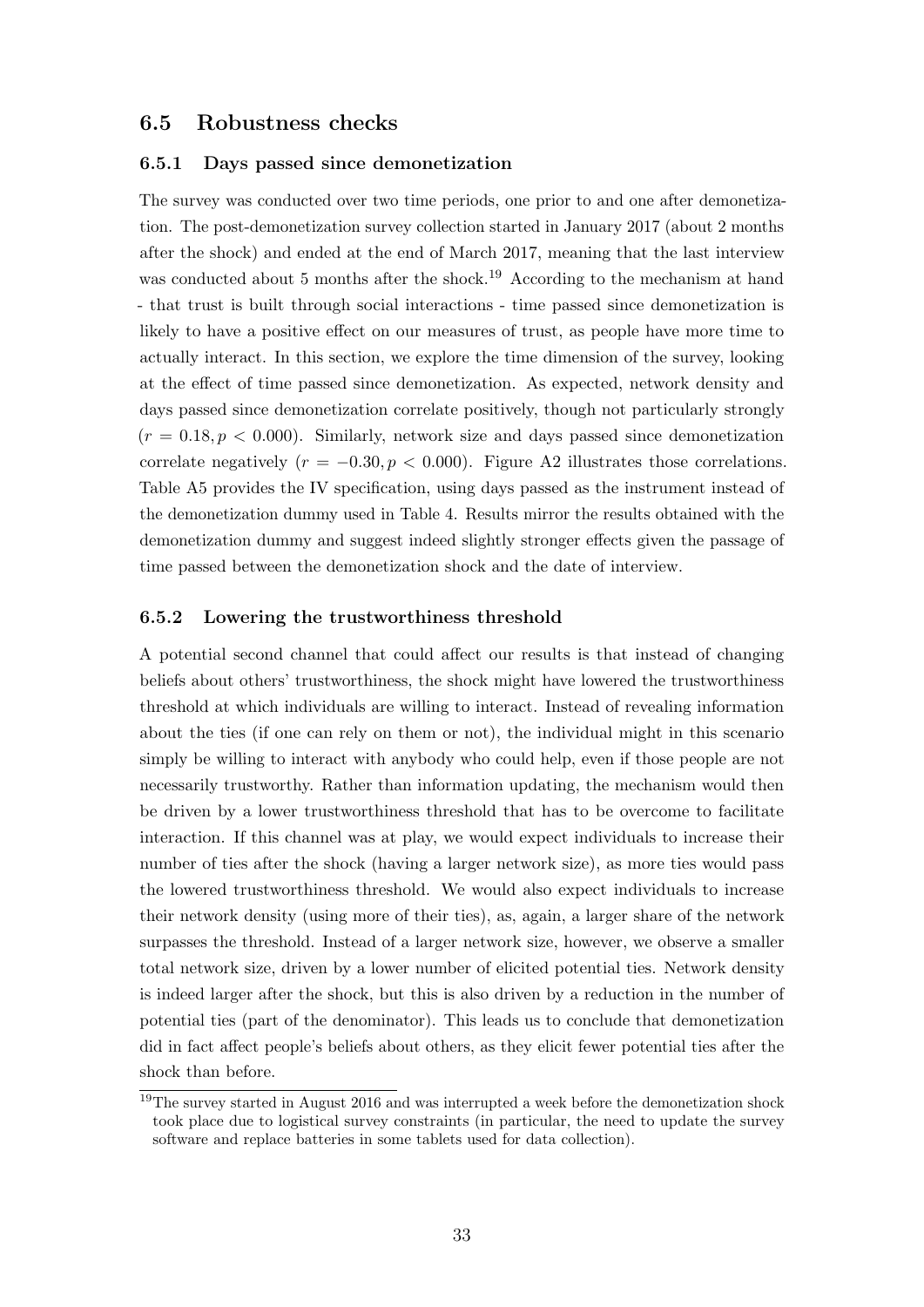### 6.5 Robustness checks

### 6.5.1 Days passed since demonetization

The survey was conducted over two time periods, one prior to and one after demonetization. The post-demonetization survey collection started in January 2017 (about 2 months after the shock) and ended at the end of March 2017, meaning that the last interview was conducted about 5 months after the shock.<sup>[19](#page-35-0)</sup> According to the mechanism at hand - that trust is built through social interactions - time passed since demonetization is likely to have a positive effect on our measures of trust, as people have more time to actually interact. In this section, we explore the time dimension of the survey, looking at the effect of time passed since demonetization. As expected, network density and days passed since demonetization correlate positively, though not particularly strongly  $(r = 0.18, p < 0.000)$ . Similarly, network size and days passed since demonetization correlate negatively ( $r = -0.30, p < 0.000$ ). Figure [A2](#page-49-0) illustrates those correlations. Table [A5](#page-50-0) provides the IV specification, using days passed as the instrument instead of the demonetization dummy used in Table [4.](#page-26-0) Results mirror the results obtained with the demonetization dummy and suggest indeed slightly stronger effects given the passage of time passed between the demonetization shock and the date of interview.

#### 6.5.2 Lowering the trustworthiness threshold

A potential second channel that could affect our results is that instead of changing beliefs about others' trustworthiness, the shock might have lowered the trustworthiness threshold at which individuals are willing to interact. Instead of revealing information about the ties (if one can rely on them or not), the individual might in this scenario simply be willing to interact with anybody who could help, even if those people are not necessarily trustworthy. Rather than information updating, the mechanism would then be driven by a lower trustworthiness threshold that has to be overcome to facilitate interaction. If this channel was at play, we would expect individuals to increase their number of ties after the shock (having a larger network size), as more ties would pass the lowered trustworthiness threshold. We would also expect individuals to increase their network density (using more of their ties), as, again, a larger share of the network surpasses the threshold. Instead of a larger network size, however, we observe a smaller total network size, driven by a lower number of elicited potential ties. Network density is indeed larger after the shock, but this is also driven by a reduction in the number of potential ties (part of the denominator). This leads us to conclude that demonetization did in fact affect people's beliefs about others, as they elicit fewer potential ties after the shock than before.

<span id="page-35-0"></span><sup>&</sup>lt;sup>19</sup>The survey started in August 2016 and was interrupted a week before the demonetization shock took place due to logistical survey constraints (in particular, the need to update the survey software and replace batteries in some tablets used for data collection).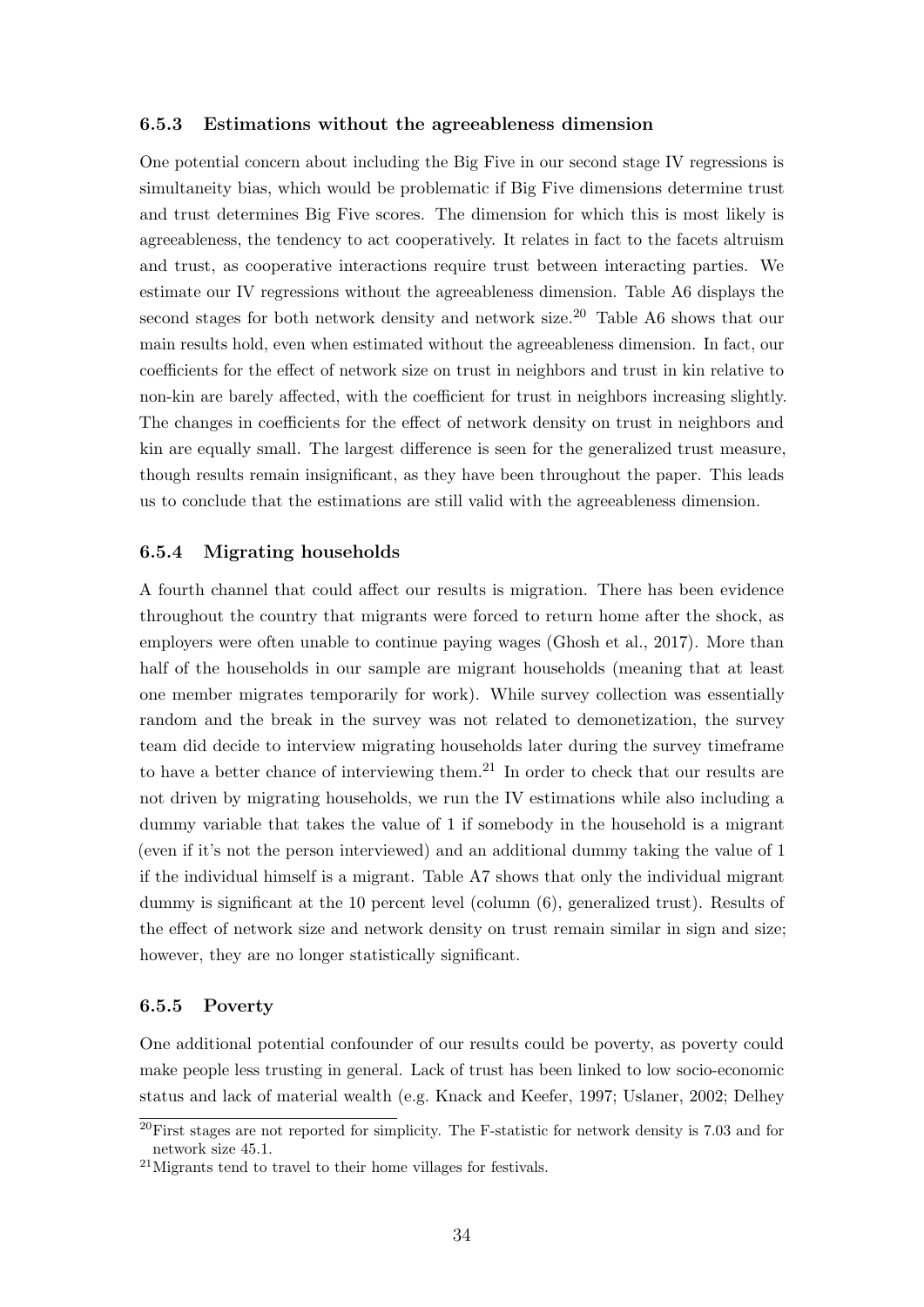#### 6.5.3 Estimations without the agreeableness dimension

One potential concern about including the Big Five in our second stage IV regressions is simultaneity bias, which would be problematic if Big Five dimensions determine trust and trust determines Big Five scores. The dimension for which this is most likely is agreeableness, the tendency to act cooperatively. It relates in fact to the facets altruism and trust, as cooperative interactions require trust between interacting parties. We estimate our IV regressions without the agreeableness dimension. Table [A6](#page-51-0) displays the second stages for both network density and network size.<sup>[20](#page-36-0)</sup> Table [A6](#page-51-0) shows that our main results hold, even when estimated without the agreeableness dimension. In fact, our coefficients for the effect of network size on trust in neighbors and trust in kin relative to non-kin are barely affected, with the coefficient for trust in neighbors increasing slightly. The changes in coefficients for the effect of network density on trust in neighbors and kin are equally small. The largest difference is seen for the generalized trust measure, though results remain insignificant, as they have been throughout the paper. This leads us to conclude that the estimations are still valid with the agreeableness dimension.

#### 6.5.4 Migrating households

A fourth channel that could affect our results is migration. There has been evidence throughout the country that migrants were forced to return home after the shock, as employers were often unable to continue paying wages [\(Ghosh et al., 2017\)](#page-41-4). More than half of the households in our sample are migrant households (meaning that at least one member migrates temporarily for work). While survey collection was essentially random and the break in the survey was not related to demonetization, the survey team did decide to interview migrating households later during the survey timeframe to have a better chance of interviewing them.<sup>[21](#page-36-1)</sup> In order to check that our results are not driven by migrating households, we run the IV estimations while also including a dummy variable that takes the value of 1 if somebody in the household is a migrant (even if it's not the person interviewed) and an additional dummy taking the value of 1 if the individual himself is a migrant. Table [A7](#page-52-0) shows that only the individual migrant dummy is significant at the 10 percent level (column (6), generalized trust). Results of the effect of network size and network density on trust remain similar in sign and size; however, they are no longer statistically significant.

#### 6.5.5 Poverty

One additional potential confounder of our results could be poverty, as poverty could make people less trusting in general. Lack of trust has been linked to low socio-economic status and lack of material wealth (e.g. [Knack and Keefer, 1997;](#page-42-0) [Uslaner, 2002;](#page-43-11) [Delhey](#page-40-13)

<span id="page-36-0"></span> $^{20}$ [First stages are not reported for simplicity. The F-statistic for network density is 7.03 and for](#page-40-13) [network size 45.1.](#page-40-13)

<span id="page-36-1"></span><sup>21</sup>[Migrants tend to travel to their home villages for festivals.](#page-40-13)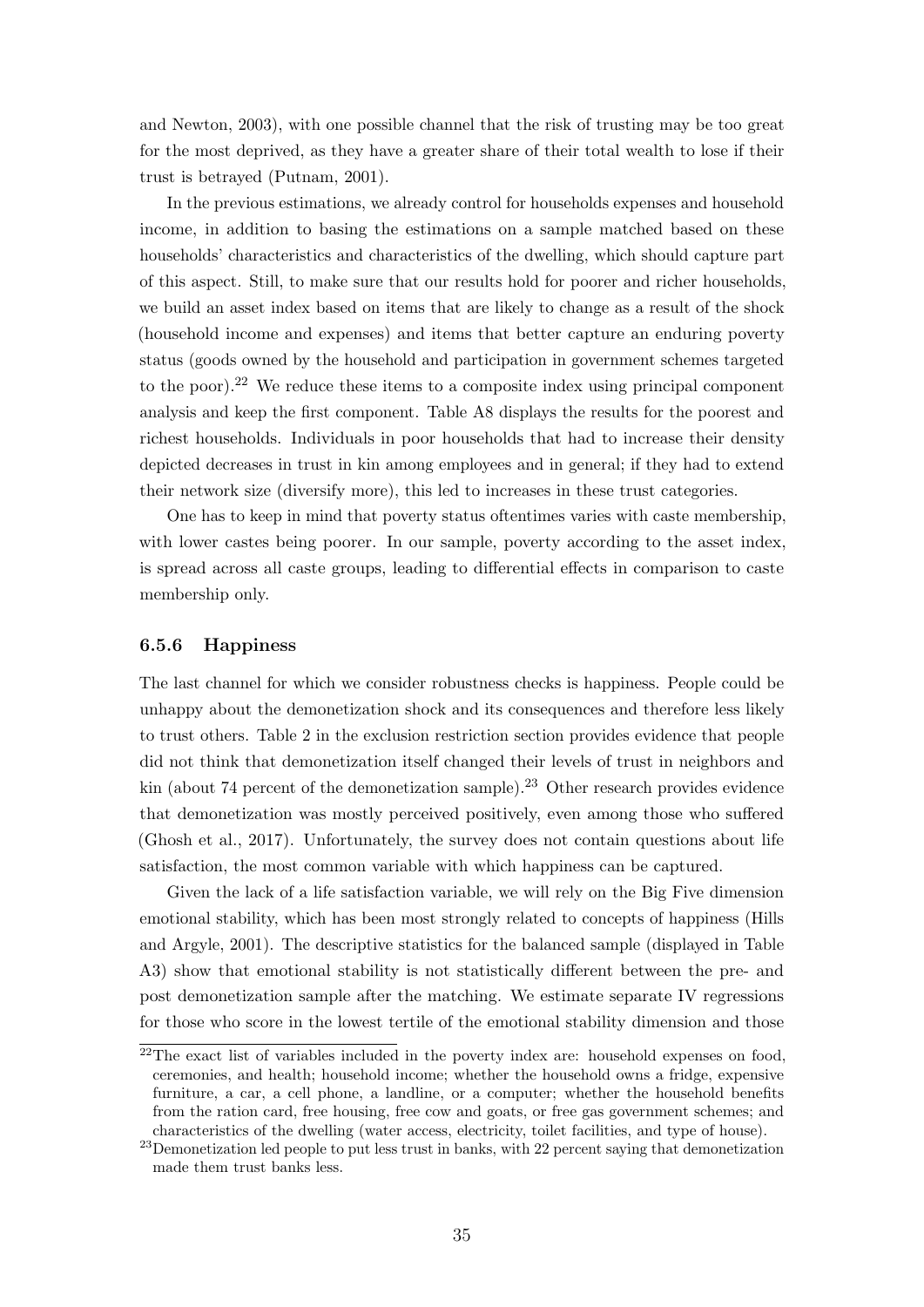[and Newton, 2003\)](#page-40-13), with one possible channel that the risk of trusting may be too great for the most deprived, as they have a greater share of their total wealth to lose if their trust is betrayed [\(Putnam, 2001\)](#page-43-0).

In the previous estimations, we already control for households expenses and household income, in addition to basing the estimations on a sample matched based on these households' characteristics and characteristics of the dwelling, which should capture part of this aspect. Still, to make sure that our results hold for poorer and richer households, we build an asset index based on items that are likely to change as a result of the shock (household income and expenses) and items that better capture an enduring poverty status (goods owned by the household and participation in government schemes targeted to the poor).<sup>[22](#page-37-0)</sup> We reduce these items to a composite index using principal component analysis and keep the first component. Table [A8](#page-53-0) displays the results for the poorest and richest households. Individuals in poor households that had to increase their density depicted decreases in trust in kin among employees and in general; if they had to extend their network size (diversify more), this led to increases in these trust categories.

One has to keep in mind that poverty status oftentimes varies with caste membership, with lower castes being poorer. In our sample, poverty according to the asset index, is spread across all caste groups, leading to differential effects in comparison to caste membership only.

#### 6.5.6 Happiness

The last channel for which we consider robustness checks is happiness. People could be unhappy about the demonetization shock and its consequences and therefore less likely to trust others. Table [2](#page-19-0) in the exclusion restriction section provides evidence that people did not think that demonetization itself changed their levels of trust in neighbors and kin (about 74 percent of the demonetization sample).<sup>[23](#page-37-1)</sup> Other research provides evidence that demonetization was mostly perceived positively, even among those who suffered [\(Ghosh et al., 2017\)](#page-41-4). Unfortunately, the survey does not contain questions about life satisfaction, the most common variable with which happiness can be captured.

Given the lack of a life satisfaction variable, we will rely on the Big Five dimension emotional stability, which has been most strongly related to concepts of happiness [\(Hills](#page-42-14) [and Argyle, 2001\)](#page-42-14). The descriptive statistics for the balanced sample (displayed in Table [A3\)](#page-47-0) show that emotional stability is not statistically different between the pre- and post demonetization sample after the matching. We estimate separate IV regressions for those who score in the lowest tertile of the emotional stability dimension and those

<span id="page-37-0"></span><sup>&</sup>lt;sup>22</sup>The exact list of variables included in the poverty index are: household expenses on food, ceremonies, and health; household income; whether the household owns a fridge, expensive furniture, a car, a cell phone, a landline, or a computer; whether the household benefits from the ration card, free housing, free cow and goats, or free gas government schemes; and characteristics of the dwelling (water access, electricity, toilet facilities, and type of house).

<span id="page-37-1"></span><sup>&</sup>lt;sup>23</sup>Demonetization led people to put less trust in banks, with 22 percent saying that demonetization made them trust banks less.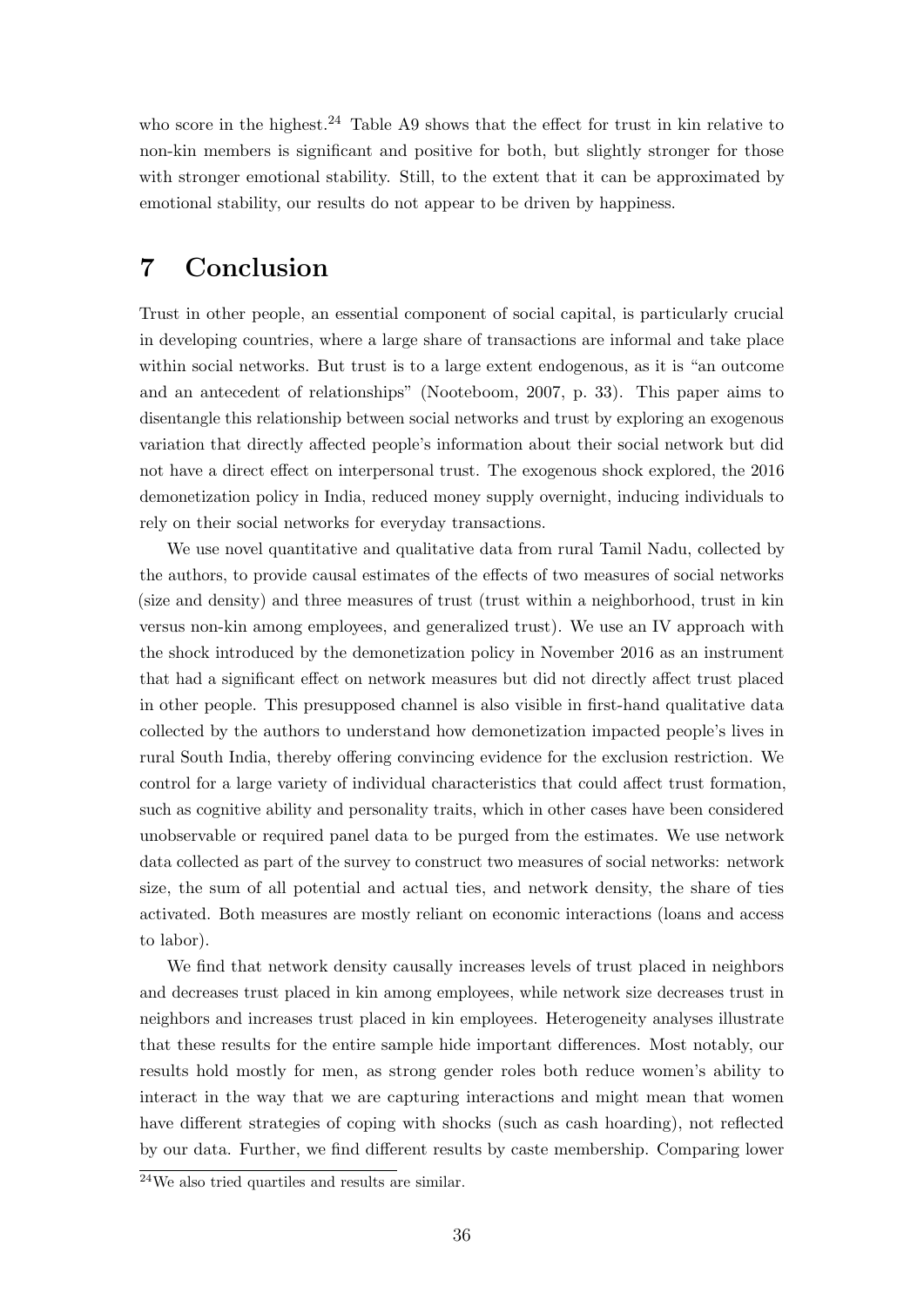who score in the highest.<sup>[24](#page-38-1)</sup> Table [A9](#page-54-0) shows that the effect for trust in kin relative to non-kin members is significant and positive for both, but slightly stronger for those with stronger emotional stability. Still, to the extent that it can be approximated by emotional stability, our results do not appear to be driven by happiness.

# <span id="page-38-0"></span>7 Conclusion

Trust in other people, an essential component of social capital, is particularly crucial in developing countries, where a large share of transactions are informal and take place within social networks. But trust is to a large extent endogenous, as it is "an outcome and an antecedent of relationships" [\(Nooteboom, 2007,](#page-43-2) p. 33). This paper aims to disentangle this relationship between social networks and trust by exploring an exogenous variation that directly affected people's information about their social network but did not have a direct effect on interpersonal trust. The exogenous shock explored, the 2016 demonetization policy in India, reduced money supply overnight, inducing individuals to rely on their social networks for everyday transactions.

We use novel quantitative and qualitative data from rural Tamil Nadu, collected by the authors, to provide causal estimates of the effects of two measures of social networks (size and density) and three measures of trust (trust within a neighborhood, trust in kin versus non-kin among employees, and generalized trust). We use an IV approach with the shock introduced by the demonetization policy in November 2016 as an instrument that had a significant effect on network measures but did not directly affect trust placed in other people. This presupposed channel is also visible in first-hand qualitative data collected by the authors to understand how demonetization impacted people's lives in rural South India, thereby offering convincing evidence for the exclusion restriction. We control for a large variety of individual characteristics that could affect trust formation, such as cognitive ability and personality traits, which in other cases have been considered unobservable or required panel data to be purged from the estimates. We use network data collected as part of the survey to construct two measures of social networks: network size, the sum of all potential and actual ties, and network density, the share of ties activated. Both measures are mostly reliant on economic interactions (loans and access to labor).

We find that network density causally increases levels of trust placed in neighbors and decreases trust placed in kin among employees, while network size decreases trust in neighbors and increases trust placed in kin employees. Heterogeneity analyses illustrate that these results for the entire sample hide important differences. Most notably, our results hold mostly for men, as strong gender roles both reduce women's ability to interact in the way that we are capturing interactions and might mean that women have different strategies of coping with shocks (such as cash hoarding), not reflected by our data. Further, we find different results by caste membership. Comparing lower

<span id="page-38-1"></span> $24$ We also tried quartiles and results are similar.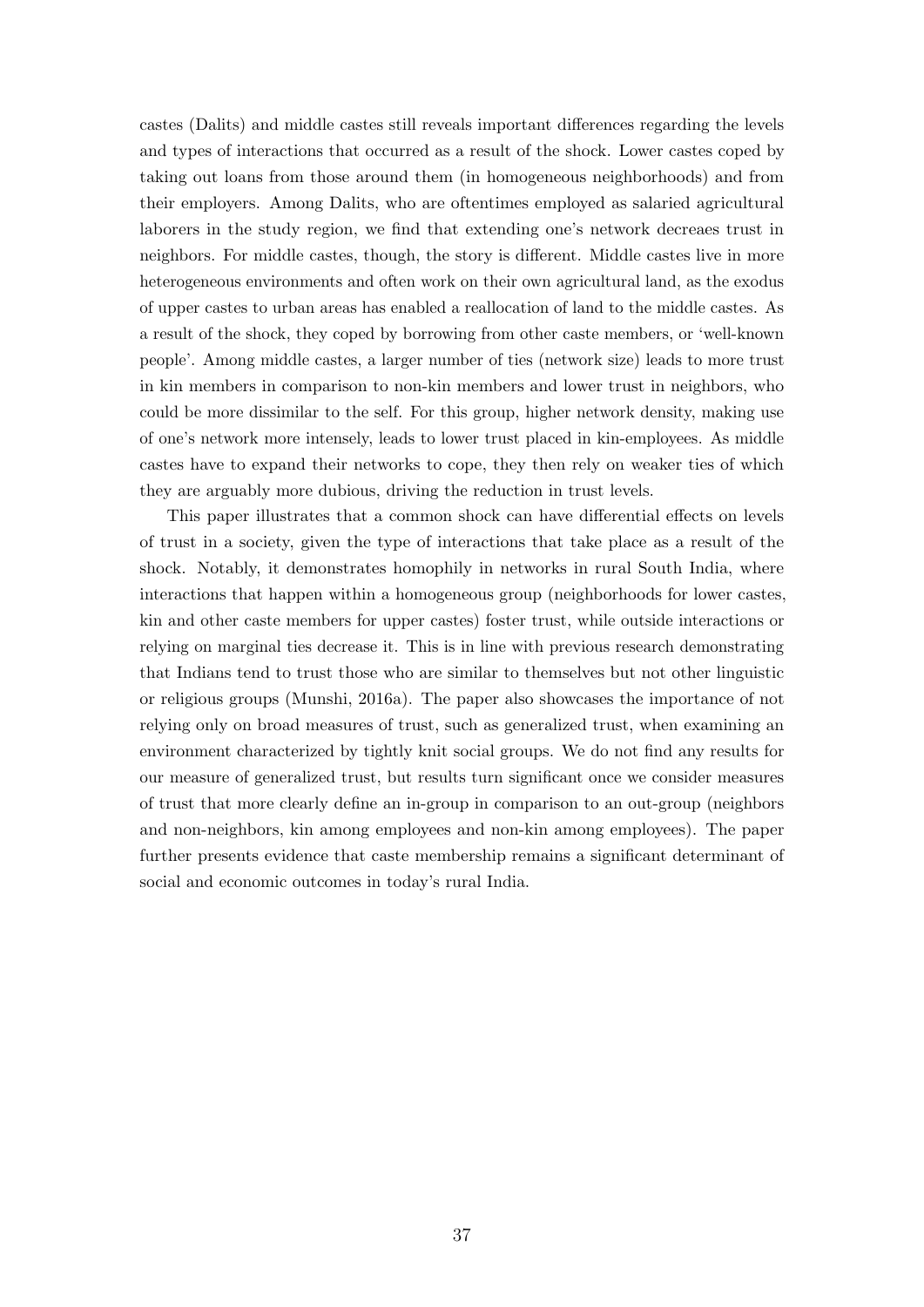castes (Dalits) and middle castes still reveals important differences regarding the levels and types of interactions that occurred as a result of the shock. Lower castes coped by taking out loans from those around them (in homogeneous neighborhoods) and from their employers. Among Dalits, who are oftentimes employed as salaried agricultural laborers in the study region, we find that extending one's network decreaes trust in neighbors. For middle castes, though, the story is different. Middle castes live in more heterogeneous environments and often work on their own agricultural land, as the exodus of upper castes to urban areas has enabled a reallocation of land to the middle castes. As a result of the shock, they coped by borrowing from other caste members, or 'well-known people'. Among middle castes, a larger number of ties (network size) leads to more trust in kin members in comparison to non-kin members and lower trust in neighbors, who could be more dissimilar to the self. For this group, higher network density, making use of one's network more intensely, leads to lower trust placed in kin-employees. As middle castes have to expand their networks to cope, they then rely on weaker ties of which they are arguably more dubious, driving the reduction in trust levels.

This paper illustrates that a common shock can have differential effects on levels of trust in a society, given the type of interactions that take place as a result of the shock. Notably, it demonstrates homophily in networks in rural South India, where interactions that happen within a homogeneous group (neighborhoods for lower castes, kin and other caste members for upper castes) foster trust, while outside interactions or relying on marginal ties decrease it. This is in line with previous research demonstrating that Indians tend to trust those who are similar to themselves but not other linguistic or religious groups [\(Munshi, 2016a\)](#page-42-9). The paper also showcases the importance of not relying only on broad measures of trust, such as generalized trust, when examining an environment characterized by tightly knit social groups. We do not find any results for our measure of generalized trust, but results turn significant once we consider measures of trust that more clearly define an in-group in comparison to an out-group (neighbors and non-neighbors, kin among employees and non-kin among employees). The paper further presents evidence that caste membership remains a significant determinant of social and economic outcomes in today's rural India.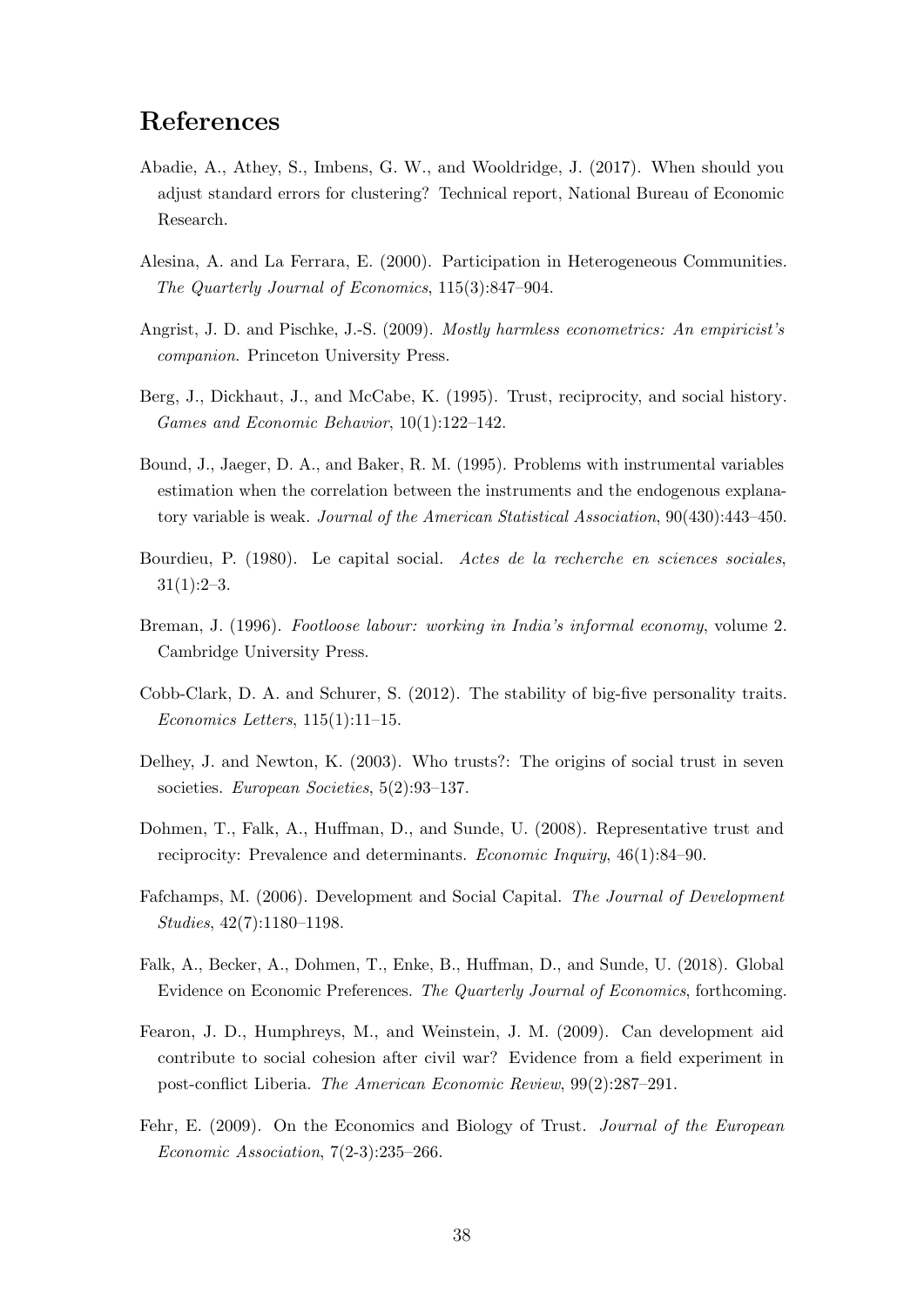# References

- <span id="page-40-11"></span>Abadie, A., Athey, S., Imbens, G. W., and Wooldridge, J. (2017). When should you adjust standard errors for clustering? Technical report, National Bureau of Economic Research.
- <span id="page-40-12"></span>Alesina, A. and La Ferrara, E. (2000). Participation in Heterogeneous Communities. The Quarterly Journal of Economics, 115(3):847–904.
- <span id="page-40-9"></span>Angrist, J. D. and Pischke, J.-S. (2009). Mostly harmless econometrics: An empiricist's companion. Princeton University Press.
- <span id="page-40-7"></span>Berg, J., Dickhaut, J., and McCabe, K. (1995). Trust, reciprocity, and social history. Games and Economic Behavior, 10(1):122–142.
- <span id="page-40-8"></span>Bound, J., Jaeger, D. A., and Baker, R. M. (1995). Problems with instrumental variables estimation when the correlation between the instruments and the endogenous explanatory variable is weak. Journal of the American Statistical Association, 90(430):443–450.
- <span id="page-40-0"></span>Bourdieu, P. (1980). Le capital social. Actes de la recherche en sciences sociales,  $31(1):2-3.$
- <span id="page-40-6"></span>Breman, J. (1996). Footloose labour: working in India's informal economy, volume 2. Cambridge University Press.
- <span id="page-40-10"></span>Cobb-Clark, D. A. and Schurer, S. (2012). The stability of big-five personality traits. Economics Letters, 115(1):11–15.
- <span id="page-40-13"></span>Delhey, J. and Newton, K. (2003). Who trusts?: The origins of social trust in seven societies. European Societies, 5(2):93–137.
- <span id="page-40-4"></span>Dohmen, T., Falk, A., Huffman, D., and Sunde, U. (2008). Representative trust and reciprocity: Prevalence and determinants. Economic Inquiry, 46(1):84–90.
- <span id="page-40-1"></span>Fafchamps, M. (2006). Development and Social Capital. The Journal of Development Studies, 42(7):1180–1198.
- <span id="page-40-5"></span>Falk, A., Becker, A., Dohmen, T., Enke, B., Huffman, D., and Sunde, U. (2018). Global Evidence on Economic Preferences. The Quarterly Journal of Economics, forthcoming.
- <span id="page-40-3"></span>Fearon, J. D., Humphreys, M., and Weinstein, J. M. (2009). Can development aid contribute to social cohesion after civil war? Evidence from a field experiment in post-conflict Liberia. The American Economic Review, 99(2):287–291.
- <span id="page-40-2"></span>Fehr, E. (2009). On the Economics and Biology of Trust. Journal of the European Economic Association, 7(2-3):235–266.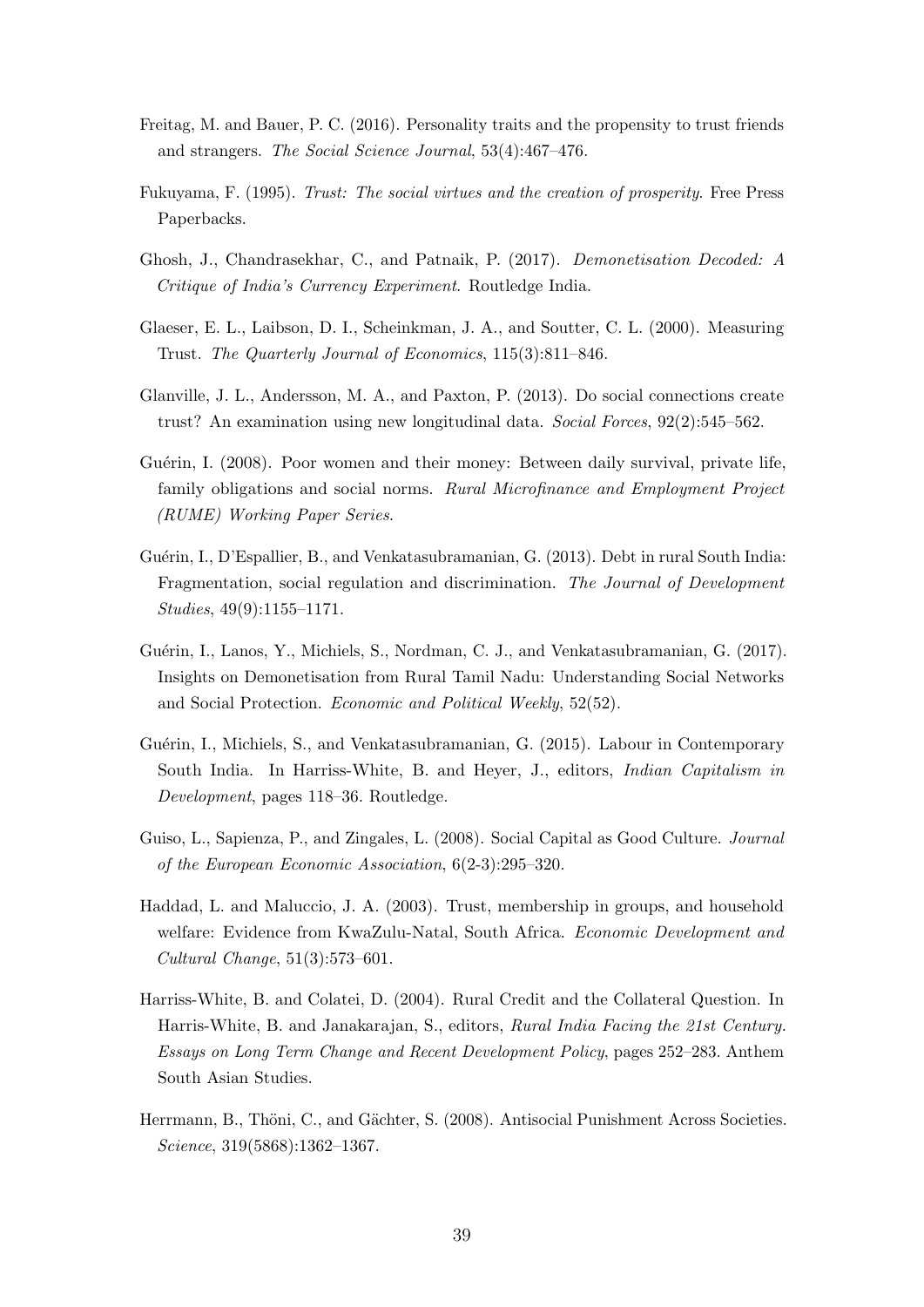- <span id="page-41-10"></span>Freitag, M. and Bauer, P. C. (2016). Personality traits and the propensity to trust friends and strangers. The Social Science Journal, 53(4):467–476.
- <span id="page-41-0"></span>Fukuyama, F. (1995). Trust: The social virtues and the creation of prosperity. Free Press Paperbacks.
- <span id="page-41-4"></span>Ghosh, J., Chandrasekhar, C., and Patnaik, P. (2017). Demonetisation Decoded: A Critique of India's Currency Experiment. Routledge India.
- <span id="page-41-8"></span>Glaeser, E. L., Laibson, D. I., Scheinkman, J. A., and Soutter, C. L. (2000). Measuring Trust. The Quarterly Journal of Economics, 115(3):811–846.
- <span id="page-41-1"></span>Glanville, J. L., Andersson, M. A., and Paxton, P. (2013). Do social connections create trust? An examination using new longitudinal data. Social Forces, 92(2):545–562.
- <span id="page-41-12"></span>Guérin, I. (2008). Poor women and their money: Between daily survival, private life, family obligations and social norms. Rural Microfinance and Employment Project (RUME) Working Paper Series.
- <span id="page-41-3"></span>Guérin, I., D'Espallier, B., and Venkatasubramanian, G. (2013). Debt in rural South India: Fragmentation, social regulation and discrimination. The Journal of Development Studies, 49(9):1155–1171.
- <span id="page-41-5"></span>Guérin, I., Lanos, Y., Michiels, S., Nordman, C. J., and Venkatasubramanian, G. (2017). Insights on Demonetisation from Rural Tamil Nadu: Understanding Social Networks and Social Protection. Economic and Political Weekly, 52(52).
- <span id="page-41-2"></span>Guérin, I., Michiels, S., and Venkatasubramanian, G. (2015). Labour in Contemporary South India. In Harriss-White, B. and Heyer, J., editors, Indian Capitalism in Development, pages 118–36. Routledge.
- <span id="page-41-6"></span>Guiso, L., Sapienza, P., and Zingales, L. (2008). Social Capital as Good Culture. Journal of the European Economic Association, 6(2-3):295–320.
- <span id="page-41-9"></span>Haddad, L. and Maluccio, J. A. (2003). Trust, membership in groups, and household welfare: Evidence from KwaZulu-Natal, South Africa. Economic Development and Cultural Change, 51(3):573–601.
- <span id="page-41-11"></span>Harriss-White, B. and Colatei, D. (2004). Rural Credit and the Collateral Question. In Harris-White, B. and Janakarajan, S., editors, Rural India Facing the 21st Century. Essays on Long Term Change and Recent Development Policy, pages 252–283. Anthem South Asian Studies.
- <span id="page-41-7"></span>Herrmann, B., Thöni, C., and Gächter, S. (2008). Antisocial Punishment Across Societies. Science, 319(5868):1362–1367.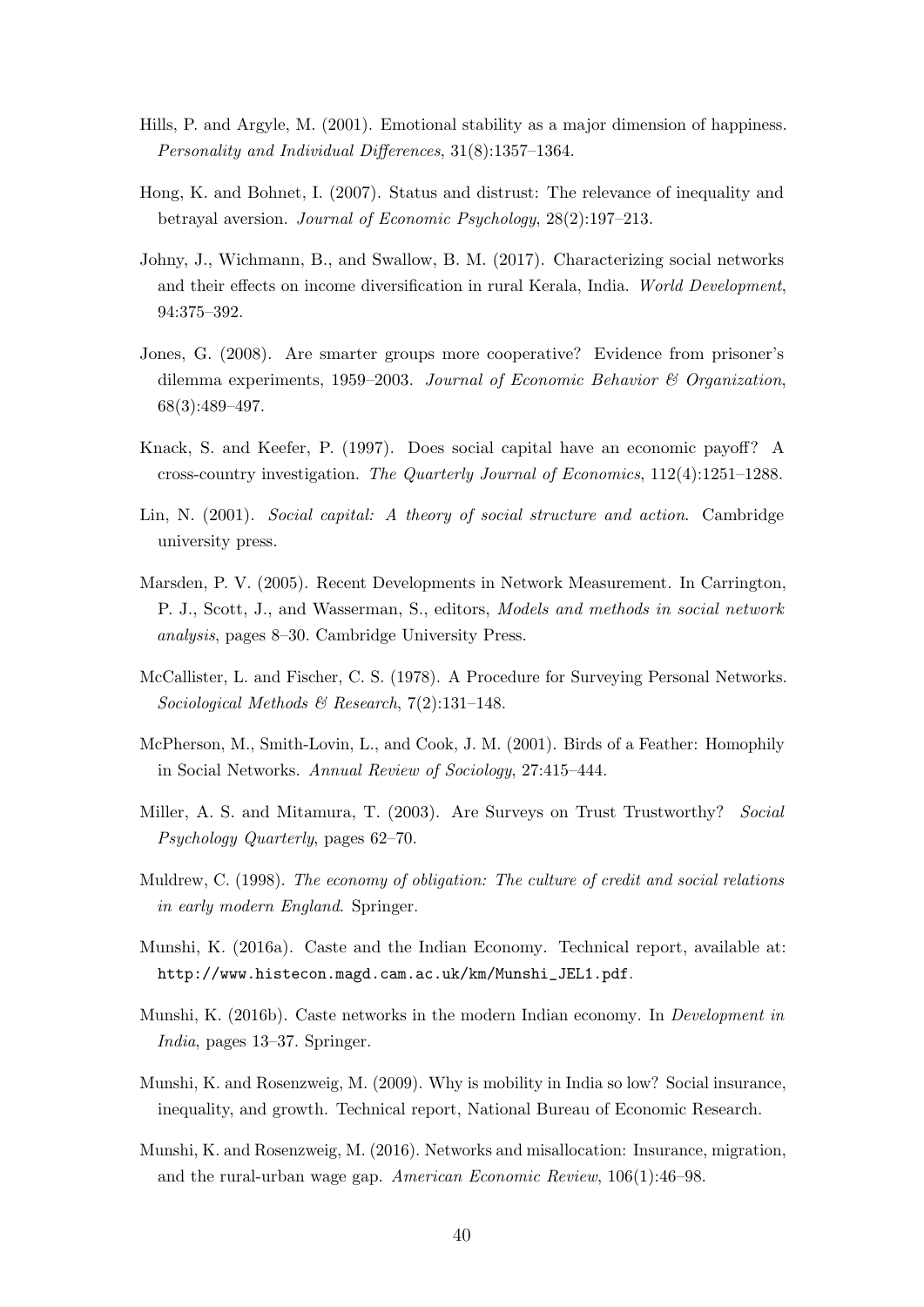- <span id="page-42-14"></span>Hills, P. and Argyle, M. (2001). Emotional stability as a major dimension of happiness. Personality and Individual Differences, 31(8):1357–1364.
- <span id="page-42-4"></span>Hong, K. and Bohnet, I. (2007). Status and distrust: The relevance of inequality and betrayal aversion. Journal of Economic Psychology, 28(2):197–213.
- <span id="page-42-8"></span>Johny, J., Wichmann, B., and Swallow, B. M. (2017). Characterizing social networks and their effects on income diversification in rural Kerala, India. World Development, 94:375–392.
- <span id="page-42-3"></span>Jones, G. (2008). Are smarter groups more cooperative? Evidence from prisoner's dilemma experiments, 1959–2003. Journal of Economic Behavior  $\mathcal B$  Organization, 68(3):489–497.
- <span id="page-42-0"></span>Knack, S. and Keefer, P. (1997). Does social capital have an economic payoff? A cross-country investigation. The Quarterly Journal of Economics, 112(4):1251–1288.
- <span id="page-42-7"></span>Lin, N. (2001). Social capital: A theory of social structure and action. Cambridge university press.
- <span id="page-42-6"></span>Marsden, P. V. (2005). Recent Developments in Network Measurement. In Carrington, P. J., Scott, J., and Wasserman, S., editors, Models and methods in social network analysis, pages 8–30. Cambridge University Press.
- <span id="page-42-5"></span>McCallister, L. and Fischer, C. S. (1978). A Procedure for Surveying Personal Networks. Sociological Methods & Research,  $7(2):131-148$ .
- <span id="page-42-13"></span>McPherson, M., Smith-Lovin, L., and Cook, J. M. (2001). Birds of a Feather: Homophily in Social Networks. Annual Review of Sociology, 27:415–444.
- <span id="page-42-10"></span>Miller, A. S. and Mitamura, T. (2003). Are Surveys on Trust Trustworthy? Social Psychology Quarterly, pages 62–70.
- <span id="page-42-1"></span>Muldrew, C. (1998). The economy of obligation: The culture of credit and social relations in early modern England. Springer.
- <span id="page-42-9"></span>Munshi, K. (2016a). Caste and the Indian Economy. Technical report, available at: [http://www.histecon.magd.cam.ac.uk/km/Munshi\\_JEL1.pdf](http://www.histecon.magd.cam.ac.uk/km/Munshi_JEL1.pdf).
- <span id="page-42-11"></span>Munshi, K. (2016b). Caste networks in the modern Indian economy. In Development in India, pages 13–37. Springer.
- <span id="page-42-12"></span>Munshi, K. and Rosenzweig, M. (2009). Why is mobility in India so low? Social insurance, inequality, and growth. Technical report, National Bureau of Economic Research.
- <span id="page-42-2"></span>Munshi, K. and Rosenzweig, M. (2016). Networks and misallocation: Insurance, migration, and the rural-urban wage gap. American Economic Review, 106(1):46–98.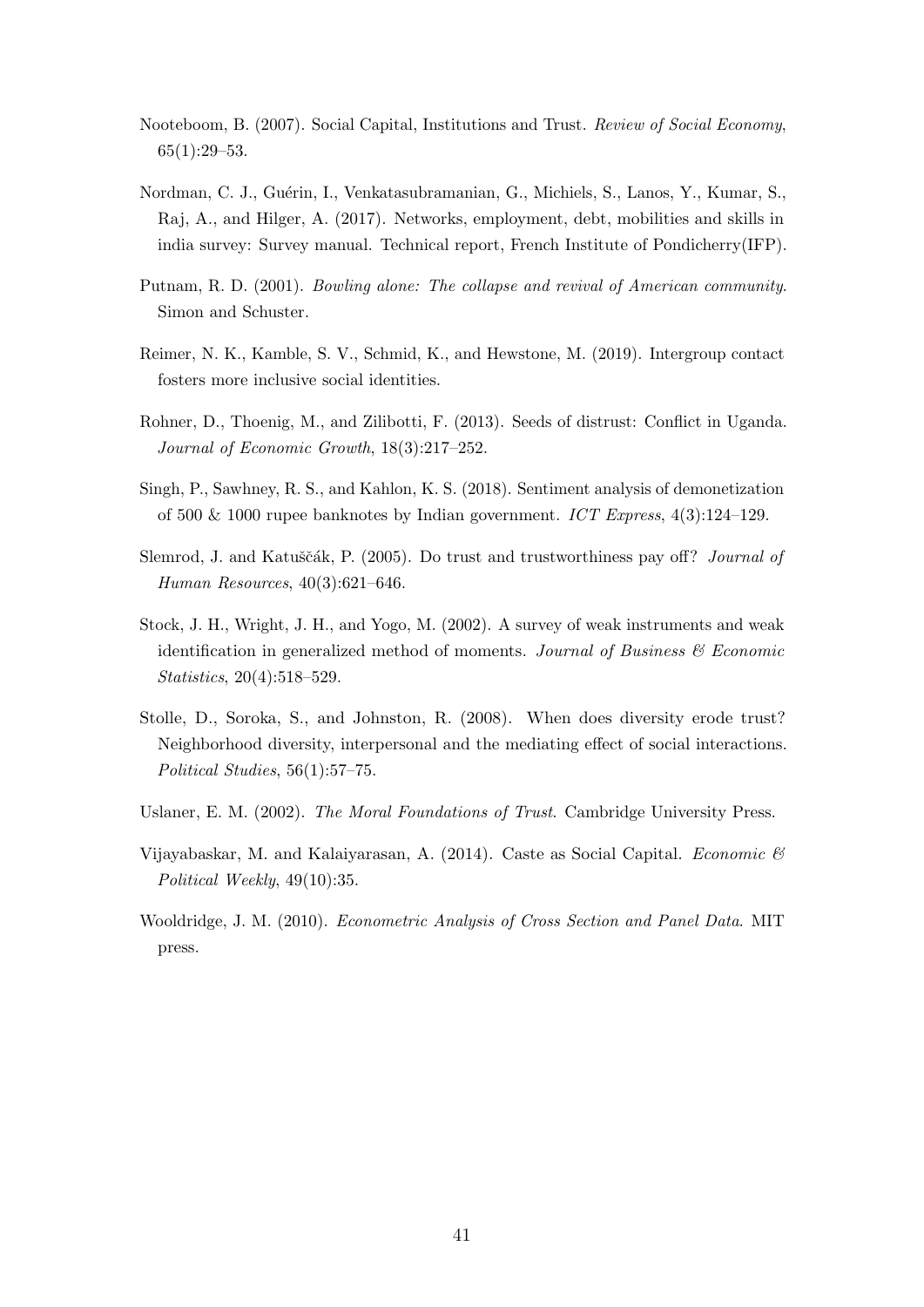- <span id="page-43-2"></span>Nooteboom, B. (2007). Social Capital, Institutions and Trust. Review of Social Economy, 65(1):29–53.
- <span id="page-43-5"></span>Nordman, C. J., Guérin, I., Venkatasubramanian, G., Michiels, S., Lanos, Y., Kumar, S., Raj, A., and Hilger, A. (2017). Networks, employment, debt, mobilities and skills in india survey: Survey manual. Technical report, French Institute of Pondicherry(IFP).
- <span id="page-43-0"></span>Putnam, R. D. (2001). Bowling alone: The collapse and revival of American community. Simon and Schuster.
- <span id="page-43-10"></span>Reimer, N. K., Kamble, S. V., Schmid, K., and Hewstone, M. (2019). Intergroup contact fosters more inclusive social identities.
- <span id="page-43-3"></span>Rohner, D., Thoenig, M., and Zilibotti, F. (2013). Seeds of distrust: Conflict in Uganda. Journal of Economic Growth, 18(3):217–252.
- <span id="page-43-6"></span>Singh, P., Sawhney, R. S., and Kahlon, K. S. (2018). Sentiment analysis of demonetization of 500 & 1000 rupee banknotes by Indian government. ICT Express,  $4(3):124-129$ .
- <span id="page-43-1"></span>Slemrod, J. and Katuščák, P. (2005). Do trust and trustworthiness pay off? *Journal of* Human Resources, 40(3):621–646.
- <span id="page-43-8"></span>Stock, J. H., Wright, J. H., and Yogo, M. (2002). A survey of weak instruments and weak identification in generalized method of moments. Journal of Business  $\mathcal{C}'$  Economic Statistics, 20(4):518–529.
- <span id="page-43-9"></span>Stolle, D., Soroka, S., and Johnston, R. (2008). When does diversity erode trust? Neighborhood diversity, interpersonal and the mediating effect of social interactions. Political Studies, 56(1):57–75.
- <span id="page-43-11"></span>Uslaner, E. M. (2002). The Moral Foundations of Trust. Cambridge University Press.
- <span id="page-43-4"></span>Vijayabaskar, M. and Kalaiyarasan, A. (2014). Caste as Social Capital. Economic  $\mathcal{C}$ Political Weekly, 49(10):35.
- <span id="page-43-7"></span>Wooldridge, J. M. (2010). Econometric Analysis of Cross Section and Panel Data. MIT press.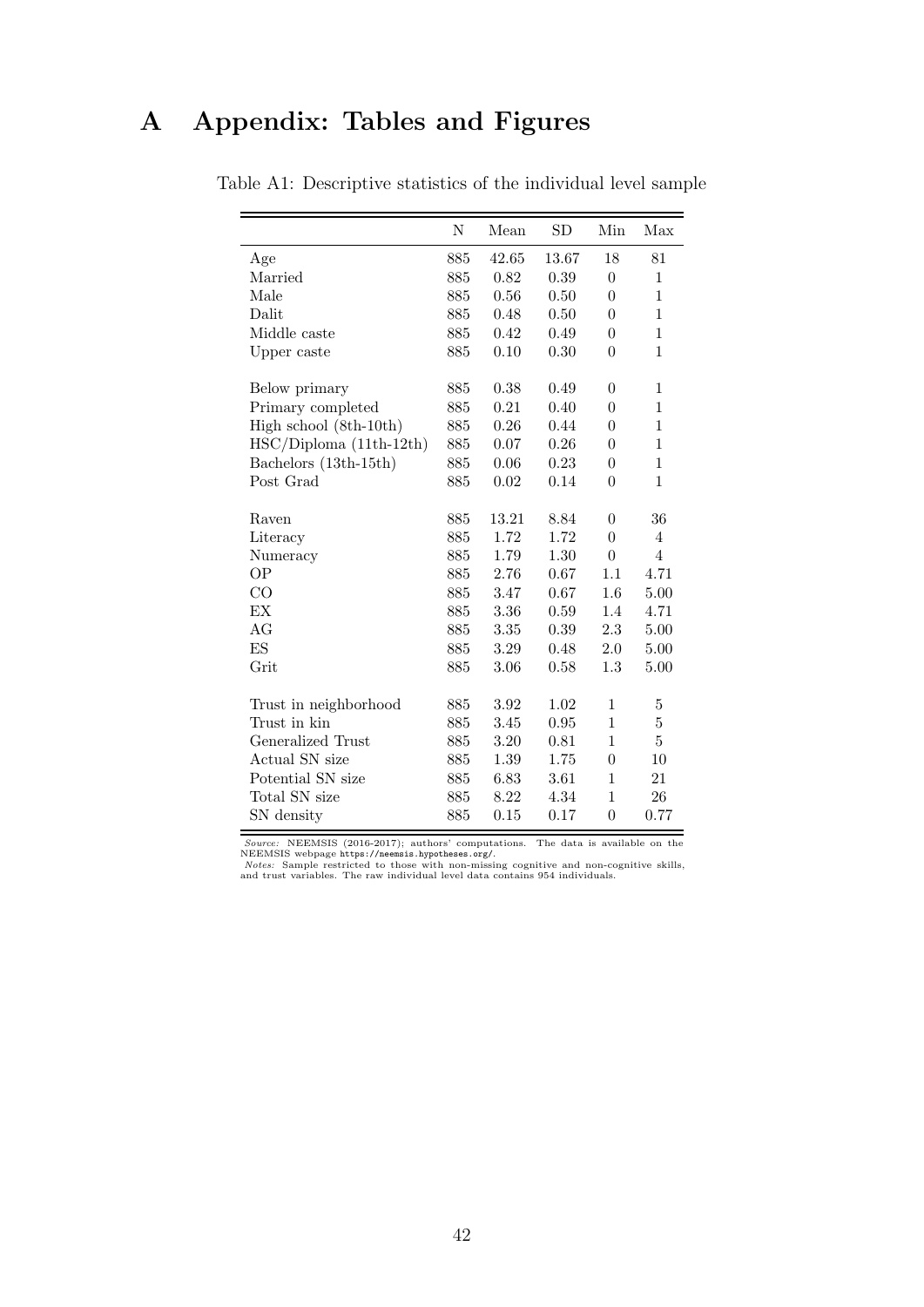# <span id="page-44-0"></span>A Appendix: Tables and Figures

|                          | ${\rm N}$ | Mean     | SD    | Min              | Max            |
|--------------------------|-----------|----------|-------|------------------|----------------|
| Age                      | 885       | 42.65    | 13.67 | 18               | 81             |
| Married                  | 885       | 0.82     | 0.39  | $\overline{0}$   | $\mathbf{1}$   |
| Male                     | 885       | 0.56     | 0.50  | $\theta$         | $\mathbf{1}$   |
| Dalit                    | 885       | 0.48     | 0.50  | $\theta$         | $\mathbf 1$    |
| Middle caste             | 885       | 0.42     | 0.49  | $\theta$         | $\mathbf 1$    |
|                          | 885       | 0.10     | 0.30  | $\theta$         | $\mathbf 1$    |
| Upper caste              |           |          |       |                  |                |
| Below primary            | 885       | $0.38\,$ | 0.49  | $\boldsymbol{0}$ | $\mathbf 1$    |
| Primary completed        | 885       | 0.21     | 0.40  | $\overline{0}$   | $\mathbf 1$    |
| High school (8th-10th)   | 885       | 0.26     | 0.44  | $\theta$         | $\mathbf 1$    |
| $HSC/Diploma(11th-12th)$ | 885       | 0.07     | 0.26  | $\overline{0}$   | $\mathbf 1$    |
| Bachelors (13th-15th)    | 885       | 0.06     | 0.23  | $\boldsymbol{0}$ | $\mathbf{1}$   |
| Post Grad                | 885       | 0.02     | 0.14  | $\overline{0}$   | $\mathbf 1$    |
|                          |           |          |       |                  |                |
| Raven                    | 885       | 13.21    | 8.84  | $\boldsymbol{0}$ | 36             |
| Literacy                 | 885       | 1.72     | 1.72  | $\overline{0}$   | $\overline{4}$ |
| Numeracy                 | 885       | 1.79     | 1.30  | $\overline{0}$   | $\overline{4}$ |
| <b>OP</b>                | 885       | 2.76     | 0.67  | 1.1              | 4.71           |
| CO                       | 885       | 3.47     | 0.67  | 1.6              | 5.00           |
| EX                       | 885       | 3.36     | 0.59  | 1.4              | 4.71           |
| AG                       | 885       | 3.35     | 0.39  | 2.3              | 5.00           |
| ES                       | 885       | 3.29     | 0.48  | 2.0              | 5.00           |
| Grit                     | 885       | 3.06     | 0.58  | 1.3              | 5.00           |
|                          |           |          |       |                  |                |
| Trust in neighborhood    | 885       | 3.92     | 1.02  | $\mathbf 1$      | $\bf 5$        |
| Trust in kin             | 885       | 3.45     | 0.95  | $\mathbf 1$      | $\overline{5}$ |
| Generalized Trust        | 885       | 3.20     | 0.81  | $\mathbf 1$      | $\bf 5$        |
| Actual SN size           | 885       | 1.39     | 1.75  | $\overline{0}$   | 10             |
| Potential SN size        | 885       | 6.83     | 3.61  | $\overline{1}$   | $21\,$         |
| Total SN size            | 885       | 8.22     | 4.34  | $\mathbf 1$      | 26             |
| SN density               | 885       | 0.15     | 0.17  | $\boldsymbol{0}$ | 0.77           |

Table A1: Descriptive statistics of the individual level sample

Source: NEEMSIS (2016-2017); authors' computations. The data is available on the NEEMSIS webpage <https://neemsis.hypotheses.org/>.<br>Notes: Sample restricted to those with non-missing cognitive and non-cognitive skills, Note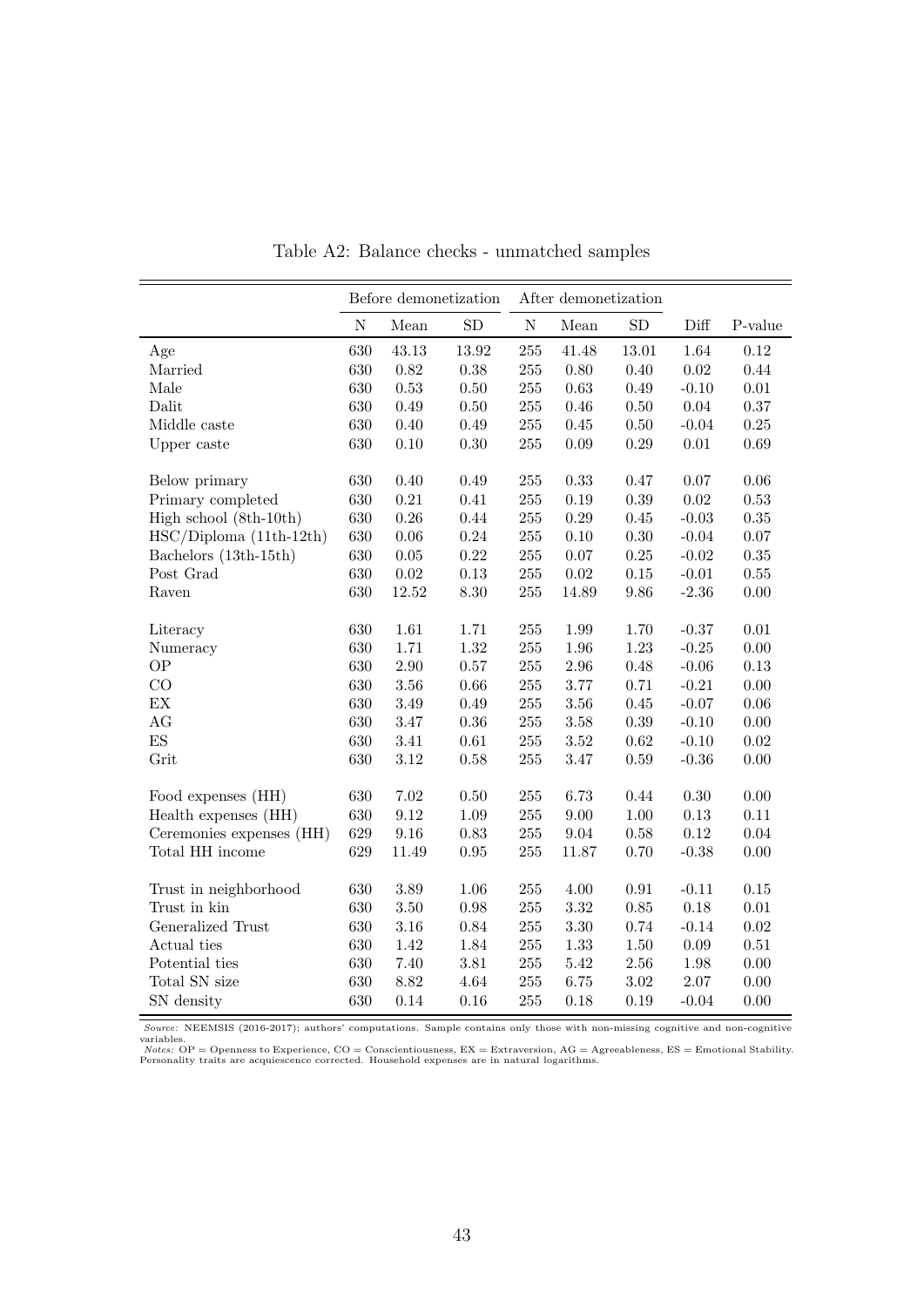<span id="page-45-0"></span>

|                          |             | Before demonetization |          |           | After demonetization |            |            |          |
|--------------------------|-------------|-----------------------|----------|-----------|----------------------|------------|------------|----------|
|                          | $\mathbf N$ | Mean                  | SD       | ${\rm N}$ | Mean                 | SD         | Diff       | P-value  |
| Age                      | 630         | 43.13                 | 13.92    | 255       | 41.48                | 13.01      | 1.64       | 0.12     |
| Married                  | 630         | 0.82                  | 0.38     | $255\,$   | 0.80                 | 0.40       | $\rm 0.02$ | 0.44     |
| Male                     | 630         | 0.53                  | 0.50     | $255\,$   | 0.63                 | 0.49       | $-0.10$    | $0.01\,$ |
| Dalit                    | 630         | 0.49                  | $0.50\,$ | $255\,$   | 0.46                 | $0.50\,$   | $0.04\,$   | $0.37\,$ |
| Middle caste             | 630         | 0.40                  | 0.49     | $255\,$   | 0.45                 | $0.50\,$   | $-0.04$    | $0.25\,$ |
| Upper caste              | 630         | 0.10                  | 0.30     | 255       | 0.09                 | 0.29       | $0.01\,$   | $0.69\,$ |
| Below primary            | 630         | 0.40                  | 0.49     | 255       | 0.33                 | 0.47       | 0.07       | 0.06     |
| Primary completed        | 630         | 0.21                  | 0.41     | $255\,$   | 0.19                 | 0.39       | $\rm 0.02$ | 0.53     |
| High school (8th-10th)   | 630         | 0.26                  | 0.44     | $255\,$   | 0.29                 | 0.45       | $-0.03$    | $0.35\,$ |
| $HSC/Diploma(11th-12th)$ | 630         | 0.06                  | 0.24     | 255       | 0.10                 | 0.30       | $-0.04$    | $0.07\,$ |
| Bachelors (13th-15th)    | 630         | $0.05\,$              | 0.22     | 255       | 0.07                 | $0.25\,$   | $-0.02$    | $0.35\,$ |
| Post Grad                | 630         | $\,0.02$              | 0.13     | 255       | $0.02\,$             | 0.15       | $-0.01$    | 0.55     |
| Raven                    | 630         | 12.52                 | 8.30     | $255\,$   | 14.89                | 9.86       | $-2.36$    | 0.00     |
| Literacy                 | 630         | 1.61                  | 1.71     | $255\,$   | 1.99                 | 1.70       | $-0.37$    | $0.01\,$ |
| Numeracy                 | 630         | 1.71                  | 1.32     | 255       | 1.96                 | 1.23       | $-0.25$    | 0.00     |
| <b>OP</b>                | 630         | $2.90\,$              | 0.57     | 255       | 2.96                 | 0.48       | $-0.06$    | 0.13     |
| CO                       | 630         | $3.56\,$              | 0.66     | $255\,$   | 3.77                 | 0.71       | $-0.21$    | $0.00\,$ |
| EX                       | 630         | 3.49                  | 0.49     | $255\,$   | 3.56                 | 0.45       | $-0.07$    | $0.06\,$ |
| AG                       | 630         | 3.47                  | 0.36     | $255\,$   | 3.58                 | 0.39       | $-0.10$    | $0.00\,$ |
| ES                       | 630         | 3.41                  | 0.61     | $255\,$   | 3.52                 | 0.62       | $-0.10$    | $0.02\,$ |
| Grit                     | 630         | 3.12                  | 0.58     | 255       | 3.47                 | 0.59       | $-0.36$    | 0.00     |
| Food expenses (HH)       | 630         | $7.02\,$              | 0.50     | 255       | 6.73                 | 0.44       | 0.30       | 0.00     |
| Health expenses (HH)     | 630         | $\,9.12$              | 1.09     | $255\,$   | 9.00                 | $1.00\,$   | 0.13       | $0.11\,$ |
| Ceremonies expenses (HH) | 629         | 9.16                  | 0.83     | $255\,$   | 9.04                 | 0.58       | 0.12       | $0.04\,$ |
| Total HH income          | 629         | 11.49                 | 0.95     | 255       | 11.87                | 0.70       | $-0.38$    | 0.00     |
| Trust in neighborhood    | 630         | $3.89\,$              | 1.06     | $255\,$   | 4.00                 | $\rm 0.91$ | $-0.11$    | $0.15\,$ |
| Trust in kin             | 630         | $3.50\,$              | $0.98\,$ | $255\,$   | $3.32\,$             | 0.85       | 0.18       | $0.01\,$ |
| Generalized Trust        | 630         | $3.16\,$              | 0.84     | $255\,$   | $3.30\,$             | 0.74       | $-0.14$    | $0.02\,$ |
| Actual ties              | 630         | 1.42                  | 1.84     | 255       | 1.33                 | 1.50       | $0.09\,$   | 0.51     |
| Potential ties           | 630         | 7.40                  | $3.81\,$ | $255\,$   | $5.42\,$             | 2.56       | 1.98       | 0.00     |
| Total SN size            | 630         | 8.82                  | 4.64     | $255\,$   | 6.75                 | $3.02\,$   | $2.07\,$   | 0.00     |
| SN density               | 630         | 0.14                  | 0.16     | 255       | 0.18                 | 0.19       | $-0.04$    | 0.00     |

Table A2: Balance checks - unmatched samples

Source: NEEMSIS (2016-2017); authors' computations. Sample contains only those with non-missing cognitive and non-cognitive variables.<br>Notes: OP = Openness to Experience, CO = Conscientiousness, EX = Extraversion, AG = Ag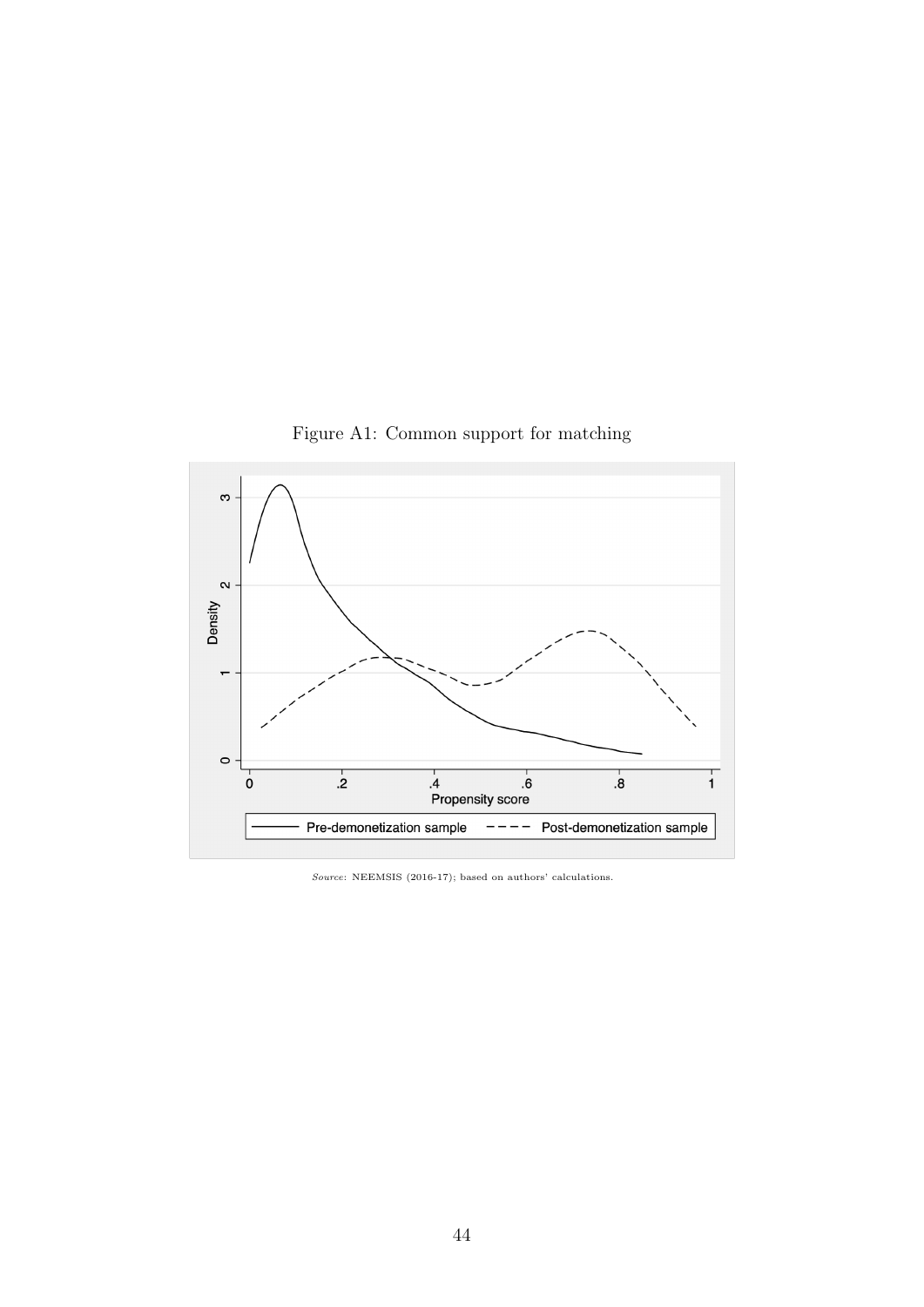<span id="page-46-0"></span>

Figure A1: Common support for matching

Source: NEEMSIS (2016-17); based on authors' calculations.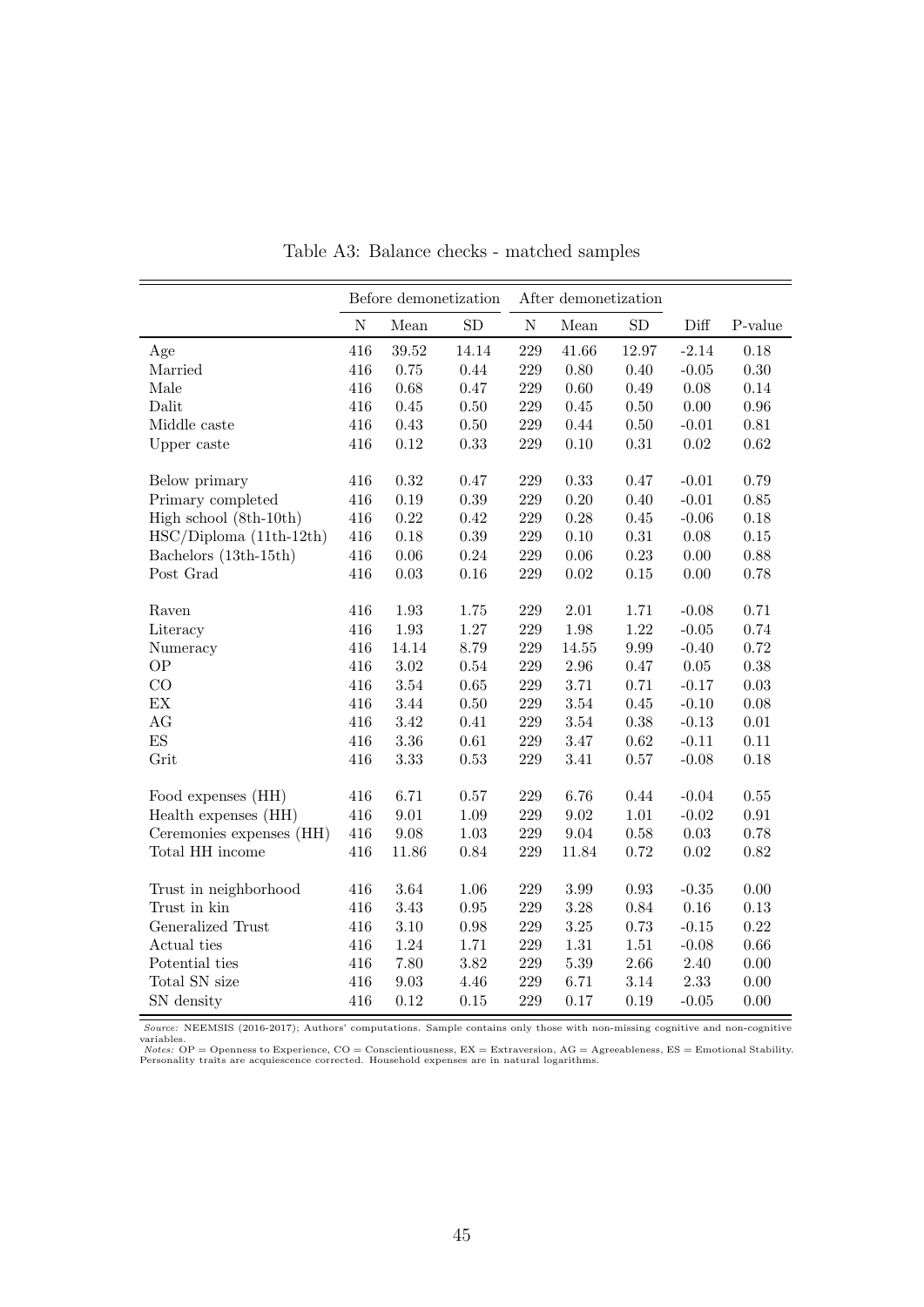<span id="page-47-0"></span>

|                          |           | Before demonetization |            |           | After demonetization |            |                |            |
|--------------------------|-----------|-----------------------|------------|-----------|----------------------|------------|----------------|------------|
|                          | ${\bf N}$ | Mean                  | ${\rm SD}$ | ${\bf N}$ | Mean                 | ${\rm SD}$ | Diff           | P-value    |
| Age                      | 416       | 39.52                 | 14.14      | 229       | 41.66                | 12.97      | $-2.14$        | $0.18\,$   |
| Married                  | 416       | 0.75                  | 0.44       | $229\,$   | $0.80\,$             | $0.40\,$   | $-0.05$        | $0.30\,$   |
| Male                     | 416       | 0.68                  | 0.47       | 229       | $0.60\,$             | 0.49       | $0.08\,$       | $0.14\,$   |
| Dalit                    | 416       | 0.45                  | $0.50\,$   | 229       | 0.45                 | $0.50\,$   | $0.00\,$       | $\rm 0.96$ |
| Middle caste             | 416       | 0.43                  | $0.50\,$   | 229       | 0.44                 | $0.50\,$   | $-0.01$        | $0.81\,$   |
| Upper caste              | 416       | 0.12                  | 0.33       | 229       | 0.10                 | $\rm 0.31$ | 0.02           | 0.62       |
| Below primary            | 416       | 0.32                  | 0.47       | 229       | 0.33                 | 0.47       | $-0.01$        | 0.79       |
| Primary completed        | 416       | $0.19\,$              | 0.39       | $229\,$   | $0.20\,$             | 0.40       | $-0.01$        | $0.85\,$   |
| High school (8th-10th)   | 416       | 0.22                  | 0.42       | 229       | 0.28                 | 0.45       | $-0.06$        | $0.18\,$   |
| $HSC/Diploma(11th-12th)$ | 416       | $0.18\,$              | 0.39       | 229       | 0.10                 | $\rm 0.31$ | $0.08\,$       | $0.15\,$   |
| Bachelors (13th-15th)    | 416       | $0.06\,$              | 0.24       | 229       | $0.06\,$             | $0.23\,$   | $0.00\,$       | $0.88\,$   |
| Post Grad                | 416       | 0.03                  | $0.16\,$   | 229       | $\rm 0.02$           | $0.15\,$   | 0.00           | 0.78       |
| Raven                    | 416       | 1.93                  | 1.75       | 229       | 2.01                 | 1.71       | $-0.08$        | 0.71       |
| Literacy                 | 416       | $1.93\,$              | 1.27       | 229       | 1.98                 | 1.22       | $\text{-}0.05$ | 0.74       |
| Numeracy                 | 416       | 14.14                 | 8.79       | 229       | $14.55\,$            | 9.99       | $-0.40$        | 0.72       |
| <b>OP</b>                | 416       | $3.02\,$              | 0.54       | 229       | $2.96\,$             | $0.47\,$   | $0.05\,$       | $0.38\,$   |
| CO                       | 416       | $3.54\,$              | $0.65\,$   | 229       | $3.71\,$             | 0.71       | $-0.17$        | $0.03\,$   |
| EX                       | 416       | 3.44                  | 0.50       | 229       | $3.54\,$             | 0.45       | $-0.10$        | $0.08\,$   |
| AG                       | 416       | 3.42                  | 0.41       | 229       | $3.54\,$             | $0.38\,$   | $-0.13$        | $0.01\,$   |
| ES                       | 416       | 3.36                  | 0.61       | 229       | 3.47                 | 0.62       | $-0.11$        | $0.11\,$   |
| Grit                     | 416       | 3.33                  | 0.53       | 229       | 3.41                 | 0.57       | $-0.08$        | $0.18\,$   |
| Food expenses (HH)       | 416       | 6.71                  | $0.57\,$   | $229\,$   | 6.76                 | 0.44       | $-0.04$        | $0.55\,$   |
| Health expenses (HH)     | 416       | $9.01\,$              | 1.09       | 229       | $\ \, 9.02$          | $1.01\,$   | $-0.02$        | $\rm 0.91$ |
| Ceremonies expenses (HH) | 416       | $\ \, 9.08$           | $1.03\,$   | 229       | 9.04                 | $0.58\,$   | $0.03\,$       | 0.78       |
| Total HH income          | 416       | 11.86                 | 0.84       | 229       | 11.84                | 0.72       | 0.02           | $0.82\,$   |
| Trust in neighborhood    | 416       | 3.64                  | 1.06       | 229       | 3.99                 | $\rm 0.93$ | $-0.35$        | 0.00       |
| Trust in kin             | 416       | 3.43                  | 0.95       | 229       | 3.28                 | 0.84       | 0.16           | 0.13       |
| Generalized Trust        | 416       | $3.10\,$              | $0.98\,$   | 229       | $3.25\,$             | 0.73       | $-0.15$        | $0.22\,$   |
| Actual ties              | 416       | 1.24                  | 1.71       | 229       | $1.31\,$             | $1.51\,$   | $-0.08$        | $0.66\,$   |
| Potential ties           | 416       | 7.80                  | 3.82       | 229       | $5.39\,$             | $2.66\,$   | 2.40           | 0.00       |
| Total SN size            | 416       | $\ \, 9.03$           | 4.46       | 229       | 6.71                 | 3.14       | 2.33           | 0.00       |
| SN density               | 416       | $0.12\,$              | $0.15\,$   | 229       | 0.17                 | 0.19       | $-0.05$        | 0.00       |

Table A3: Balance checks - matched samples

Source: NEEMSIS (2016-2017); Authors' computations. Sample contains only those with non-missing cognitive and non-cognitive variables.<br>Notes: OP = Openness to Experience, CO = Conscientiousness, EX = Extraversion, AG = Ag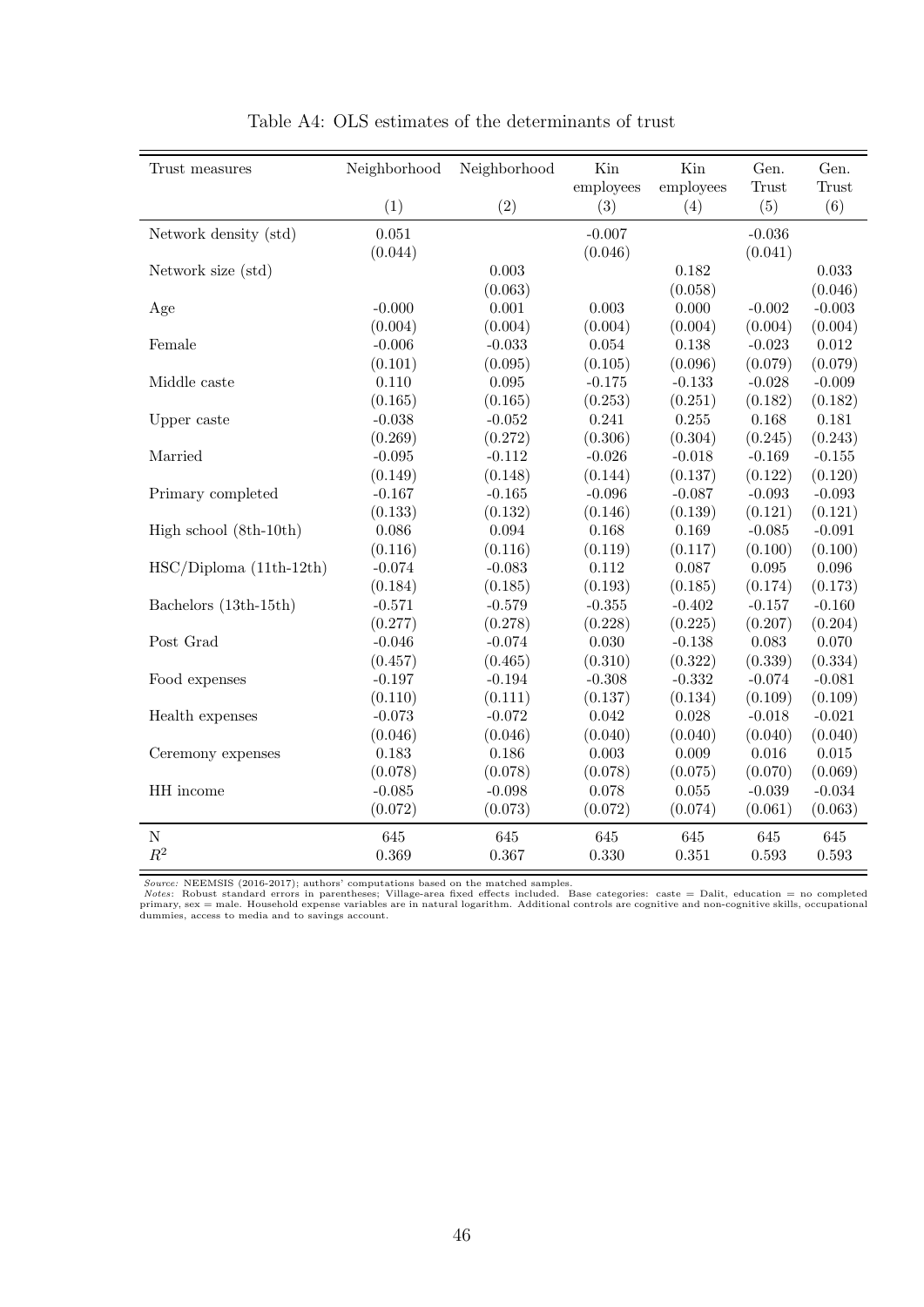<span id="page-48-0"></span>

| Trust measures           | Neighborhood | Neighborhood | Kin         | Kin       | Gen.     | Gen.      |
|--------------------------|--------------|--------------|-------------|-----------|----------|-----------|
|                          |              |              | employees   | employees | Trust    | Trust     |
|                          | (1)          | (2)          | (3)         | (4)       | (5)      | (6)       |
| Network density (std)    | 0.051        |              | $-0.007$    |           | $-0.036$ |           |
|                          | (0.044)      |              | (0.046)     |           | (0.041)  |           |
| Network size (std)       |              | 0.003        |             | 0.182     |          | 0.033     |
|                          |              | (0.063)      |             | (0.058)   |          | (0.046)   |
| Age                      | $-0.000$     | $0.001\,$    | 0.003       | $0.000\,$ | $-0.002$ | $-0.003$  |
|                          | (0.004)      | (0.004)      | (0.004)     | (0.004)   | (0.004)  | (0.004)   |
| Female                   | $-0.006$     | $-0.033$     | $\,0.054\,$ | 0.138     | $-0.023$ | $0.012\,$ |
|                          | (0.101)      | (0.095)      | (0.105)     | (0.096)   | (0.079)  | (0.079)   |
| Middle caste             | 0.110        | 0.095        | $-0.175$    | $-0.133$  | $-0.028$ | $-0.009$  |
|                          | (0.165)      | (0.165)      | (0.253)     | (0.251)   | (0.182)  | (0.182)   |
| Upper caste              | $-0.038$     | $-0.052$     | 0.241       | $0.255\,$ | 0.168    | 0.181     |
|                          | (0.269)      | (0.272)      | (0.306)     | (0.304)   | (0.245)  | (0.243)   |
| Married                  | $-0.095$     | $-0.112$     | $-0.026$    | $-0.018$  | $-0.169$ | $-0.155$  |
|                          | (0.149)      | (0.148)      | (0.144)     | (0.137)   | (0.122)  | (0.120)   |
| Primary completed        | $-0.167$     | $-0.165$     | $-0.096$    | $-0.087$  | $-0.093$ | $-0.093$  |
|                          | (0.133)      | (0.132)      | (0.146)     | (0.139)   | (0.121)  | (0.121)   |
| High school (8th-10th)   | 0.086        | $\,0.094\,$  | 0.168       | 0.169     | $-0.085$ | $-0.091$  |
|                          | (0.116)      | (0.116)      | (0.119)     | (0.117)   | (0.100)  | (0.100)   |
| $HSC/Diploma(11th-12th)$ | $-0.074$     | $-0.083$     | 0.112       | 0.087     | 0.095    | 0.096     |
|                          | (0.184)      | (0.185)      | (0.193)     | (0.185)   | (0.174)  | (0.173)   |
| Bachelors (13th-15th)    | $-0.571$     | $-0.579$     | $-0.355$    | $-0.402$  | $-0.157$ | $-0.160$  |
|                          | (0.277)      | (0.278)      | (0.228)     | (0.225)   | (0.207)  | (0.204)   |
| Post Grad                | $-0.046$     | $-0.074$     | 0.030       | $-0.138$  | 0.083    | 0.070     |
|                          | (0.457)      | (0.465)      | (0.310)     | (0.322)   | (0.339)  | (0.334)   |
| Food expenses            | $-0.197$     | $-0.194$     | $-0.308$    | $-0.332$  | $-0.074$ | $-0.081$  |
|                          | (0.110)      | (0.111)      | (0.137)     | (0.134)   | (0.109)  | (0.109)   |
| Health expenses          | $-0.073$     | $-0.072$     | 0.042       | 0.028     | $-0.018$ | $-0.021$  |
|                          | (0.046)      | (0.046)      | (0.040)     | (0.040)   | (0.040)  | (0.040)   |
| Ceremony expenses        | 0.183        | 0.186        | $\,0.003\,$ | 0.009     | 0.016    | 0.015     |
|                          | (0.078)      | (0.078)      | (0.078)     | (0.075)   | (0.070)  | (0.069)   |
| HH income                | $-0.085$     | $-0.098$     | 0.078       | $0.055\,$ | $-0.039$ | $-0.034$  |
|                          | (0.072)      | (0.073)      | (0.072)     | (0.074)   | (0.061)  | (0.063)   |
| ${\rm N}$                | 645          | 645          | 645         | 645       | 645      | 645       |
| $\mathbb{R}^2$           | 0.369        | 0.367        | 0.330       | 0.351     | 0.593    | 0.593     |

Table A4: OLS estimates of the determinants of trust

Source: NEEMSIS (2016-2017); authors' computations based on the matched samples.<br>Notes: Robust standard errors in parentheses; Village-area fixed effects included. Base categories: caste = Dalit, education = no completed<br>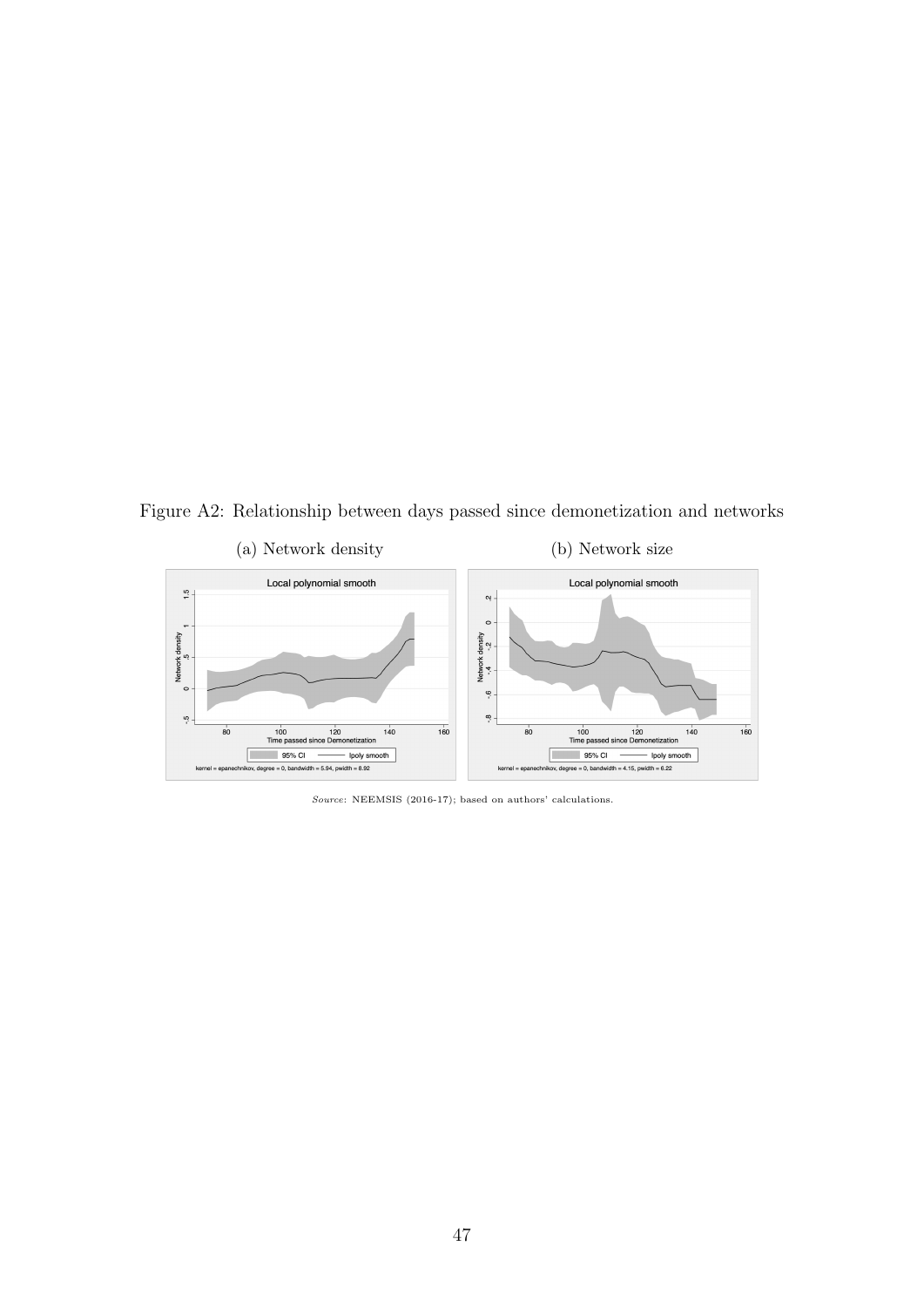<span id="page-49-0"></span>Figure A2: Relationship between days passed since demonetization and networks



Source: NEEMSIS (2016-17); based on authors' calculations.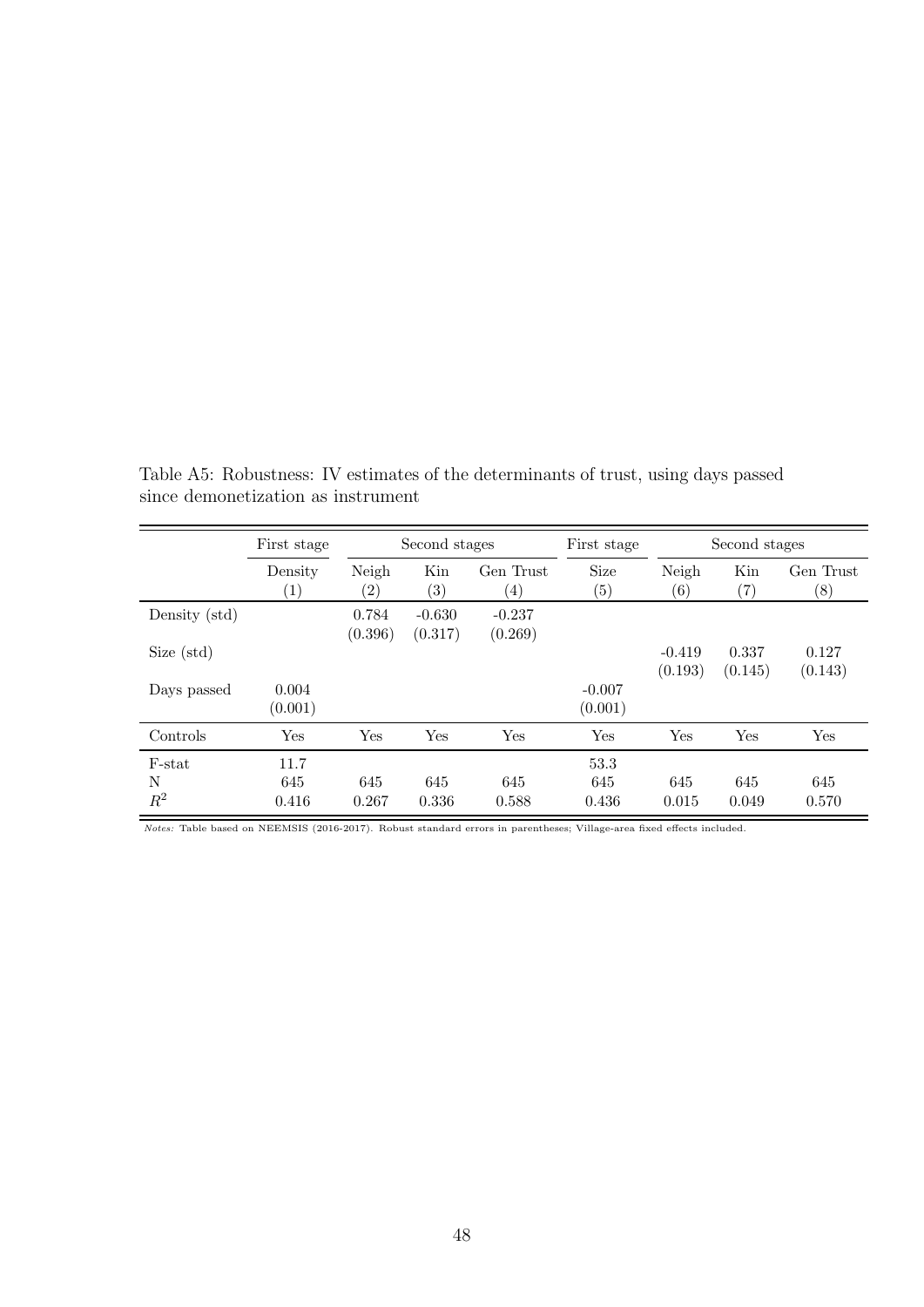|                      | First stage                  | Second stages    |                          | First stage                   |                           | Second stages              |                          |                               |
|----------------------|------------------------------|------------------|--------------------------|-------------------------------|---------------------------|----------------------------|--------------------------|-------------------------------|
|                      | Density<br>$\left( 1\right)$ | Neigh<br>(2)     | Kin<br>$\left( 3\right)$ | Gen Trust<br>$\left(4\right)$ | Size<br>$\left( 5\right)$ | Neigh<br>$\left( 6\right)$ | Kin<br>$\left( 7\right)$ | Gen Trust<br>$\left(8\right)$ |
| Density (std)        |                              | 0.784<br>(0.396) | $-0.630$<br>(0.317)      | $-0.237$<br>(0.269)           |                           |                            |                          |                               |
| Size (std)           |                              |                  |                          |                               |                           | $-0.419$<br>(0.193)        | 0.337<br>(0.145)         | 0.127<br>(0.143)              |
| Days passed          | 0.004<br>(0.001)             |                  |                          |                               | $-0.007$<br>(0.001)       |                            |                          |                               |
| Controls             | Yes                          | Yes              | Yes                      | Yes                           | Yes                       | Yes                        | Yes                      | Yes                           |
| F-stat<br>N<br>$R^2$ | 11.7<br>645<br>0.416         | 645<br>0.267     | 645<br>0.336             | 645<br>0.588                  | 53.3<br>645<br>0.436      | 645<br>0.015               | 645<br>0.049             | 645<br>0.570                  |

<span id="page-50-0"></span>Table A5: Robustness: IV estimates of the determinants of trust, using days passed since demonetization as instrument

Notes: Table based on NEEMSIS (2016-2017). Robust standard errors in parentheses; Village-area fixed effects included.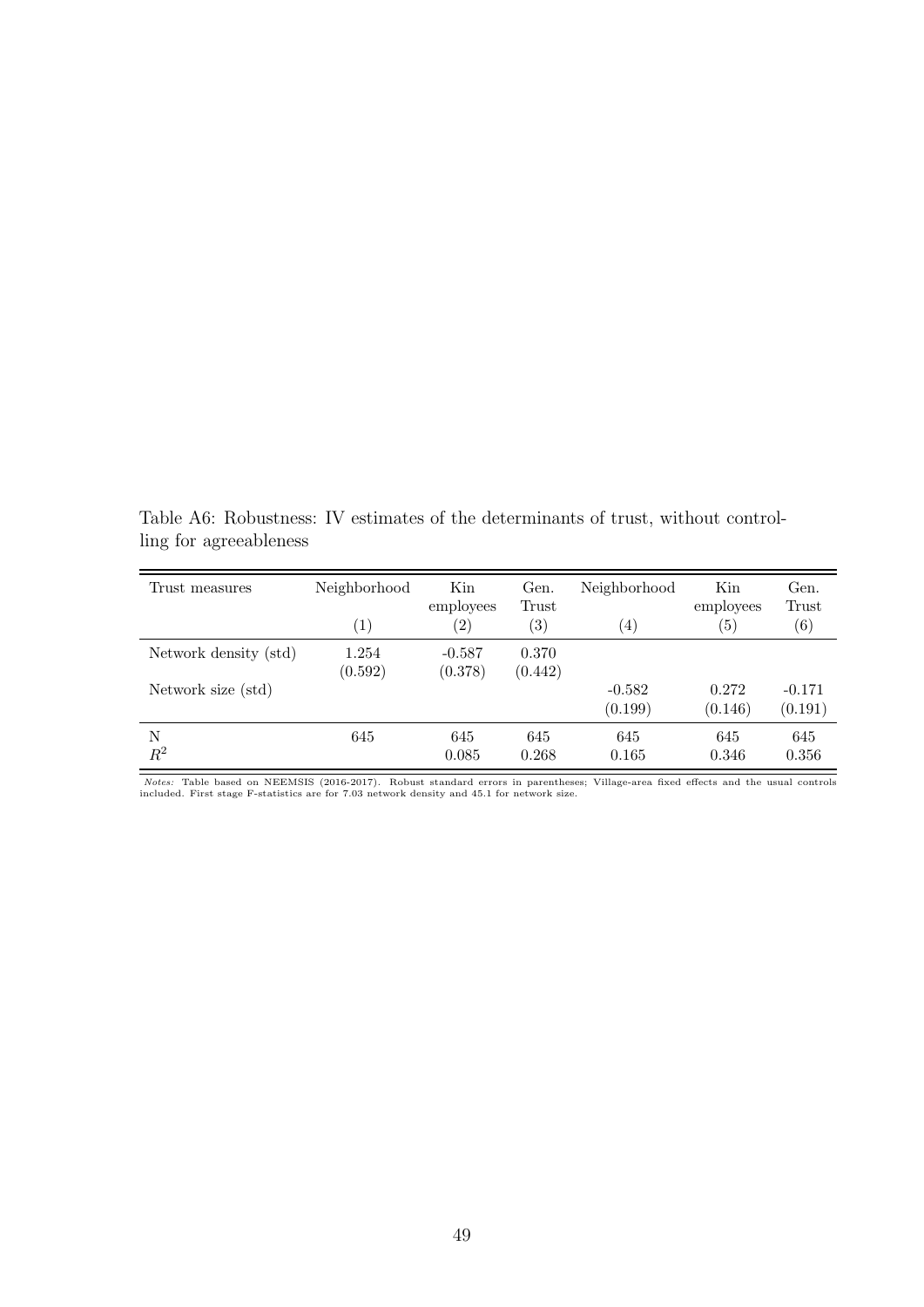<span id="page-51-0"></span>Table A6: Robustness: IV estimates of the determinants of trust, without controlling for agreeableness

| Trust measures        | Neighborhood<br>$\left( 1\right)$ | Kin<br>employees<br>$\left( 2\right)$ | Gen.<br>Trust<br>$\left( 3\right)$ | Neighborhood<br>$\left( 4\right)$ | Kin<br>employees<br>$\left(5\right)$ | Gen.<br>Trust<br>$\left( 6\right)$ |
|-----------------------|-----------------------------------|---------------------------------------|------------------------------------|-----------------------------------|--------------------------------------|------------------------------------|
| Network density (std) | 1.254<br>(0.592)                  | $-0.587$<br>(0.378)                   | 0.370<br>(0.442)                   |                                   |                                      |                                    |
| Network size (std)    |                                   |                                       |                                    | $-0.582$<br>(0.199)               | 0.272<br>(0.146)                     | $-0.171$<br>(0.191)                |
| N<br>$R^2$            | 645                               | 645<br>0.085                          | 645<br>0.268                       | 645<br>0.165                      | 645<br>0.346                         | 645<br>0.356                       |

Notes: Table based on NEEMSIS (2016-2017). Robust standard errors in parentheses; Village-area fixed effects and the usual controls included. First stage F-statistics are for 7.03 network density and 45.1 for network size.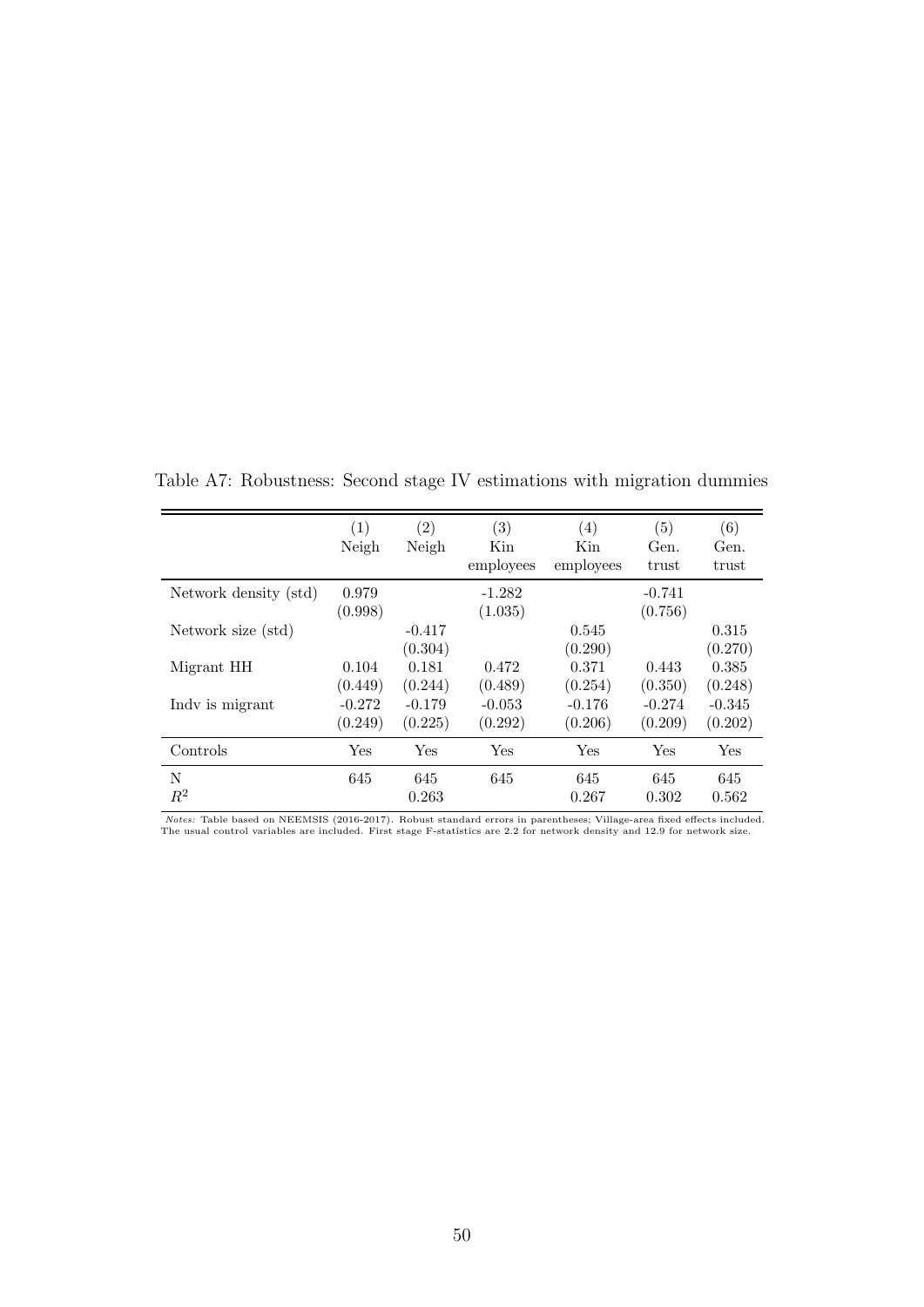|                       | (1)                 | $\left( 2\right)$   | (3)                 | $\left( 4\right)$   | (5)                 | (6)                 |
|-----------------------|---------------------|---------------------|---------------------|---------------------|---------------------|---------------------|
|                       | Neigh               | Neigh               | Kin<br>employees    | Kin<br>employees    | Gen.<br>trust       | Gen.<br>trust       |
| Network density (std) | 0.979<br>(0.998)    |                     | $-1.282$<br>(1.035) |                     | $-0.741$<br>(0.756) |                     |
| Network size (std)    |                     | $-0.417$<br>(0.304) |                     | 0.545<br>(0.290)    |                     | 0.315<br>(0.270)    |
| Migrant HH            | 0.104<br>(0.449)    | 0.181<br>(0.244)    | 0.472<br>(0.489)    | 0.371<br>(0.254)    | 0.443<br>(0.350)    | 0.385<br>(0.248)    |
| Indy is migrant       | $-0.272$<br>(0.249) | $-0.179$<br>(0.225) | $-0.053$<br>(0.292) | $-0.176$<br>(0.206) | $-0.274$<br>(0.209) | $-0.345$<br>(0.202) |
| Controls              | Yes                 | Yes                 | Yes                 | Yes                 | Yes                 | Yes                 |
| N<br>$R^2$            | 645                 | 645<br>0.263        | 645                 | 645<br>0.267        | 645<br>0.302        | 645<br>0.562        |

<span id="page-52-0"></span>Table A7: Robustness: Second stage IV estimations with migration dummies

Notes: Table based on NEEMSIS (2016-2017). Robust standard errors in parentheses; Village-area fixed effects included.<br>The usual control variables are included. First stage F-statistics are 2.2 for network density and 12.9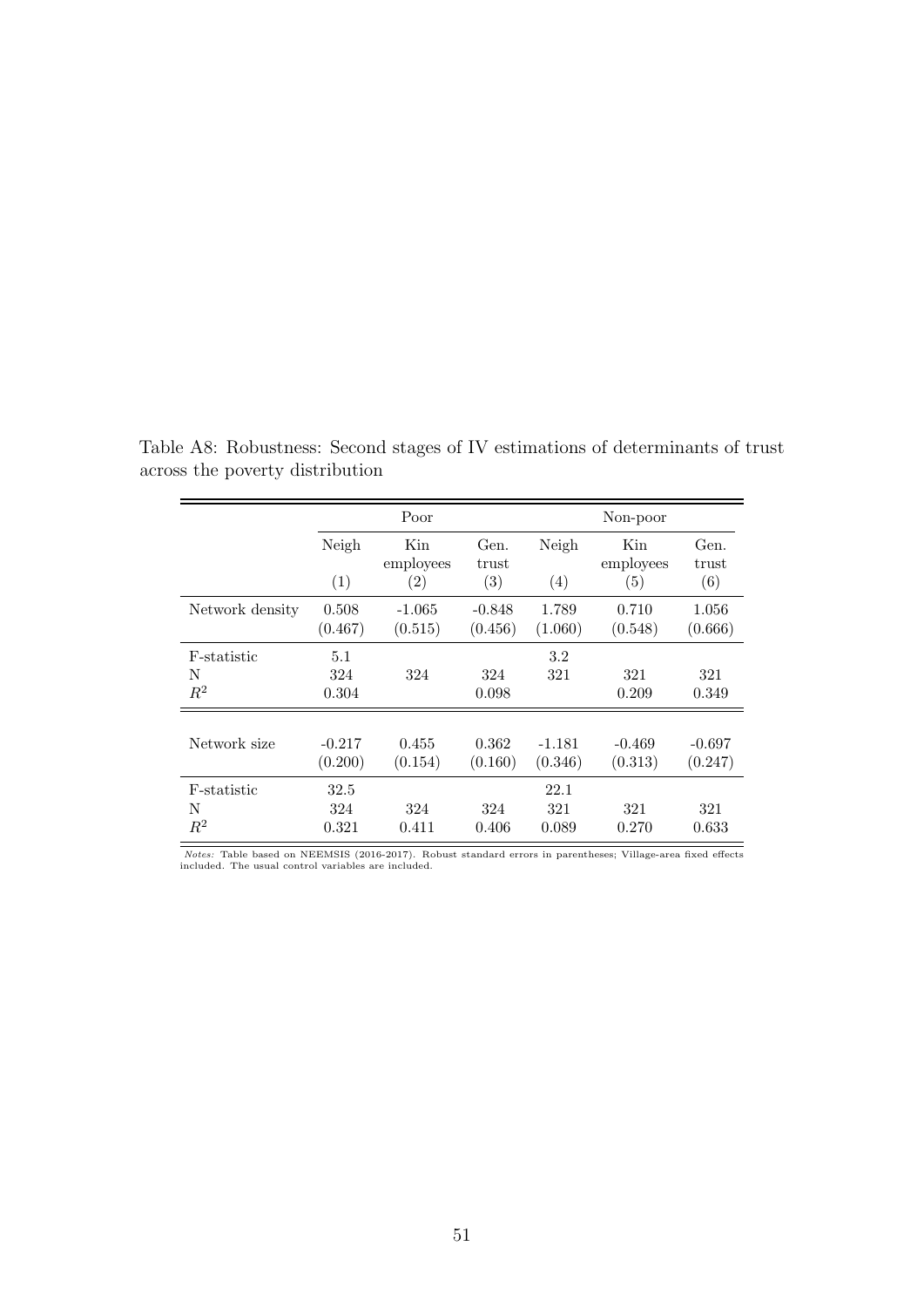|                           |                      | Poor                |                     |                      | Non-poor            |                     |
|---------------------------|----------------------|---------------------|---------------------|----------------------|---------------------|---------------------|
|                           | Neigh                | Kin<br>employees    | Gen.<br>trust       | Neigh                | Kin<br>employees    | Gen.<br>trust       |
|                           | (1)                  | (2)                 | (3)                 | (4)                  | (5)                 | (6)                 |
| Network density           | 0.508<br>(0.467)     | $-1.065$<br>(0.515) | $-0.848$<br>(0.456) | 1.789<br>(1.060)     | 0.710<br>(0.548)    | 1.056<br>(0.666)    |
| F-statistic<br>N<br>$R^2$ | 5.1<br>324<br>0.304  | 324                 | 324<br>0.098        | 3.2<br>321           | 321<br>0.209        | 321<br>0.349        |
| Network size              | $-0.217$<br>(0.200)  | 0.455<br>(0.154)    | 0.362<br>(0.160)    | $-1.181$<br>(0.346)  | $-0.469$<br>(0.313) | $-0.697$<br>(0.247) |
| F-statistic<br>N<br>$R^2$ | 32.5<br>324<br>0.321 | 324<br>0.411        | 324<br>0.406        | 22.1<br>321<br>0.089 | 321<br>0.270        | 321<br>0.633        |

<span id="page-53-0"></span>Table A8: Robustness: Second stages of IV estimations of determinants of trust across the poverty distribution

Notes: Table based on NEEMSIS (2016-2017). Robust standard errors in parentheses; Village-area fixed effects included. The usual control variables are included.